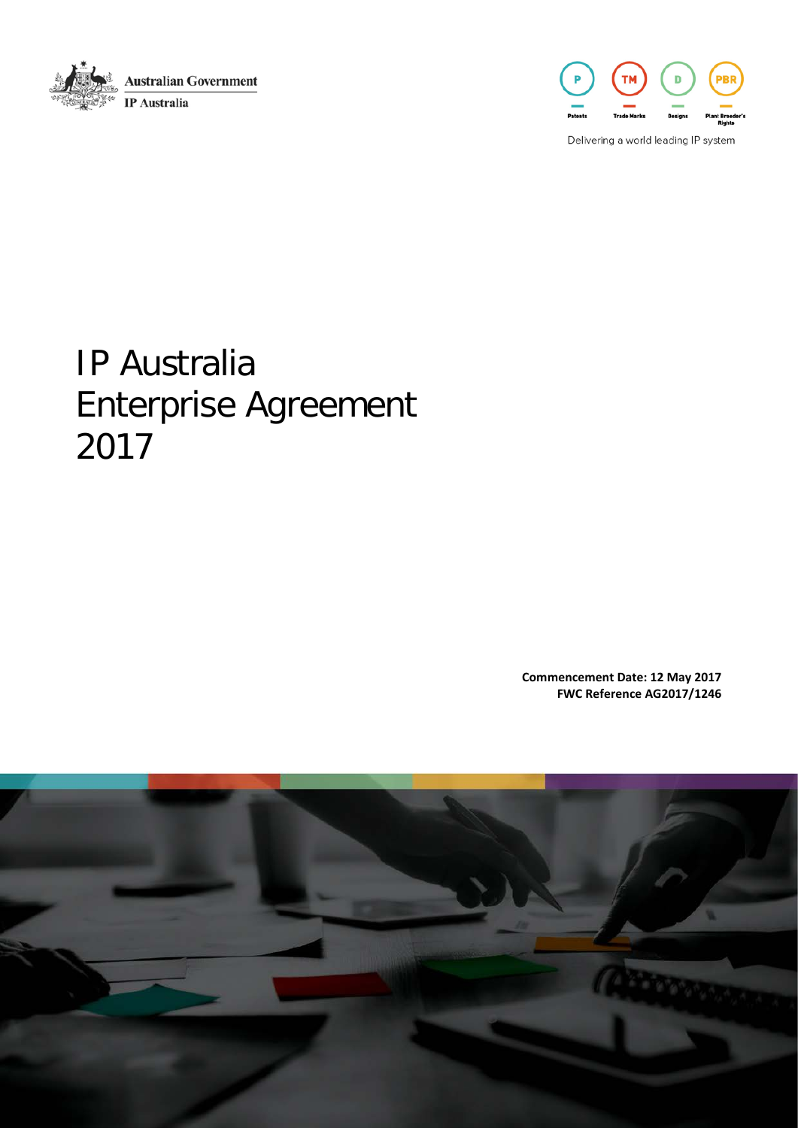



Delivering a world leading IP system

# IP Australia Enterprise Agreement 2017

**Commencement Date: 12 May 2017 FWC Reference AG2017/1246**

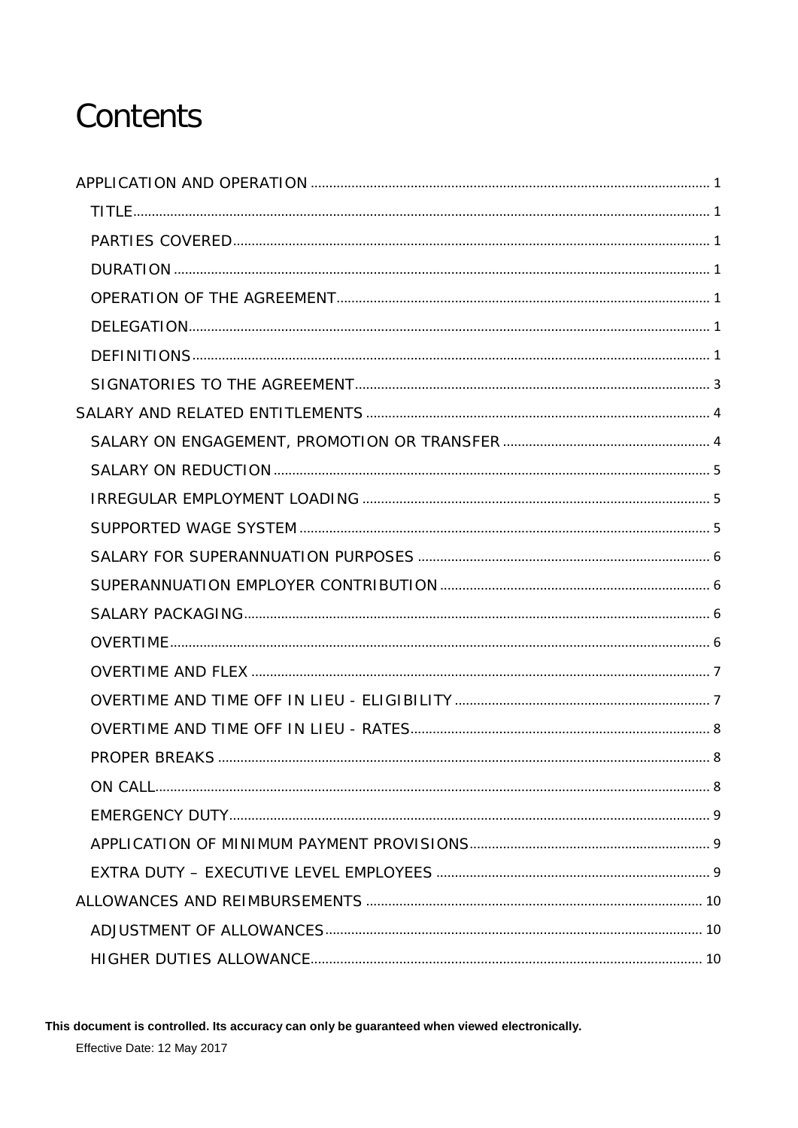# Contents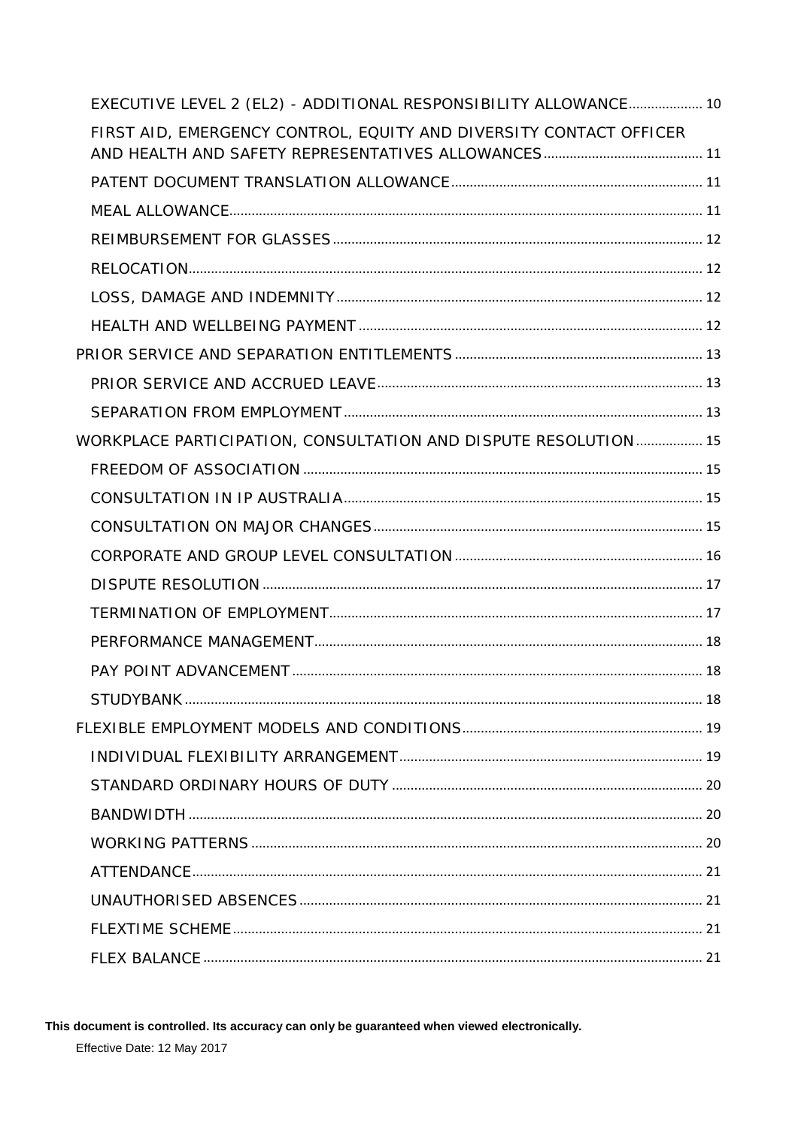| EXECUTIVE LEVEL 2 (EL2) - ADDITIONAL RESPONSIBILITY ALLOWANCE 10   |  |
|--------------------------------------------------------------------|--|
| FIRST AID, EMERGENCY CONTROL, EQUITY AND DIVERSITY CONTACT OFFICER |  |
|                                                                    |  |
|                                                                    |  |
|                                                                    |  |
|                                                                    |  |
|                                                                    |  |
|                                                                    |  |
|                                                                    |  |
|                                                                    |  |
|                                                                    |  |
| WORKPLACE PARTICIPATION, CONSULTATION AND DISPUTE RESOLUTION  15   |  |
|                                                                    |  |
|                                                                    |  |
|                                                                    |  |
|                                                                    |  |
|                                                                    |  |
|                                                                    |  |
|                                                                    |  |
|                                                                    |  |
|                                                                    |  |
|                                                                    |  |
|                                                                    |  |
|                                                                    |  |
|                                                                    |  |
|                                                                    |  |
|                                                                    |  |
|                                                                    |  |
|                                                                    |  |
|                                                                    |  |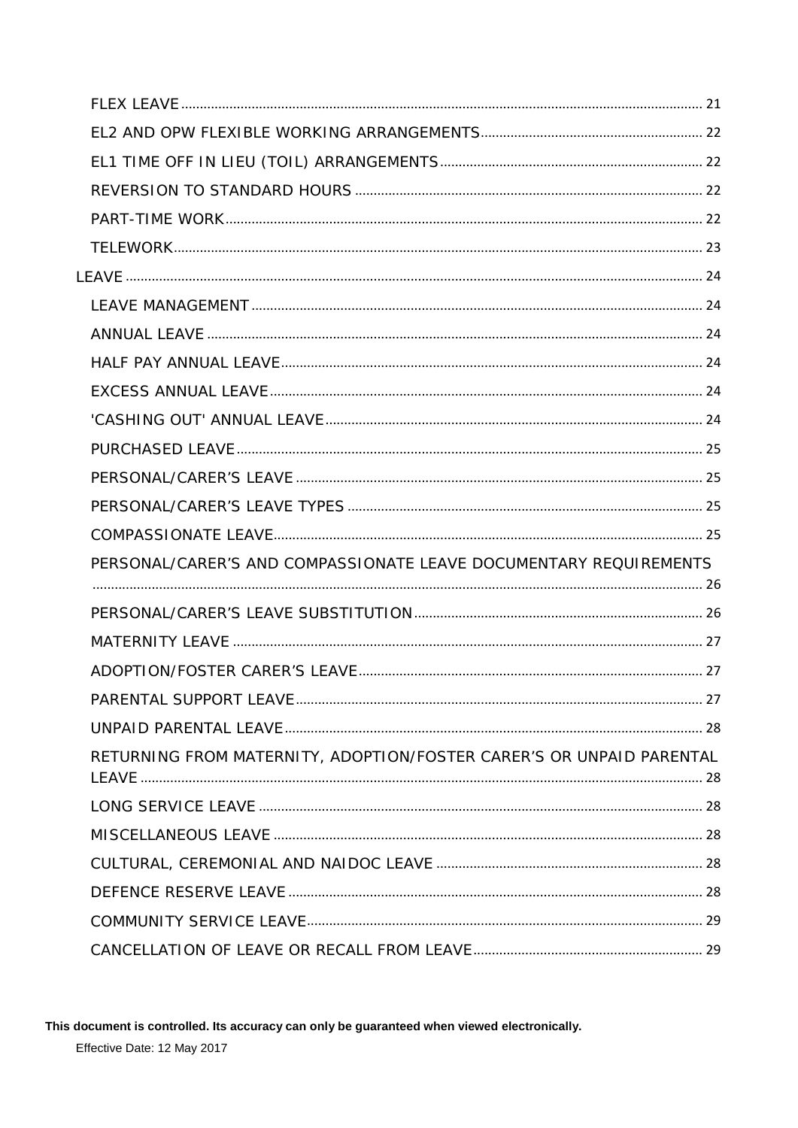| PERSONAL/CARER'S AND COMPASSIONATE LEAVE DOCUMENTARY REQUIREMENTS    |  |
|----------------------------------------------------------------------|--|
|                                                                      |  |
|                                                                      |  |
|                                                                      |  |
|                                                                      |  |
|                                                                      |  |
|                                                                      |  |
| RETURNING FROM MATERNITY, ADOPTION/FOSTER CARER'S OR UNPAID PARENTAL |  |
|                                                                      |  |
|                                                                      |  |
|                                                                      |  |
|                                                                      |  |
|                                                                      |  |
|                                                                      |  |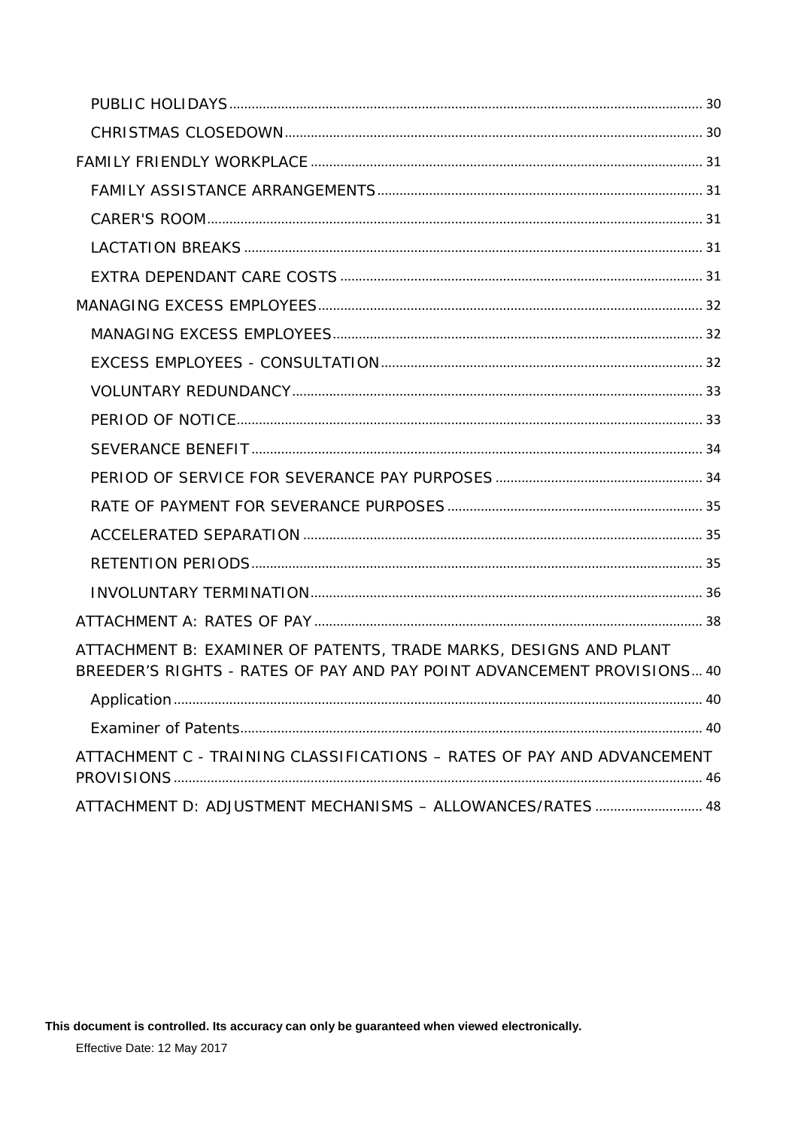| ATTACHMENT B: EXAMINER OF PATENTS, TRADE MARKS, DESIGNS AND PLANT<br>BREEDER'S RIGHTS - RATES OF PAY AND PAY POINT ADVANCEMENT PROVISIONS 40 |
|----------------------------------------------------------------------------------------------------------------------------------------------|
|                                                                                                                                              |
|                                                                                                                                              |
| ATTACHMENT C - TRAINING CLASSIFICATIONS - RATES OF PAY AND ADVANCEMENT                                                                       |
| ATTACHMENT D: ADJUSTMENT MECHANISMS - ALLOWANCES/RATES  48                                                                                   |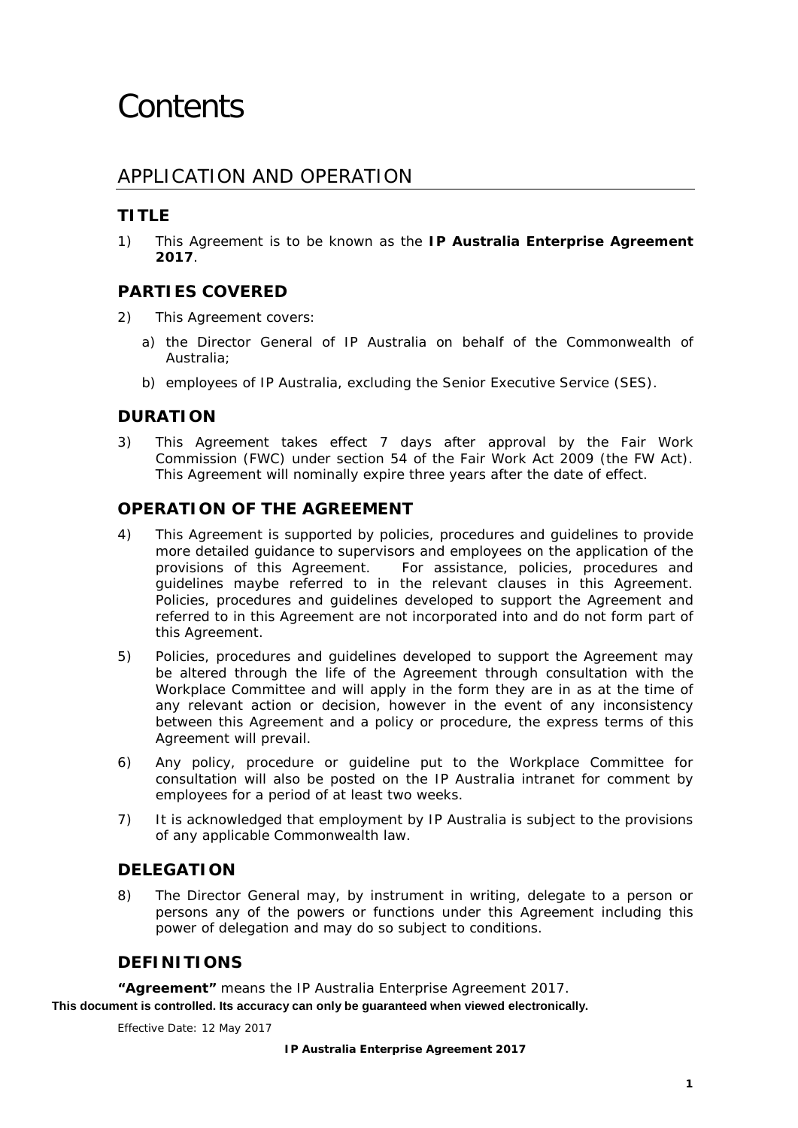# <span id="page-5-0"></span>APPLICATION AND OPERATION

# <span id="page-5-1"></span>**TITLE**

1) This Agreement is to be known as the *IP Australia Enterprise Agreement 2017*.

## <span id="page-5-2"></span>**PARTIES COVERED**

- 2) This Agreement covers:
	- a) the Director General of IP Australia on behalf of the Commonwealth of Australia;
	- b) employees of IP Australia, excluding the Senior Executive Service (SES).

## <span id="page-5-3"></span>**DURATION**

3) This Agreement takes effect 7 days after approval by the Fair Work Commission (FWC) under section 54 of the *Fair Work Act 2009* (the FW Act). This Agreement will nominally expire three years after the date of effect.

## <span id="page-5-4"></span>**OPERATION OF THE AGREEMENT**

- 4) This Agreement is supported by policies, procedures and guidelines to provide more detailed guidance to supervisors and employees on the application of the provisions of this Agreement. For assistance, policies, procedures and guidelines maybe referred to in the relevant clauses in this Agreement. Policies, procedures and guidelines developed to support the Agreement and referred to in this Agreement are not incorporated into and do not form part of this Agreement.
- 5) Policies, procedures and guidelines developed to support the Agreement may be altered through the life of the Agreement through consultation with the Workplace Committee and will apply in the form they are in as at the time of any relevant action or decision, however in the event of any inconsistency between this Agreement and a policy or procedure, the express terms of this Agreement will prevail.
- 6) Any policy, procedure or guideline put to the Workplace Committee for consultation will also be posted on the IP Australia intranet for comment by employees for a period of at least two weeks.
- 7) It is acknowledged that employment by IP Australia is subject to the provisions of any applicable Commonwealth law.

## <span id="page-5-5"></span>**DELEGATION**

8) The Director General may, by instrument in writing, delegate to a person or persons any of the powers or functions under this Agreement including this power of delegation and may do so subject to conditions.

## <span id="page-5-6"></span>**DEFINITIONS**

**"Agreement"** means the IP Australia Enterprise Agreement 2017.

**This document is controlled. Its accuracy can only be guaranteed when viewed electronically.**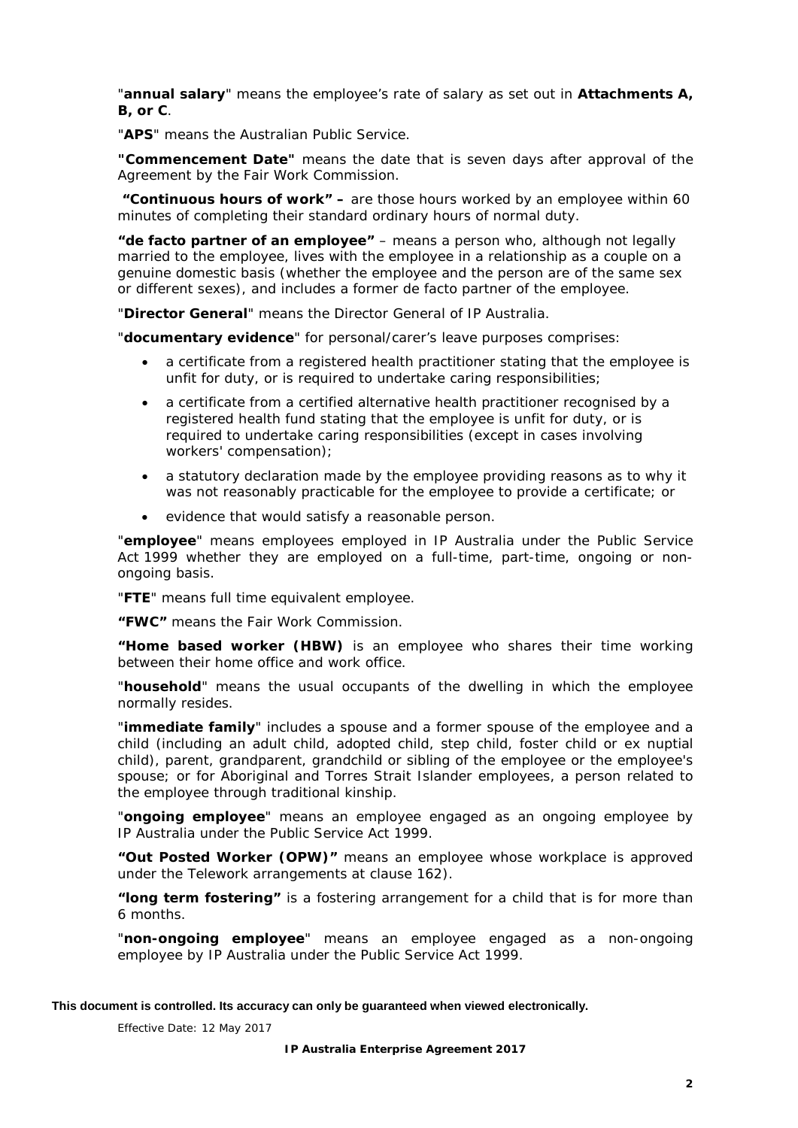"**annual salary**" means the employee's rate of salary as set out in **Attachments A, B, or C**.

"**APS**" means the Australian Public Service.

**"Commencement Date"** means the date that is seven days after approval of the Agreement by the Fair Work Commission.

**"Continuous hours of work" –** are those hours worked by an employee within 60 minutes of completing their standard ordinary hours of normal duty.

**"de facto partner of an employee"** – means a person who, although not legally married to the employee, lives with the employee in a relationship as a couple on a genuine domestic basis (whether the employee and the person are of the same sex or different sexes), and includes a former de facto partner of the employee.

"**Director General**" means the Director General of IP Australia.

"**documentary evidence**" for personal/carer's leave purposes comprises:

- a certificate from a registered health practitioner stating that the employee is unfit for duty, or is required to undertake caring responsibilities;
- a certificate from a certified alternative health practitioner recognised by a registered health fund stating that the employee is unfit for duty, or is required to undertake caring responsibilities (except in cases involving workers' compensation);
- a statutory declaration made by the employee providing reasons as to why it was not reasonably practicable for the employee to provide a certificate; or
- evidence that would satisfy a reasonable person.

"**employee**" means employees employed in IP Australia under the *Public Service Act 1999* whether they are employed on a full-time, part-time, ongoing or nonongoing basis.

"**FTE**" means full time equivalent employee.

**"FWC"** means the Fair Work Commission.

**"Home based worker (HBW)** is an employee who shares their time working between their home office and work office.

"**household**" means the usual occupants of the dwelling in which the employee normally resides.

"**immediate family**" includes a spouse and a former spouse of the employee and a child (including an adult child, adopted child, step child, foster child or ex nuptial child), parent, grandparent, grandchild or sibling of the employee or the employee's spouse; or for Aboriginal and Torres Strait Islander employees, a person related to the employee through traditional kinship.

"**ongoing employee**" means an employee engaged as an ongoing employee by IP Australia under the *Public Service Act 1999*.

**"Out Posted Worker (OPW)"** means an employee whose workplace is approved under the Telework arrangements at clause [162\).](#page-27-1)

**"long term fostering"** is a fostering arrangement for a child that is for more than 6 months.

"**non-ongoing employee**" means an employee engaged as a non-ongoing employee by IP Australia under the *Public Service Act 1999*.

#### **This document is controlled. Its accuracy can only be guaranteed when viewed electronically.**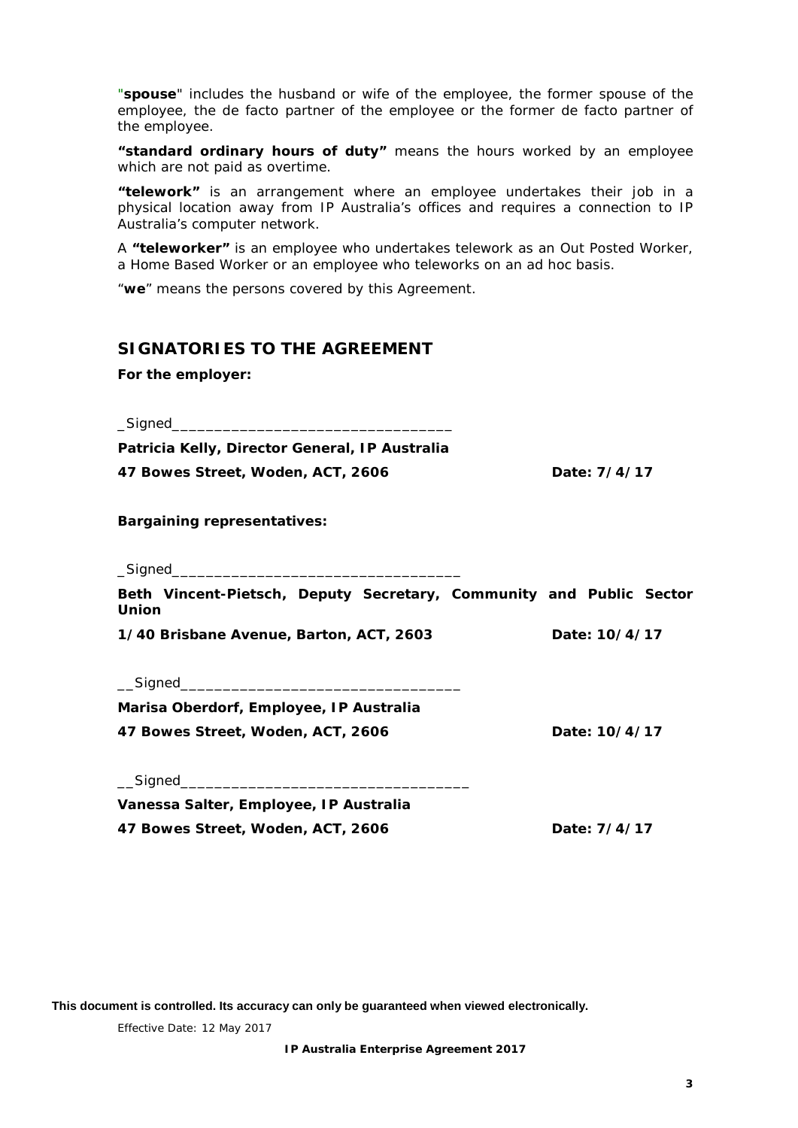"**spouse**" includes the husband or wife of the employee, the former spouse of the employee, the de facto partner of the employee or the former de facto partner of the employee.

**"standard ordinary hours of duty"** means the hours worked by an employee which are not paid as overtime.

**"telework"** is an arrangement where an employee undertakes their job in a physical location away from IP Australia's offices and requires a connection to IP Australia's computer network.

A **"teleworker"** is an employee who undertakes telework as an Out Posted Worker, a Home Based Worker or an employee who teleworks on an ad hoc basis.

"**we**" means the persons covered by this Agreement.

## <span id="page-7-0"></span>**SIGNATORIES TO THE AGREEMENT**

*For the employer:*

 $_$ 

**Patricia Kelly, Director General, IP Australia 47 Bowes Street, Woden, ACT, 2606 Date: 7/4/17**

*Bargaining representatives:*

 $\_$ Signed

**Beth Vincent-Pietsch, Deputy Secretary, Community and Public Sector Union**

**1/40 Brisbane Avenue, Barton, ACT, 2603 Date: 10/4/17**

 $\angle$ Signed $\angle$ 

**Marisa Oberdorf, Employee, IP Australia 47 Bowes Street, Woden, ACT, 2606 Date: 10/4/17**

 $\Box$ Signed

**Vanessa Salter, Employee, IP Australia 47 Bowes Street, Woden, ACT, 2606 Date: 7/4/17**

**This document is controlled. Its accuracy can only be guaranteed when viewed electronically.**

Effective Date: 12 May 2017

**IP Australia Enterprise Agreement 2017**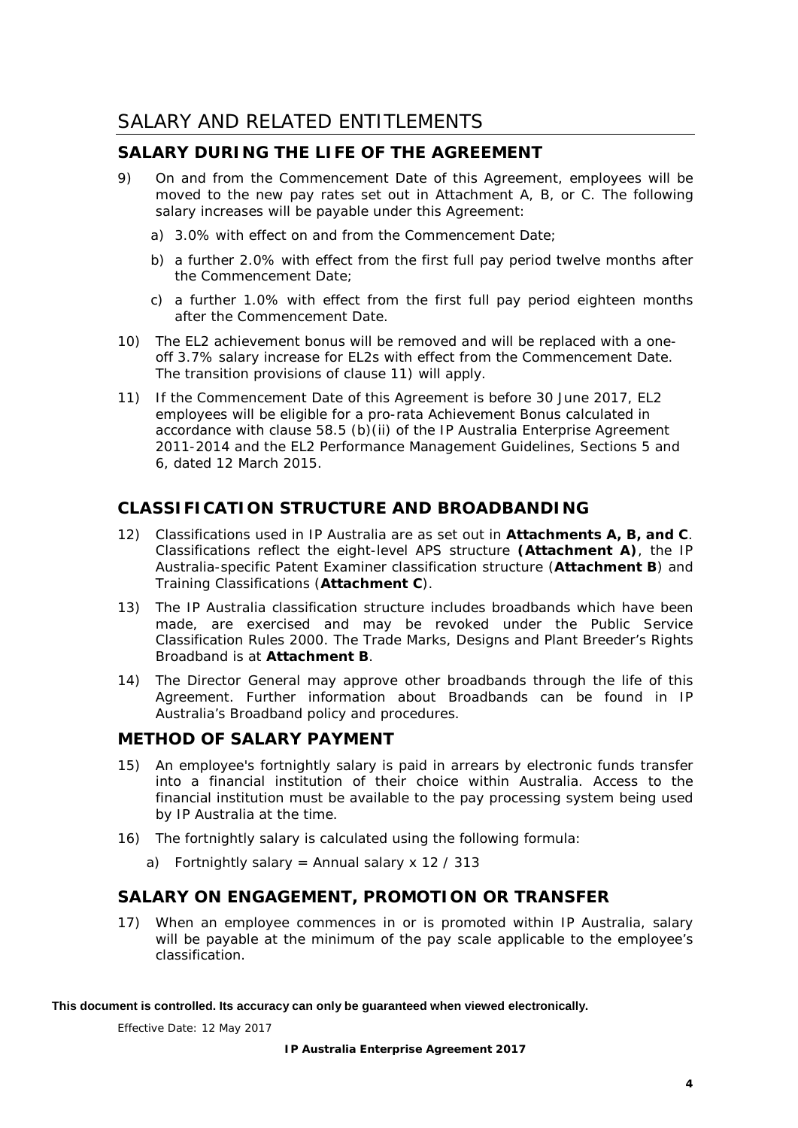## <span id="page-8-0"></span>**SALARY DURING THE LIFE OF THE AGREEMENT**

- 9) On and from the Commencement Date of this Agreement, employees will be moved to the new pay rates set out in Attachment A, B, or C. The following salary increases will be payable under this Agreement:
	- a) 3.0% with effect on and from the Commencement Date;
	- b) a further 2.0% with effect from the first full pay period twelve months after the Commencement Date;
	- c) a further 1.0% with effect from the first full pay period eighteen months after the Commencement Date.
- <span id="page-8-3"></span>10) The EL2 achievement bonus will be removed and will be replaced with a oneoff 3.7% salary increase for EL2s with effect from the Commencement Date. The transition provisions of clause [11\)](#page-8-2) will apply.
- <span id="page-8-2"></span>11) If the Commencement Date of this Agreement is before 30 June 2017, EL2 employees will be eligible for a pro-rata Achievement Bonus calculated in accordance with clause 58.5 (b)(ii) of the *IP Australia Enterprise Agreement 2011-2014* and the EL2 Performance Management Guidelines, Sections 5 and 6, dated 12 March 2015.

## **CLASSIFICATION STRUCTURE AND BROADBANDING**

- 12) Classifications used in IP Australia are as set out in **Attachments A, B, and C**. Classifications reflect the eight-level APS structure **(Attachment A)**, the IP Australia-specific Patent Examiner classification structure (**Attachment B**) and Training Classifications (**Attachment C**).
- 13) The IP Australia classification structure includes broadbands which have been made, are exercised and may be revoked under the *Public Service Classification Rules 2000*. The Trade Marks, Designs and Plant Breeder's Rights Broadband is at **Attachment B**.
- 14) The Director General may approve other broadbands through the life of this Agreement. Further information about Broadbands can be found in IP Australia's Broadband policy and procedures.

## **METHOD OF SALARY PAYMENT**

- 15) An employee's fortnightly salary is paid in arrears by electronic funds transfer into a financial institution of their choice within Australia. Access to the financial institution must be available to the pay processing system being used by IP Australia at the time.
- 16) The fortnightly salary is calculated using the following formula:
	- a) Fortnightly salary = Annual salary x 12 / 313

## <span id="page-8-1"></span>**SALARY ON ENGAGEMENT, PROMOTION OR TRANSFER**

17) When an employee commences in or is promoted within IP Australia, salary will be payable at the minimum of the pay scale applicable to the employee's classification.

#### **This document is controlled. Its accuracy can only be guaranteed when viewed electronically.**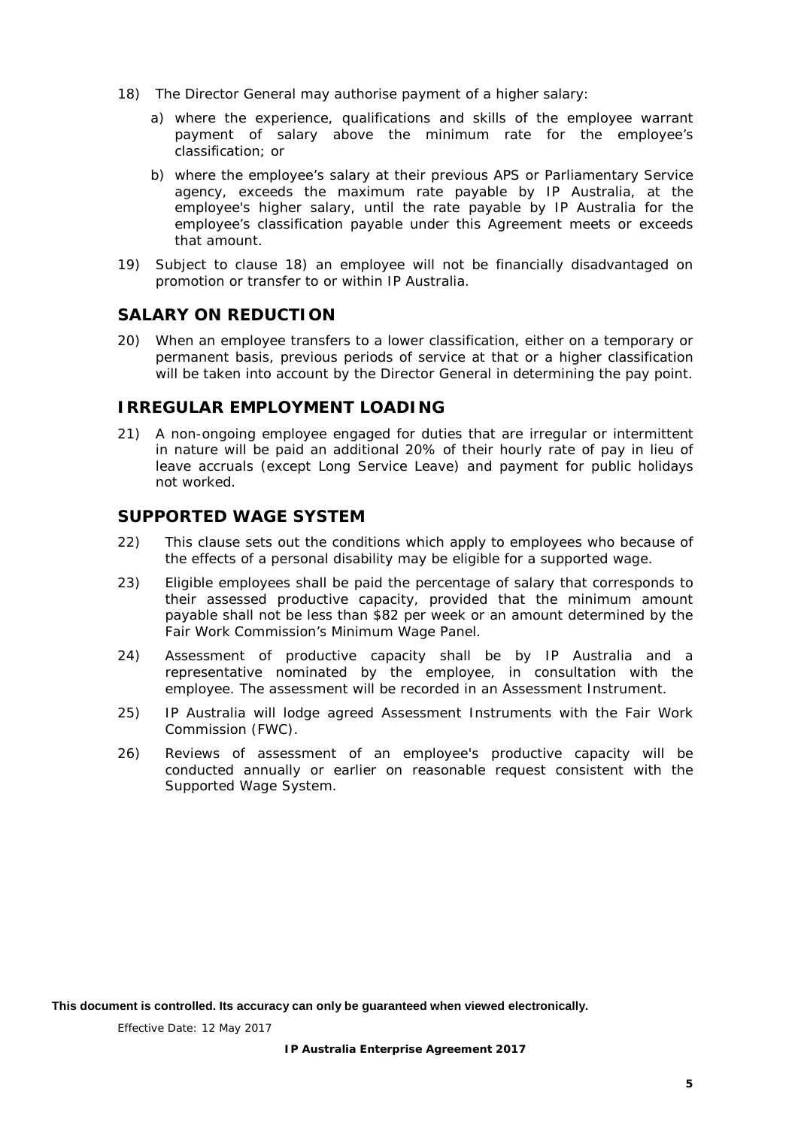- <span id="page-9-3"></span>18) The Director General may authorise payment of a higher salary:
	- a) where the experience, qualifications and skills of the employee warrant payment of salary above the minimum rate for the employee's classification; or
	- b) where the employee's salary at their previous APS or Parliamentary Service agency, exceeds the maximum rate payable by IP Australia, at the employee's higher salary, until the rate payable by IP Australia for the employee's classification payable under this Agreement meets or exceeds that amount.
- 19) Subject to clause [18\)](#page-9-3) an employee will not be financially disadvantaged on promotion or transfer to or within IP Australia.

## <span id="page-9-0"></span>**SALARY ON REDUCTION**

20) When an employee transfers to a lower classification, either on a temporary or permanent basis, previous periods of service at that or a higher classification will be taken into account by the Director General in determining the pay point.

## <span id="page-9-1"></span>**IRREGULAR EMPLOYMENT LOADING**

21) A non-ongoing employee engaged for duties that are irregular or intermittent in nature will be paid an additional 20% of their hourly rate of pay in lieu of leave accruals (except Long Service Leave) and payment for public holidays not worked.

## <span id="page-9-2"></span>**SUPPORTED WAGE SYSTEM**

- 22) This clause sets out the conditions which apply to employees who because of the effects of a personal disability may be eligible for a supported wage.
- <span id="page-9-4"></span>23) Eligible employees shall be paid the percentage of salary that corresponds to their assessed productive capacity, provided that the minimum amount payable shall not be less than \$82 per week or an amount determined by the Fair Work Commission's Minimum Wage Panel.
- 24) Assessment of productive capacity shall be by IP Australia and a representative nominated by the employee, in consultation with the employee. The assessment will be recorded in an *Assessment Instrument.*
- 25) IP Australia will lodge agreed *Assessment Instruments* with the Fair Work Commission (FWC).
- 26) Reviews of assessment of an employee's productive capacity will be conducted annually or earlier on reasonable request consistent with the Supported Wage System.

**This document is controlled. Its accuracy can only be guaranteed when viewed electronically.**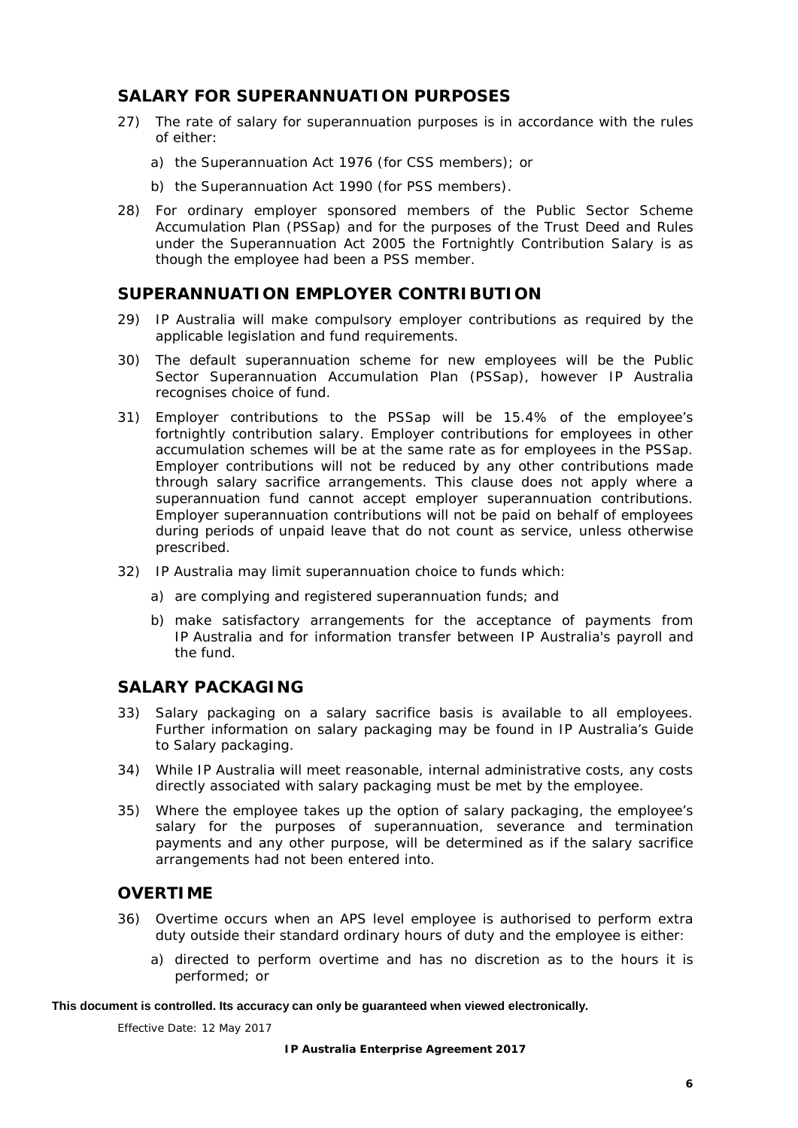## <span id="page-10-0"></span>**SALARY FOR SUPERANNUATION PURPOSES**

- 27) The rate of salary for superannuation purposes is in accordance with the rules of either:
	- a) the *Superannuation Act 1976* (for CSS members); or
	- b) the *Superannuation Act 1990* (for PSS members).
- 28) For ordinary employer sponsored members of the Public Sector Scheme Accumulation Plan (PSSap) and for the purposes of the Trust Deed and Rules under the *Superannuation Act 2005* the Fortnightly Contribution Salary is as though the employee had been a PSS member.

## <span id="page-10-1"></span>**SUPERANNUATION EMPLOYER CONTRIBUTION**

- 29) IP Australia will make compulsory employer contributions as required by the applicable legislation and fund requirements.
- 30) The default superannuation scheme for new employees will be the Public Sector Superannuation Accumulation Plan (PSSap), however IP Australia recognises choice of fund.
- 31) Employer contributions to the PSSap will be 15.4% of the employee's fortnightly contribution salary. Employer contributions for employees in other accumulation schemes will be at the same rate as for employees in the PSSap. Employer contributions will not be reduced by any other contributions made through salary sacrifice arrangements. This clause does not apply where a superannuation fund cannot accept employer superannuation contributions. Employer superannuation contributions will not be paid on behalf of employees during periods of unpaid leave that do not count as service, unless otherwise prescribed.
- 32) IP Australia may limit superannuation choice to funds which:
	- a) are complying and registered superannuation funds; and
	- b) make satisfactory arrangements for the acceptance of payments from IP Australia and for information transfer between IP Australia's payroll and the fund.

## <span id="page-10-2"></span>**SALARY PACKAGING**

- 33) Salary packaging on a salary sacrifice basis is available to all employees. Further information on salary packaging may be found in IP Australia's Guide to Salary packaging.
- 34) While IP Australia will meet reasonable, internal administrative costs, any costs directly associated with salary packaging must be met by the employee.
- 35) Where the employee takes up the option of salary packaging, the employee's salary for the purposes of superannuation, severance and termination payments and any other purpose, will be determined as if the salary sacrifice arrangements had not been entered into.

## <span id="page-10-3"></span>**OVERTIME**

- <span id="page-10-5"></span><span id="page-10-4"></span>36) Overtime occurs when an APS level employee is authorised to perform extra duty outside their standard ordinary hours of duty and the employee is either:
	- a) directed to perform overtime and has no discretion as to the hours it is performed; or

#### **This document is controlled. Its accuracy can only be guaranteed when viewed electronically.**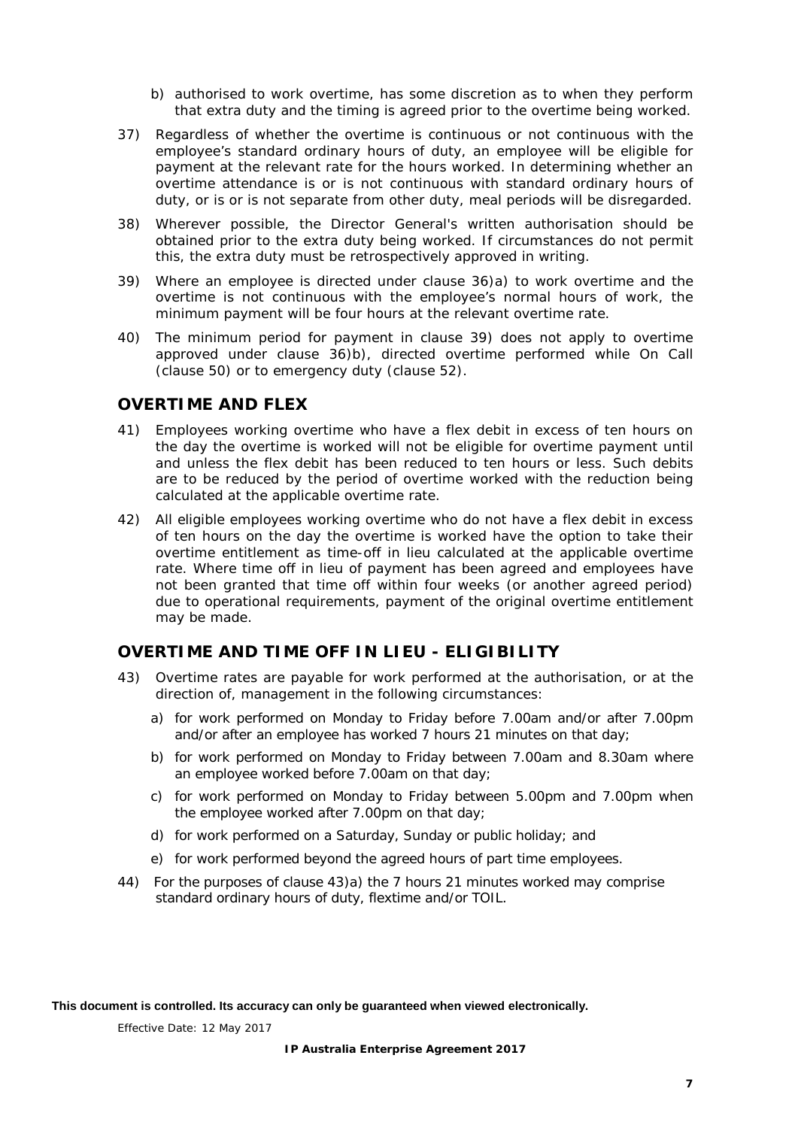- <span id="page-11-3"></span>b) authorised to work overtime, has some discretion as to when they perform that extra duty and the timing is agreed prior to the overtime being worked.
- 37) Regardless of whether the overtime is continuous or not continuous with the employee's standard ordinary hours of duty, an employee will be eligible for payment at the relevant rate for the hours worked. In determining whether an overtime attendance is or is not continuous with standard ordinary hours of duty, or is or is not separate from other duty, meal periods will be disregarded.
- 38) Wherever possible, the Director General's written authorisation should be obtained prior to the extra duty being worked. If circumstances do not permit this, the extra duty must be retrospectively approved in writing.
- <span id="page-11-2"></span>39) Where an employee is directed under clause [36\)a\)](#page-10-4) to work overtime and the overtime is not continuous with the employee's normal hours of work, the minimum payment will be four hours at the relevant overtime rate.
- 40) The minimum period for payment in clause [39\)](#page-11-2) does not apply to overtime approved under clause [36\)b\),](#page-11-3) directed overtime performed while On Call (clause [50\)](#page-12-3) or to emergency duty (clause [52\).](#page-13-3)

## <span id="page-11-0"></span>**OVERTIME AND FLEX**

- 41) Employees working overtime who have a flex debit in excess of ten hours on the day the overtime is worked will not be eligible for overtime payment until and unless the flex debit has been reduced to ten hours or less. Such debits are to be reduced by the period of overtime worked with the reduction being calculated at the applicable overtime rate.
- 42) All eligible employees working overtime who do not have a flex debit in excess of ten hours on the day the overtime is worked have the option to take their overtime entitlement as time-off in lieu calculated at the applicable overtime rate. Where time off in lieu of payment has been agreed and employees have not been granted that time off within four weeks (or another agreed period) due to operational requirements, payment of the original overtime entitlement may be made.

## <span id="page-11-1"></span>**OVERTIME AND TIME OFF IN LIEU - ELIGIBILITY**

- <span id="page-11-4"></span>43) Overtime rates are payable for work performed at the authorisation, or at the direction of, management in the following circumstances:
	- a) for work performed on Monday to Friday before 7.00am and/or after 7.00pm and/or after an employee has worked 7 hours 21 minutes on that day;
	- b) for work performed on Monday to Friday between 7.00am and 8.30am where an employee worked before 7.00am on that day;
	- c) for work performed on Monday to Friday between 5.00pm and 7.00pm when the employee worked after 7.00pm on that day;
	- d) for work performed on a Saturday, Sunday or public holiday; and
	- e) for work performed beyond the agreed hours of part time employees.
- 44) For the purposes of clause [43\)a\)](#page-11-4) the 7 hours 21 minutes worked may comprise standard ordinary hours of duty, flextime and/or TOIL.

**This document is controlled. Its accuracy can only be guaranteed when viewed electronically.**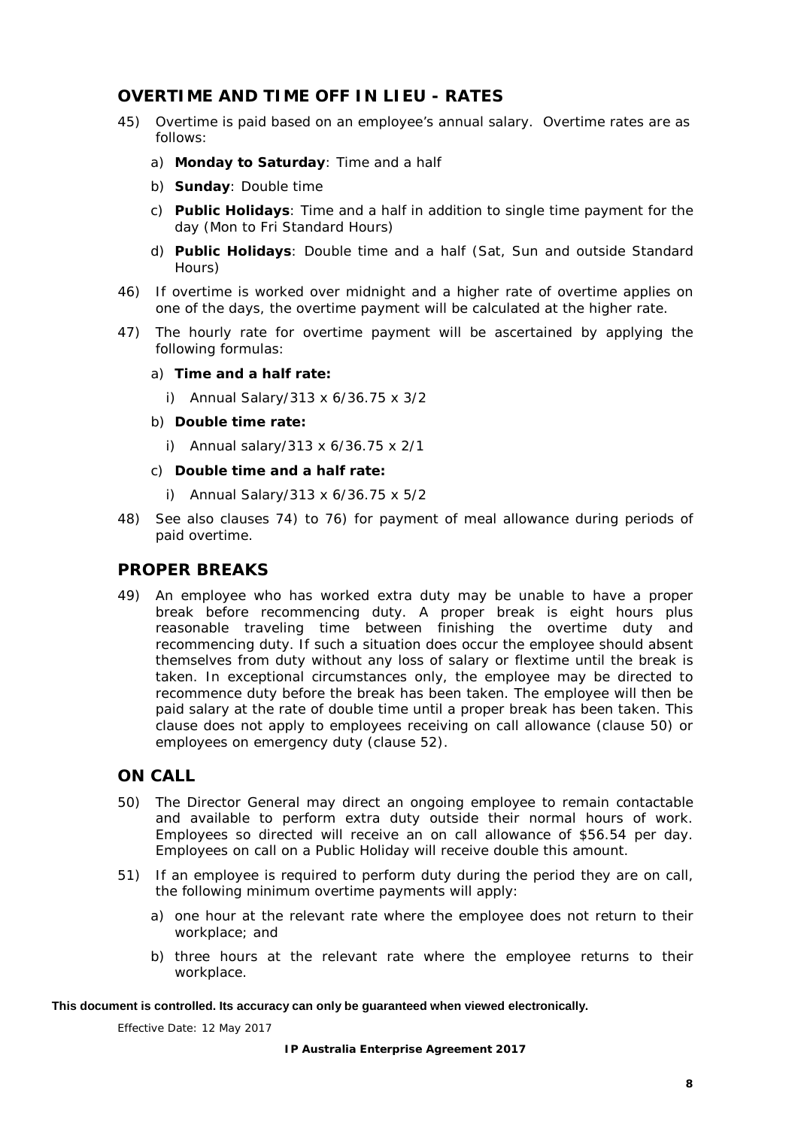## <span id="page-12-0"></span>**OVERTIME AND TIME OFF IN LIEU - RATES**

- 45) Overtime is paid based on an employee's annual salary. Overtime rates are as follows:
	- a) **Monday to Saturday**: Time and a half
	- b) **Sunday**: Double time
	- c) **Public Holidays**: Time and a half in addition to single time payment for the day (Mon to Fri Standard Hours)
	- d) **Public Holidays**: Double time and a half (Sat, Sun and outside Standard Hours)
- 46) If overtime is worked over midnight and a higher rate of overtime applies on one of the days, the overtime payment will be calculated at the higher rate.
- 47) The hourly rate for overtime payment will be ascertained by applying the following formulas:
	- a) **Time and a half rate:**
		- i) Annual Salary/313 x 6/36.75 x 3/2
	- b) **Double time rate:**
		- i) Annual salary/313 x 6/36.75 x 2/1
	- c) **Double time and a half rate:** 
		- i) Annual Salary/313 x 6/36.75 x 5/2
- 48) See also clauses [74\)](#page-15-3) to [76\)](#page-16-4) for payment of meal allowance during periods of paid overtime.

#### <span id="page-12-1"></span>**PROPER BREAKS**

49) An employee who has worked extra duty may be unable to have a proper break before recommencing duty. A proper break is eight hours plus reasonable traveling time between finishing the overtime duty and recommencing duty. If such a situation does occur the employee should absent themselves from duty without any loss of salary or flextime until the break is taken. In exceptional circumstances only, the employee may be directed to recommence duty before the break has been taken. The employee will then be paid salary at the rate of double time until a proper break has been taken. This clause does not apply to employees receiving on call allowance (clause [50\)](#page-12-3) or employees on emergency duty (clause [52\).](#page-13-3)

## <span id="page-12-2"></span>**ON CALL**

- <span id="page-12-3"></span>50) The Director General may direct an ongoing employee to remain contactable and available to perform extra duty outside their normal hours of work. Employees so directed will receive an on call allowance of \$56.54 per day. Employees on call on a Public Holiday will receive double this amount.
- 51) If an employee is required to perform duty during the period they are on call, the following minimum overtime payments will apply:
	- a) one hour at the relevant rate where the employee does not return to their workplace; and
	- b) three hours at the relevant rate where the employee returns to their workplace.

#### **This document is controlled. Its accuracy can only be guaranteed when viewed electronically.**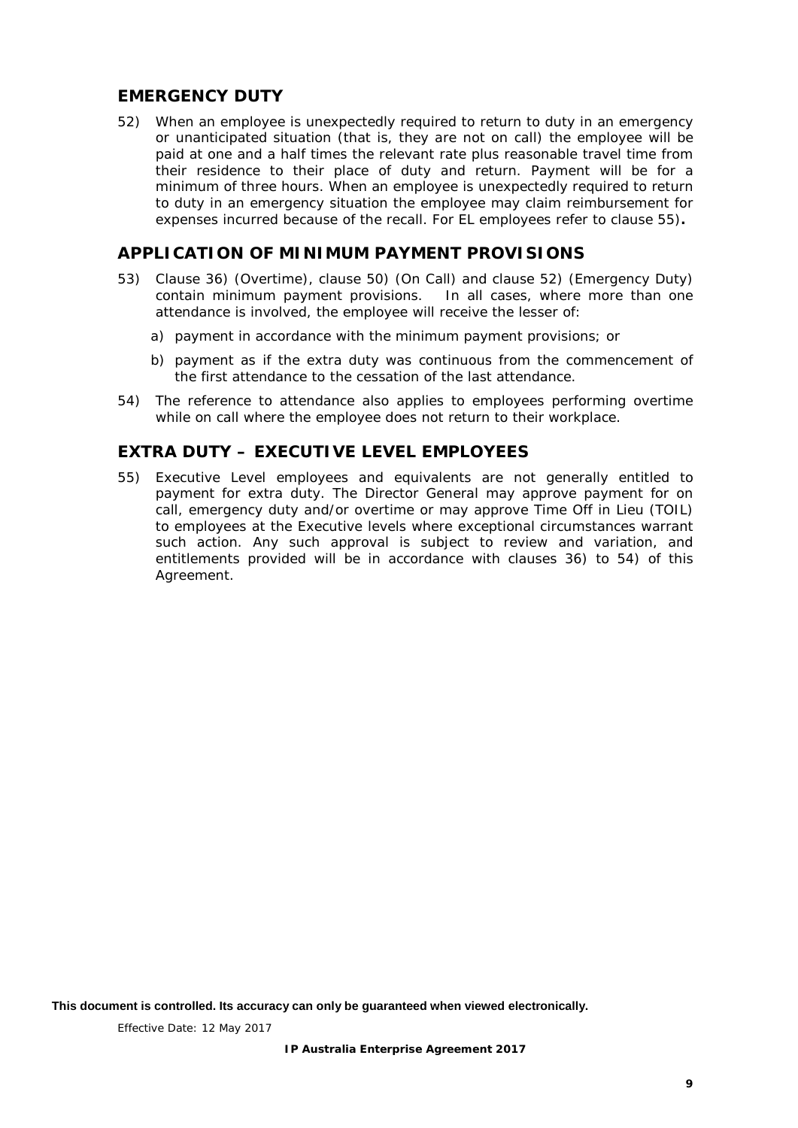## <span id="page-13-0"></span>**EMERGENCY DUTY**

<span id="page-13-3"></span>52) When an employee is unexpectedly required to return to duty in an emergency or unanticipated situation (that is, they are not on call) the employee will be paid at one and a half times the relevant rate plus reasonable travel time from their residence to their place of duty and return. Payment will be for a minimum of three hours. When an employee is unexpectedly required to return to duty in an emergency situation the employee may claim reimbursement for expenses incurred because of the recall. For EL employees refer to clause [55\)](#page-13-4)**.**

## <span id="page-13-1"></span>**APPLICATION OF MINIMUM PAYMENT PROVISIONS**

- 53) Clause [36\)](#page-10-5) (Overtime), clause [50\)](#page-12-3) (On Call) and clause [52\)](#page-13-3) (Emergency Duty) contain minimum payment provisions. In all cases, where more than one attendance is involved, the employee will receive the lesser of:
	- a) payment in accordance with the minimum payment provisions; or
	- b) payment as if the extra duty was continuous from the commencement of the first attendance to the cessation of the last attendance.
- <span id="page-13-5"></span>54) The reference to attendance also applies to employees performing overtime while on call where the employee does not return to their workplace.

## <span id="page-13-2"></span>**EXTRA DUTY – EXECUTIVE LEVEL EMPLOYEES**

<span id="page-13-4"></span>55) Executive Level employees and equivalents are not generally entitled to payment for extra duty. The Director General may approve payment for on call, emergency duty and/or overtime or may approve Time Off in Lieu (TOIL) to employees at the Executive levels where exceptional circumstances warrant such action. Any such approval is subject to review and variation, and entitlements provided will be in accordance with clauses [36\)](#page-10-5) to [54\)](#page-13-5) of this Agreement.

**This document is controlled. Its accuracy can only be guaranteed when viewed electronically.**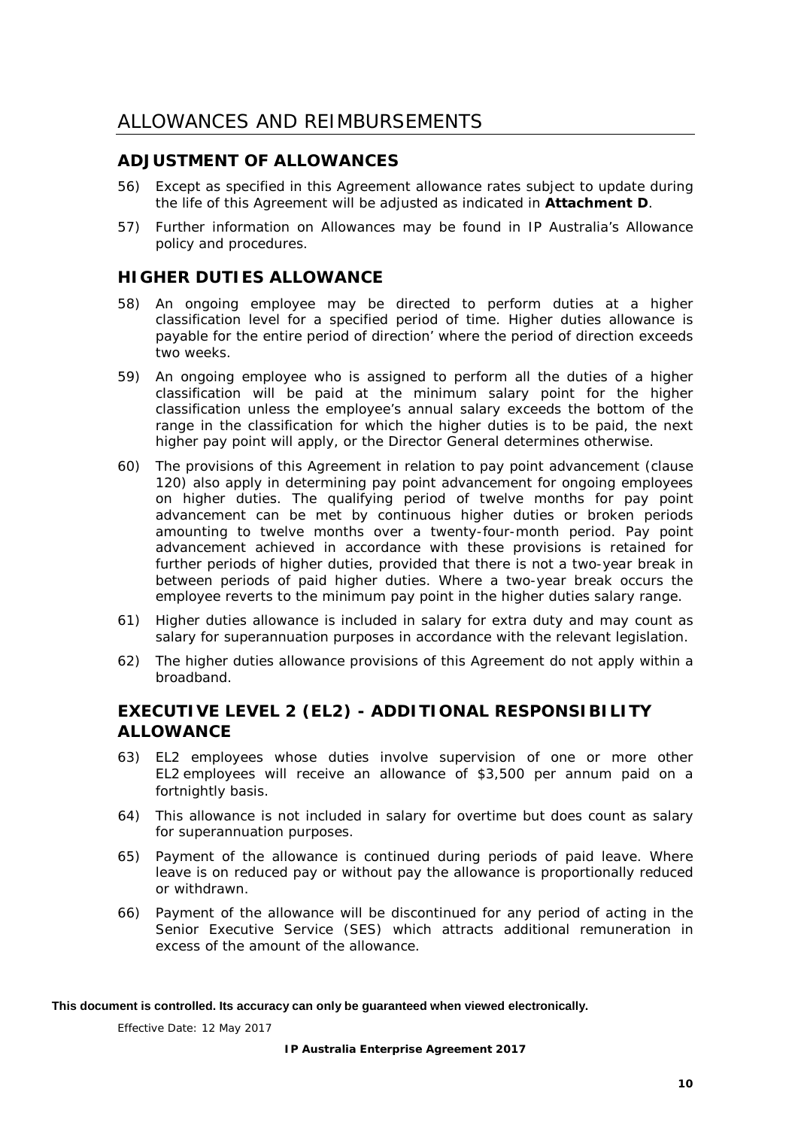## <span id="page-14-1"></span><span id="page-14-0"></span>**ADJUSTMENT OF ALLOWANCES**

- 56) Except as specified in this Agreement allowance rates subject to update during the life of this Agreement will be adjusted as indicated in **Attachment D**.
- 57) Further information on Allowances may be found in IP Australia's *Allowance policy and procedures.*

## <span id="page-14-2"></span>**HIGHER DUTIES ALLOWANCE**

- 58) An ongoing employee may be directed to perform duties at a higher classification level for a specified period of time. Higher duties allowance is payable for the entire period of direction' where the period of direction exceeds two weeks.
- 59) An ongoing employee who is assigned to perform all the duties of a higher classification will be paid at the minimum salary point for the higher classification unless the employee's annual salary exceeds the bottom of the range in the classification for which the higher duties is to be paid, the next higher pay point will apply, or the Director General determines otherwise.
- 60) The provisions of this Agreement in relation to pay point advancement (clause [120\)](#page-22-3) also apply in determining pay point advancement for ongoing employees on higher duties. The qualifying period of twelve months for pay point advancement can be met by continuous higher duties or broken periods amounting to twelve months over a twenty-four-month period. Pay point advancement achieved in accordance with these provisions is retained for further periods of higher duties, provided that there is not a two-year break in between periods of paid higher duties. Where a two-year break occurs the employee reverts to the minimum pay point in the higher duties salary range.
- 61) Higher duties allowance is included in salary for extra duty and may count as salary for superannuation purposes in accordance with the relevant legislation.
- 62) The higher duties allowance provisions of this Agreement do not apply within a broadband.

## <span id="page-14-3"></span>**EXECUTIVE LEVEL 2 (EL2) - ADDITIONAL RESPONSIBILITY ALLOWANCE**

- 63) EL2 employees whose duties involve supervision of one or more other EL2 employees will receive an allowance of \$3,500 per annum paid on a fortnightly basis.
- 64) This allowance is not included in salary for overtime but does count as salary for superannuation purposes.
- 65) Payment of the allowance is continued during periods of paid leave. Where leave is on reduced pay or without pay the allowance is proportionally reduced or withdrawn.
- 66) Payment of the allowance will be discontinued for any period of acting in the Senior Executive Service (SES) which attracts additional remuneration in excess of the amount of the allowance.

#### **This document is controlled. Its accuracy can only be guaranteed when viewed electronically.**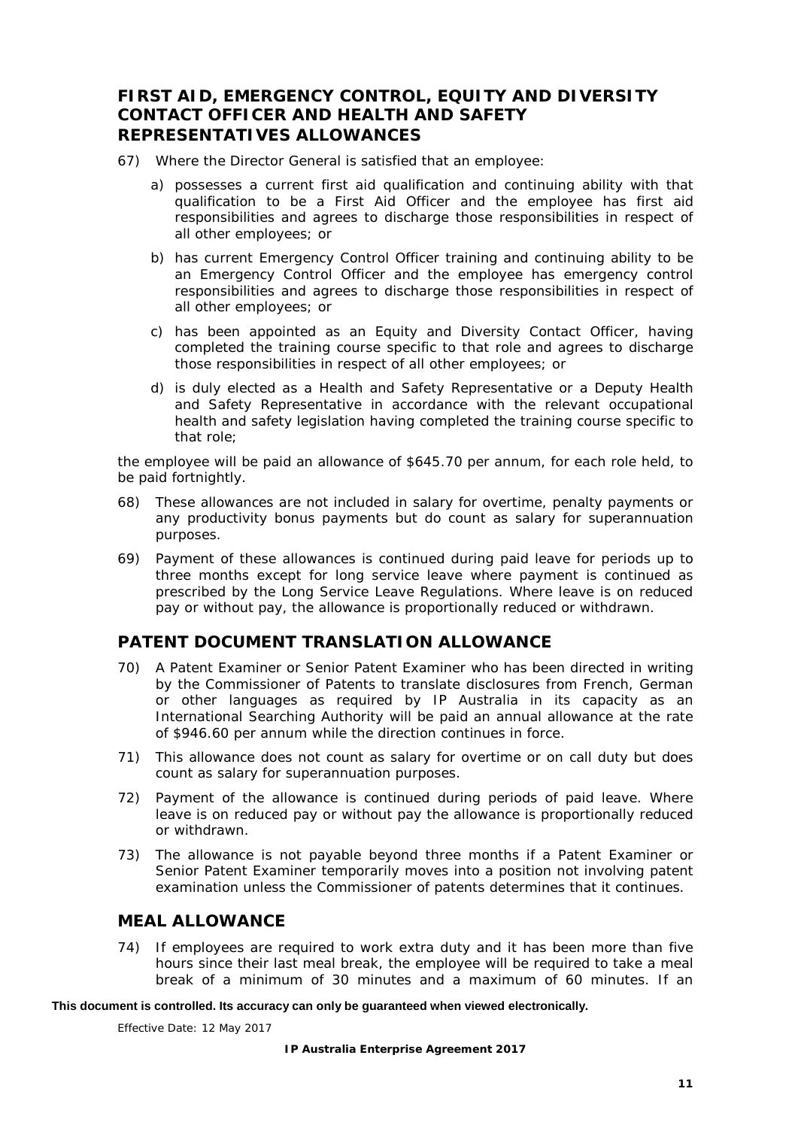## <span id="page-15-0"></span>**FIRST AID, EMERGENCY CONTROL, EQUITY AND DIVERSITY CONTACT OFFICER AND HEALTH AND SAFETY REPRESENTATIVES ALLOWANCES**

- <span id="page-15-4"></span>67) Where the Director General is satisfied that an employee:
	- a) possesses a current first aid qualification and continuing ability with that qualification to be a First Aid Officer and the employee has first aid responsibilities and agrees to discharge those responsibilities in respect of all other employees; or
	- b) has current Emergency Control Officer training and continuing ability to be an Emergency Control Officer and the employee has emergency control responsibilities and agrees to discharge those responsibilities in respect of all other employees; or
	- c) has been appointed as an Equity and Diversity Contact Officer, having completed the training course specific to that role and agrees to discharge those responsibilities in respect of all other employees; or
	- d) is duly elected as a Health and Safety Representative or a Deputy Health and Safety Representative in accordance with the relevant occupational health and safety legislation having completed the training course specific to that role;

the employee will be paid an allowance of \$645.70 per annum, for each role held, to be paid fortnightly.

- 68) These allowances are not included in salary for overtime, penalty payments or any productivity bonus payments but do count as salary for superannuation purposes.
- 69) Payment of these allowances is continued during paid leave for periods up to three months except for long service leave where payment is continued as prescribed by the *Long Service Leave Regulations*. Where leave is on reduced pay or without pay, the allowance is proportionally reduced or withdrawn.

## <span id="page-15-1"></span>**PATENT DOCUMENT TRANSLATION ALLOWANCE**

- <span id="page-15-5"></span>70) A Patent Examiner or Senior Patent Examiner who has been directed in writing by the Commissioner of Patents to translate disclosures from French, German or other languages as required by IP Australia in its capacity as an International Searching Authority will be paid an annual allowance at the rate of \$946.60 per annum while the direction continues in force.
- 71) This allowance does not count as salary for overtime or on call duty but does count as salary for superannuation purposes.
- 72) Payment of the allowance is continued during periods of paid leave. Where leave is on reduced pay or without pay the allowance is proportionally reduced or withdrawn.
- 73) The allowance is not payable beyond three months if a Patent Examiner or Senior Patent Examiner temporarily moves into a position not involving patent examination unless the Commissioner of patents determines that it continues.

## <span id="page-15-2"></span>**MEAL ALLOWANCE**

<span id="page-15-3"></span>74) If employees are required to work extra duty and it has been more than five hours since their last meal break, the employee will be required to take a meal break of a minimum of 30 minutes and a maximum of 60 minutes. If an

#### **This document is controlled. Its accuracy can only be guaranteed when viewed electronically.**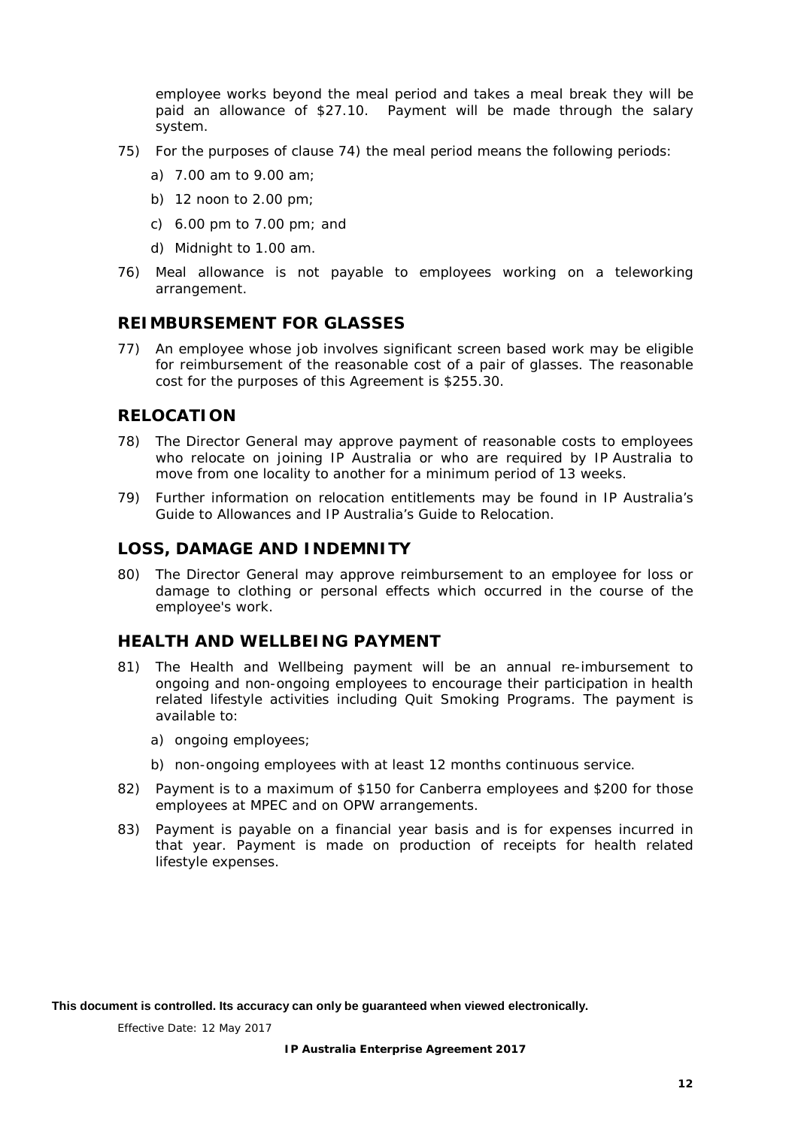employee works beyond the meal period and takes a meal break they will be paid an allowance of \$27.10. Payment will be made through the salary system.

- 75) For the purposes of clause [74\)](#page-15-3) the meal period means the following periods:
	- a) 7.00 am to 9.00 am;
	- b) 12 noon to 2.00 pm;
	- c) 6.00 pm to 7.00 pm; and
	- d) Midnight to 1.00 am.
- <span id="page-16-4"></span>76) Meal allowance is not payable to employees working on a teleworking arrangement.

#### <span id="page-16-0"></span>**REIMBURSEMENT FOR GLASSES**

<span id="page-16-6"></span>77) An employee whose job involves significant screen based work may be eligible for reimbursement of the reasonable cost of a pair of glasses. The reasonable cost for the purposes of this Agreement is \$255.30.

## <span id="page-16-1"></span>**RELOCATION**

- <span id="page-16-5"></span>78) The Director General may approve payment of reasonable costs to employees who relocate on joining IP Australia or who are required by IP Australia to move from one locality to another for a minimum period of 13 weeks.
- 79) Further information on relocation entitlements may be found in IP Australia's *Guide to Allowances* and IP Australia's *Guide to Relocation.*

## <span id="page-16-2"></span>**LOSS, DAMAGE AND INDEMNITY**

80) The Director General may approve reimbursement to an employee for loss or damage to clothing or personal effects which occurred in the course of the employee's work.

## <span id="page-16-3"></span>**HEALTH AND WELLBEING PAYMENT**

- 81) The Health and Wellbeing payment will be an annual re-imbursement to ongoing and non-ongoing employees to encourage their participation in health related lifestyle activities including Quit Smoking Programs. The payment is available to:
	- a) ongoing employees;
	- b) non-ongoing employees with at least 12 months continuous service.
- 82) Payment is to a maximum of \$150 for Canberra employees and \$200 for those employees at MPEC and on OPW arrangements.
- 83) Payment is payable on a financial year basis and is for expenses incurred in that year. Payment is made on production of receipts for health related lifestyle expenses.

**This document is controlled. Its accuracy can only be guaranteed when viewed electronically.**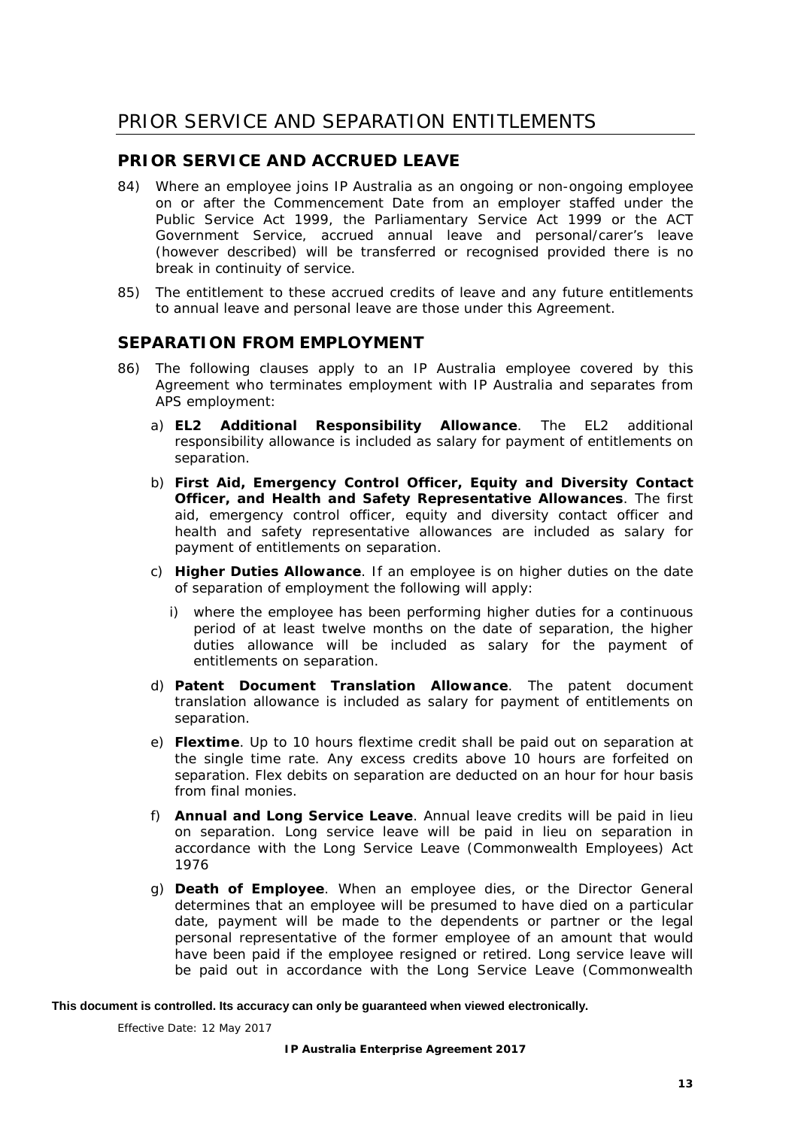## <span id="page-17-1"></span><span id="page-17-0"></span>**PRIOR SERVICE AND ACCRUED LEAVE**

- 84) Where an employee joins IP Australia as an ongoing or non-ongoing employee on or after the Commencement Date from an employer staffed under the *Public Service Act 1999*, the *Parliamentary Service Act 1999* or the ACT Government Service, accrued annual leave and personal/carer's leave (however described) will be transferred or recognised provided there is no break in continuity of service.
- 85) The entitlement to these accrued credits of leave and any future entitlements to annual leave and personal leave are those under this Agreement.

## <span id="page-17-2"></span>**SEPARATION FROM EMPLOYMENT**

- 86) The following clauses apply to an IP Australia employee covered by this Agreement who terminates employment with IP Australia and separates from APS employment:
	- a) **EL2 Additional Responsibility Allowance**. The EL2 additional responsibility allowance is included as salary for payment of entitlements on separation.
	- b) **First Aid, Emergency Control Officer, Equity and Diversity Contact Officer, and Health and Safety Representative Allowances**. The first aid, emergency control officer, equity and diversity contact officer and health and safety representative allowances are included as salary for payment of entitlements on separation.
	- c) **Higher Duties Allowance**. If an employee is on higher duties on the date of separation of employment the following will apply:
		- i) where the employee has been performing higher duties for a continuous period of at least twelve months on the date of separation, the higher duties allowance will be included as salary for the payment of entitlements on separation.
	- d) **Patent Document Translation Allowance**. The patent document translation allowance is included as salary for payment of entitlements on separation.
	- e) **Flextime**. Up to 10 hours flextime credit shall be paid out on separation at the single time rate. Any excess credits above 10 hours are forfeited on separation. Flex debits on separation are deducted on an hour for hour basis from final monies.
	- f) **Annual and Long Service Leave**. Annual leave credits will be paid in lieu on separation. Long service leave will be paid in lieu on separation in accordance with the *Long Service Leave (Commonwealth Employees) Act 1976*
	- g) **Death of Employee**. When an employee dies, or the Director General determines that an employee will be presumed to have died on a particular date, payment will be made to the dependents or partner or the legal personal representative of the former employee of an amount that would have been paid if the employee resigned or retired. Long service leave will be paid out in accordance with the *Long Service Leave (Commonwealth*

#### **This document is controlled. Its accuracy can only be guaranteed when viewed electronically.**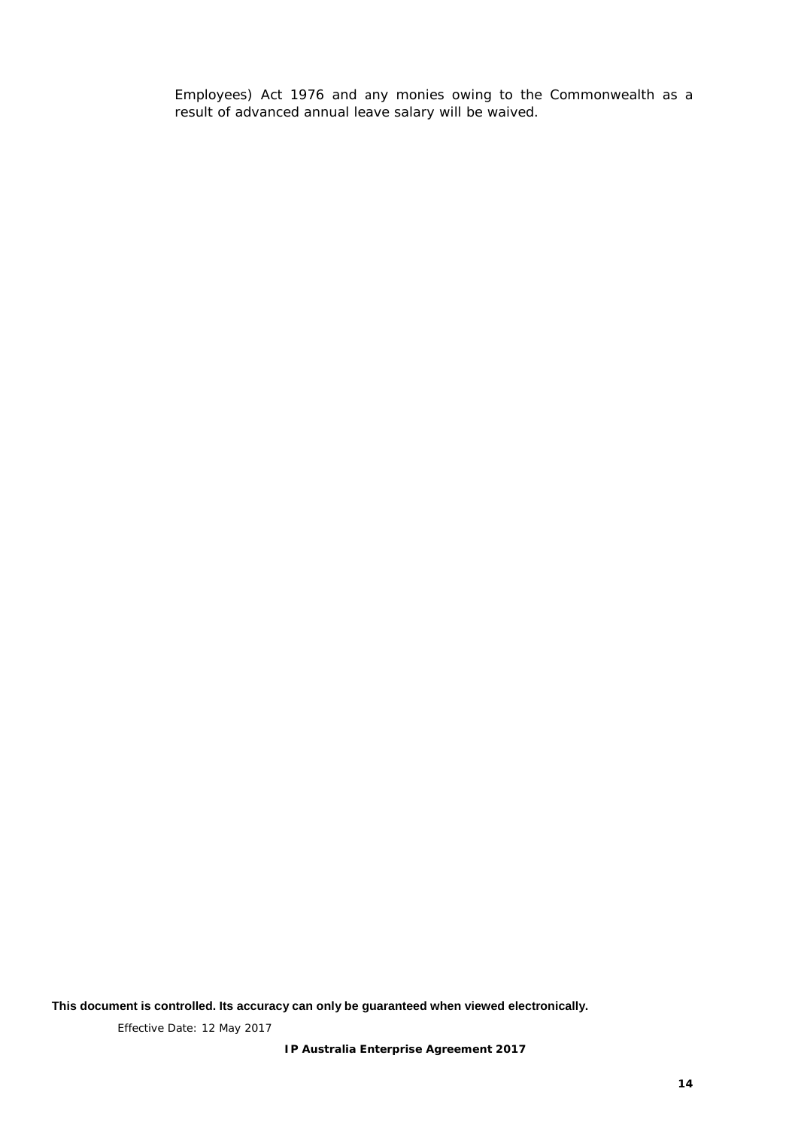*Employees) Act 1976* and any monies owing to the Commonwealth as a result of advanced annual leave salary will be waived.

**This document is controlled. Its accuracy can only be guaranteed when viewed electronically.**

Effective Date: 12 May 2017

**IP Australia Enterprise Agreement 2017**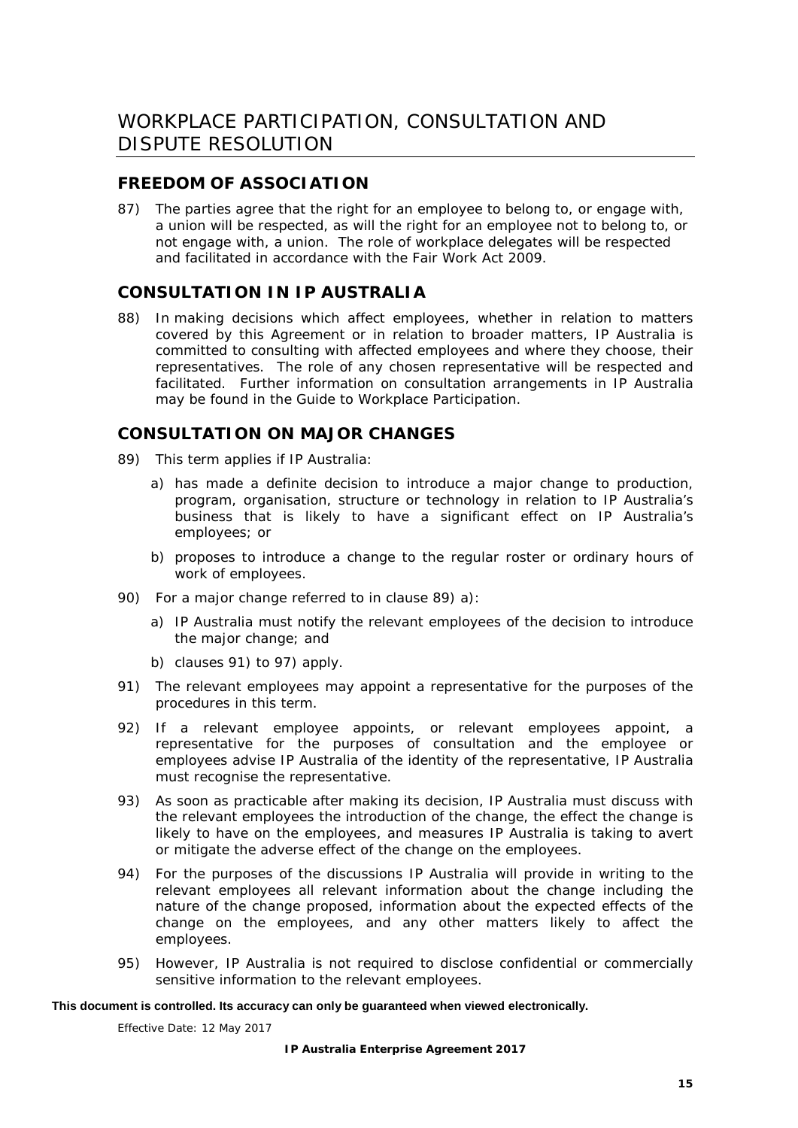## <span id="page-19-1"></span><span id="page-19-0"></span>**FREEDOM OF ASSOCIATION**

87) The parties agree that the right for an employee to belong to, or engage with, a union will be respected, as will the right for an employee not to belong to, or not engage with, a union. The role of workplace delegates will be respected and facilitated in accordance with the *Fair Work Act 2009.*

## <span id="page-19-2"></span>**CONSULTATION IN IP AUSTRALIA**

88) In making decisions which affect employees, whether in relation to matters covered by this Agreement or in relation to broader matters, IP Australia is committed to consulting with affected employees and where they choose, their representatives. The role of any chosen representative will be respected and facilitated. Further information on consultation arrangements in IP Australia may be found in the *Guide to Workplace Participation.*

## <span id="page-19-3"></span>**CONSULTATION ON MAJOR CHANGES**

- <span id="page-19-4"></span>89) This term applies if IP Australia:
	- a) has made a definite decision to introduce a major change to production, program, organisation, structure or technology in relation to IP Australia's business that is likely to have a significant effect on IP Australia's employees; or
	- b) proposes to introduce a change to the regular roster or ordinary hours of work of employees.
- 90) For a major change referred to in clause [89\)](#page-19-4) a):
	- a) IP Australia must notify the relevant employees of the decision to introduce the major change; and
	- b) clauses [91\)](#page-19-5) to [97\)](#page-20-1) apply.
- <span id="page-19-5"></span>91) The relevant employees may appoint a representative for the purposes of the procedures in this term.
- 92) If a relevant employee appoints, or relevant employees appoint, a representative for the purposes of consultation and the employee or employees advise IP Australia of the identity of the representative, IP Australia must recognise the representative.
- 93) As soon as practicable after making its decision, IP Australia must discuss with the relevant employees the introduction of the change, the effect the change is likely to have on the employees, and measures IP Australia is taking to avert or mitigate the adverse effect of the change on the employees.
- 94) For the purposes of the discussions IP Australia will provide in writing to the relevant employees all relevant information about the change including the nature of the change proposed, information about the expected effects of the change on the employees, and any other matters likely to affect the employees.
- 95) However, IP Australia is not required to disclose confidential or commercially sensitive information to the relevant employees.

#### **This document is controlled. Its accuracy can only be guaranteed when viewed electronically.**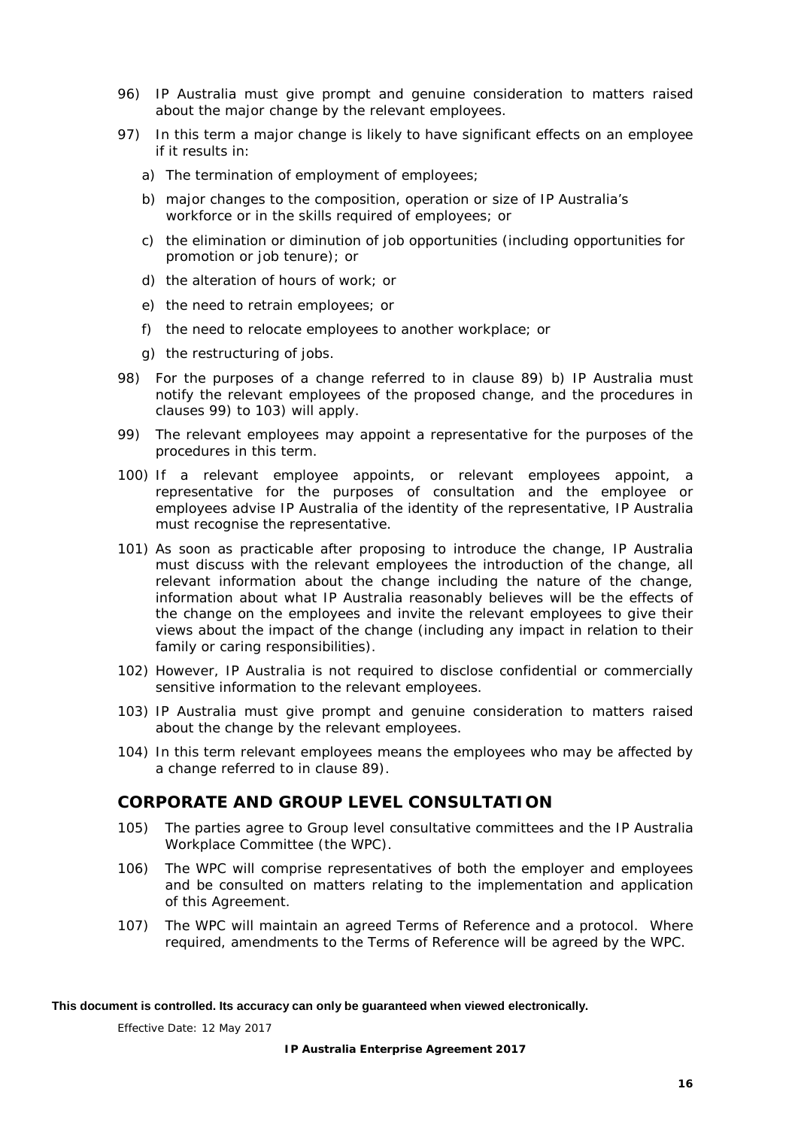- 96) IP Australia must give prompt and genuine consideration to matters raised about the major change by the relevant employees.
- <span id="page-20-1"></span>97) In this term a major change is likely to have significant effects on an employee if it results in:
	- a) The termination of employment of employees;
	- b) major changes to the composition, operation or size of IP Australia's workforce or in the skills required of employees; or
	- c) the elimination or diminution of job opportunities (including opportunities for promotion or job tenure); or
	- d) the alteration of hours of work; or
	- e) the need to retrain employees; or
	- f) the need to relocate employees to another workplace; or
	- g) the restructuring of jobs.
- 98) For the purposes of a change referred to in clause [89\)](#page-19-4) b) IP Australia must notify the relevant employees of the proposed change, and the procedures in clauses [99\)](#page-20-2) to [103\)](#page-20-3) will apply.
- <span id="page-20-2"></span>99) The relevant employees may appoint a representative for the purposes of the procedures in this term.
- 100) If a relevant employee appoints, or relevant employees appoint, a representative for the purposes of consultation and the employee or employees advise IP Australia of the identity of the representative, IP Australia must recognise the representative.
- 101) As soon as practicable after proposing to introduce the change, IP Australia must discuss with the relevant employees the introduction of the change, all relevant information about the change including the nature of the change, information about what IP Australia reasonably believes will be the effects of the change on the employees and invite the relevant employees to give their views about the impact of the change (including any impact in relation to their family or caring responsibilities).
- 102) However, IP Australia is not required to disclose confidential or commercially sensitive information to the relevant employees.
- <span id="page-20-3"></span>103) IP Australia must give prompt and genuine consideration to matters raised about the change by the relevant employees.
- 104) In this term *relevant employees* means the employees who may be affected by a change referred to in clause [89\).](#page-19-4)

## <span id="page-20-0"></span>**CORPORATE AND GROUP LEVEL CONSULTATION**

- 105) The parties agree to Group level consultative committees and the IP Australia Workplace Committee (the WPC).
- 106) The WPC will comprise representatives of both the employer and employees and be consulted on matters relating to the implementation and application of this Agreement.
- 107) The WPC will maintain an agreed Terms of Reference and a protocol. Where required, amendments to the Terms of Reference will be agreed by the WPC.

#### **This document is controlled. Its accuracy can only be guaranteed when viewed electronically.**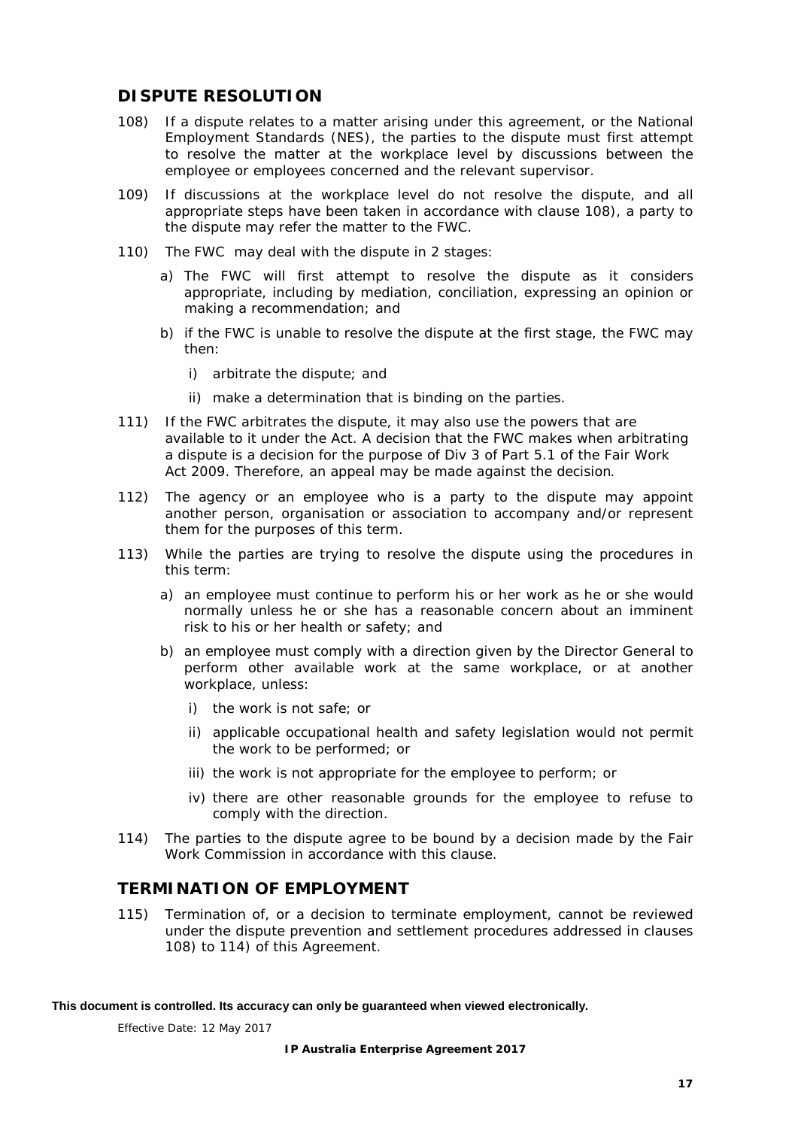## <span id="page-21-0"></span>**DISPUTE RESOLUTION**

- <span id="page-21-2"></span>108) If a dispute relates to a matter arising under this agreement, or the National Employment Standards (NES), the parties to the dispute must first attempt to resolve the matter at the workplace level by discussions between the employee or employees concerned and the relevant supervisor.
- 109) If discussions at the workplace level do not resolve the dispute, and all appropriate steps have been taken in accordance with clause [108\),](#page-21-2) a party to the dispute may refer the matter to the FWC.
- 110) The FWC may deal with the dispute in 2 stages:
	- a) The FWC will first attempt to resolve the dispute as it considers appropriate, including by mediation, conciliation, expressing an opinion or making a recommendation; and
	- b) if the FWC is unable to resolve the dispute at the first stage, the FWC may then:
		- i) arbitrate the dispute; and
		- ii) make a determination that is binding on the parties.
- 111) If the FWC arbitrates the dispute, it may also use the powers that are available to it under the Act. A decision that the FWC makes when arbitrating a dispute is a decision for the purpose of Div 3 of Part 5.1 of the *Fair Work Act 2009*. Therefore, an appeal may be made against the decision*.*
- 112) The agency or an employee who is a party to the dispute may appoint another person, organisation or association to accompany and/or represent them for the purposes of this term.
- 113) While the parties are trying to resolve the dispute using the procedures in this term:
	- a) an employee must continue to perform his or her work as he or she would normally unless he or she has a reasonable concern about an imminent risk to his or her health or safety; and
	- b) an employee must comply with a direction given by the Director General to perform other available work at the same workplace, or at another workplace, unless:
		- i) the work is not safe; or
		- ii) applicable occupational health and safety legislation would not permit the work to be performed; or
		- iii) the work is not appropriate for the employee to perform; or
		- iv) there are other reasonable grounds for the employee to refuse to comply with the direction.
- <span id="page-21-3"></span>114) The parties to the dispute agree to be bound by a decision made by the Fair Work Commission in accordance with this clause.

## <span id="page-21-1"></span>**TERMINATION OF EMPLOYMENT**

<span id="page-21-4"></span>115) Termination of, or a decision to terminate employment, cannot be reviewed under the dispute prevention and settlement procedures addressed in clauses [108\)](#page-21-2) to [114\)](#page-21-3) of this Agreement.

**This document is controlled. Its accuracy can only be guaranteed when viewed electronically.**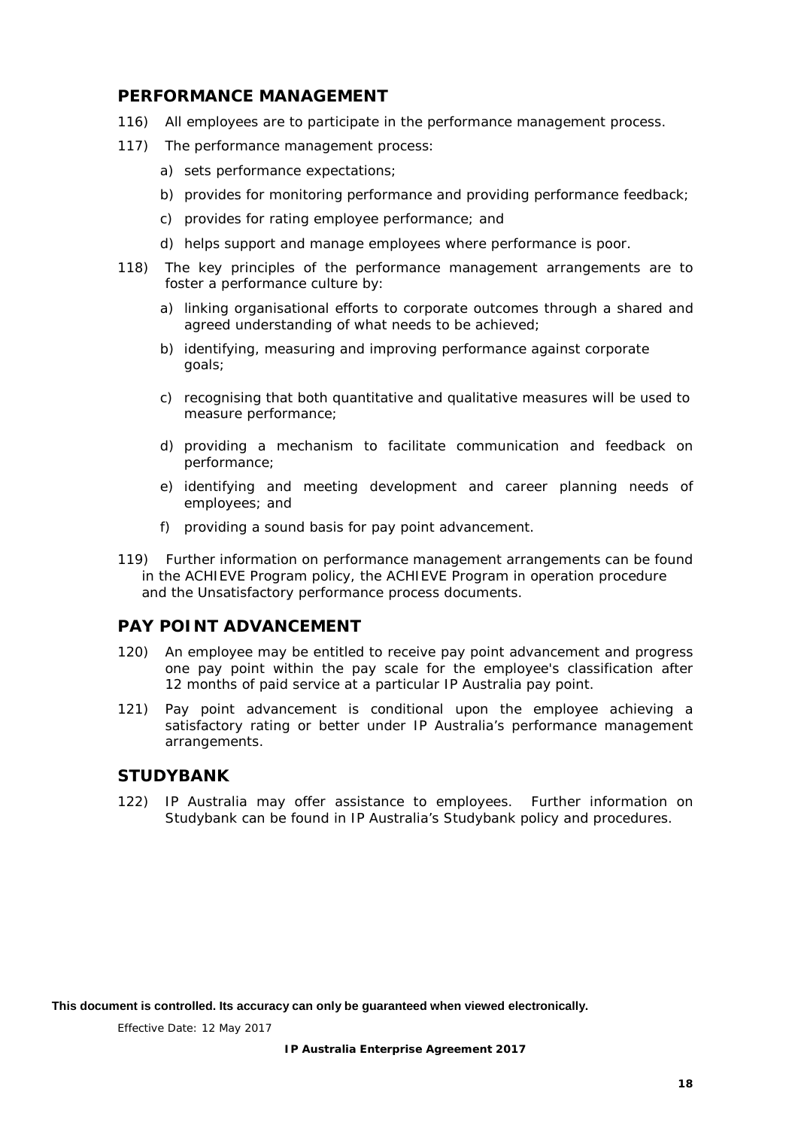## <span id="page-22-0"></span>**PERFORMANCE MANAGEMENT**

- 116) All employees are to participate in the performance management process.
- 117) The performance management process:
	- a) sets performance expectations;
	- b) provides for monitoring performance and providing performance feedback;
	- c) provides for rating employee performance; and
	- d) helps support and manage employees where performance is poor.
- 118) The key principles of the performance management arrangements are to foster a performance culture by:
	- a) linking organisational efforts to corporate outcomes through a shared and agreed understanding of what needs to be achieved;
	- b) identifying, measuring and improving performance against corporate goals;
	- c) recognising that both quantitative and qualitative measures will be used to measure performance;
	- d) providing a mechanism to facilitate communication and feedback on performance;
	- e) identifying and meeting development and career planning needs of employees; and
	- f) providing a sound basis for pay point advancement.
- 119) Further information on performance management arrangements can be found in the *ACHIEVE Program policy*, the *ACHIEVE Program in operation procedure* and the *Unsatisfactory performance process* documents.

## <span id="page-22-1"></span>**PAY POINT ADVANCEMENT**

- <span id="page-22-3"></span>120) An employee may be entitled to receive pay point advancement and progress one pay point within the pay scale for the employee's classification after 12 months of paid service at a particular IP Australia pay point.
- 121) Pay point advancement is conditional upon the employee achieving a satisfactory rating or better under IP Australia's performance management arrangements.

## <span id="page-22-2"></span>**STUDYBANK**

122) IP Australia may offer assistance to employees. Further information on Studybank can be found in IP Australia's *Studybank policy and procedures*.

**This document is controlled. Its accuracy can only be guaranteed when viewed electronically.**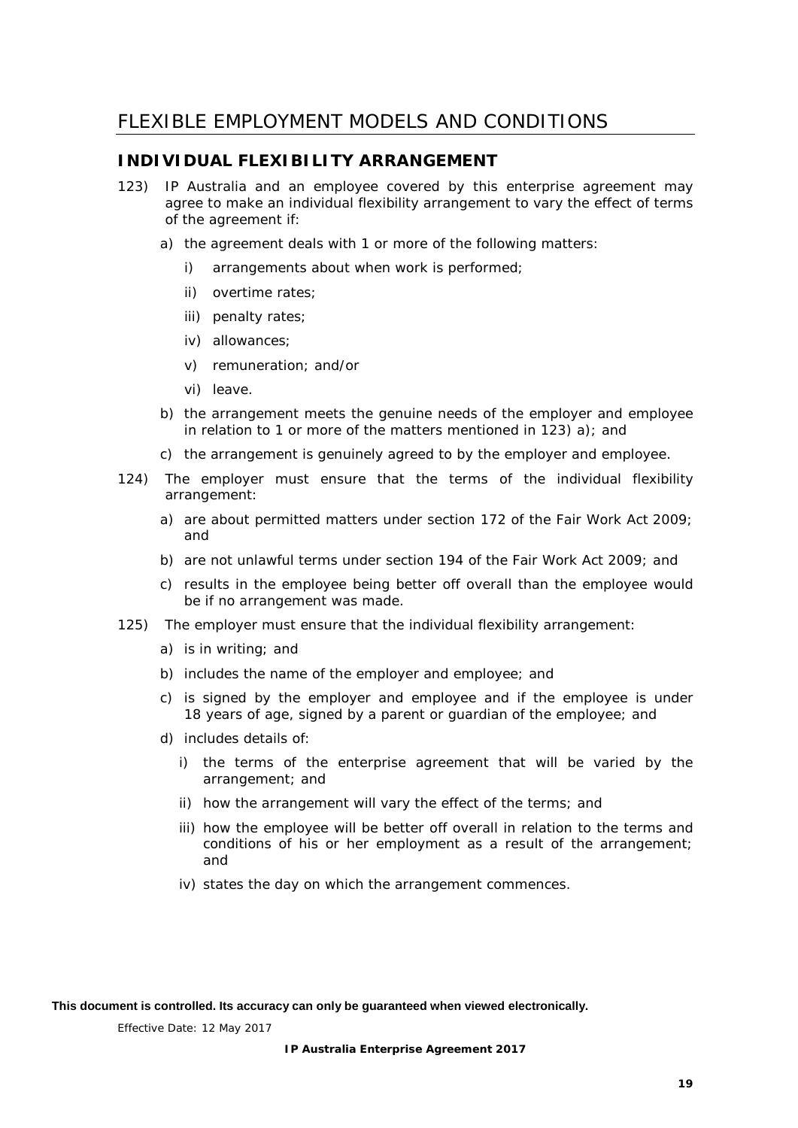# <span id="page-23-0"></span>FLEXIBLE EMPLOYMENT MODELS AND CONDITIONS

## <span id="page-23-1"></span>**INDIVIDUAL FLEXIBILITY ARRANGEMENT**

- <span id="page-23-2"></span>123) IP Australia and an employee covered by this enterprise agreement may agree to make an individual flexibility arrangement to vary the effect of terms of the agreement if:
	- a) the agreement deals with 1 or more of the following matters:
		- i) arrangements about when work is performed;
		- ii) overtime rates;
		- iii) penalty rates;
		- iv) allowances;
		- v) remuneration; and/or
		- vi) leave.
	- b) the arrangement meets the genuine needs of the employer and employee in relation to 1 or more of the matters mentioned in [123\)](#page-23-2) a); and
	- c) the arrangement is genuinely agreed to by the employer and employee.
- 124) The employer must ensure that the terms of the individual flexibility arrangement:
	- a) are about permitted matters under section 172 of the *Fair Work Act 2009*; and
	- b) are not unlawful terms under section 194 of the *Fair Work Act 2009*; and
	- c) results in the employee being better off overall than the employee would be if no arrangement was made.
- 125) The employer must ensure that the individual flexibility arrangement:
	- a) is in writing; and
	- b) includes the name of the employer and employee; and
	- c) is signed by the employer and employee and if the employee is under 18 years of age, signed by a parent or guardian of the employee; and
	- d) includes details of:
		- i) the terms of the enterprise agreement that will be varied by the arrangement; and
		- ii) how the arrangement will vary the effect of the terms; and
		- iii) how the employee will be better off overall in relation to the terms and conditions of his or her employment as a result of the arrangement; and
		- iv) states the day on which the arrangement commences.

**This document is controlled. Its accuracy can only be guaranteed when viewed electronically.**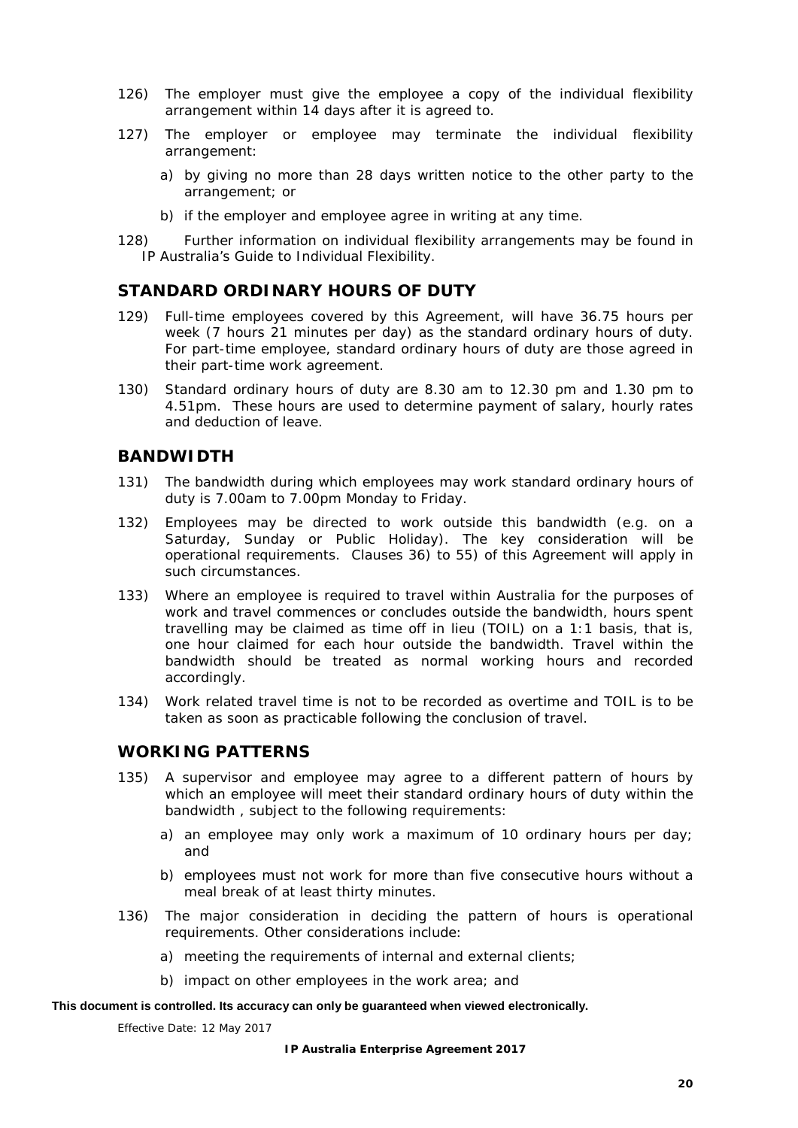- 126) The employer must give the employee a copy of the individual flexibility arrangement within 14 days after it is agreed to.
- 127) The employer or employee may terminate the individual flexibility arrangement:
	- a) by giving no more than 28 days written notice to the other party to the arrangement; or
	- b) if the employer and employee agree in writing at any time.
- 128) Further information on individual flexibility arrangements may be found in IP Australia's *Guide to Individual Flexibility.*

## <span id="page-24-0"></span>**STANDARD ORDINARY HOURS OF DUTY**

- 129) Full-time employees covered by this Agreement, will have 36.75 hours per week (7 hours 21 minutes per day) as the standard ordinary hours of duty. For part-time employee, standard ordinary hours of duty are those agreed in their part-time work agreement.
- <span id="page-24-3"></span>130) Standard ordinary hours of duty are 8.30 am to 12.30 pm and 1.30 pm to 4.51pm. These hours are used to determine payment of salary, hourly rates and deduction of leave.

## <span id="page-24-1"></span>**BANDWIDTH**

- 131) The bandwidth during which employees may work standard ordinary hours of duty is 7.00am to 7.00pm Monday to Friday.
- 132) Employees may be directed to work outside this bandwidth (e.g. on a Saturday, Sunday or Public Holiday). The key consideration will be operational requirements. Clauses [36\)](#page-10-5) to [55\)](#page-13-4) of this Agreement will apply in such circumstances.
- 133) Where an employee is required to travel within Australia for the purposes of work and travel commences or concludes outside the bandwidth, hours spent travelling may be claimed as time off in lieu (TOIL) on a 1:1 basis, that is, one hour claimed for each hour outside the bandwidth. Travel within the bandwidth should be treated as normal working hours and recorded accordingly.
- 134) Work related travel time is not to be recorded as overtime and TOIL is to be taken as soon as practicable following the conclusion of travel.

## <span id="page-24-2"></span>**WORKING PATTERNS**

- 135) A supervisor and employee may agree to a different pattern of hours by which an employee will meet their standard ordinary hours of duty within the bandwidth , subject to the following requirements:
	- a) an employee may only work a maximum of 10 ordinary hours per day; and
	- b) employees must not work for more than five consecutive hours without a meal break of at least thirty minutes.
- 136) The major consideration in deciding the pattern of hours is operational requirements. Other considerations include:
	- a) meeting the requirements of internal and external clients;
	- b) impact on other employees in the work area; and

#### **This document is controlled. Its accuracy can only be guaranteed when viewed electronically.**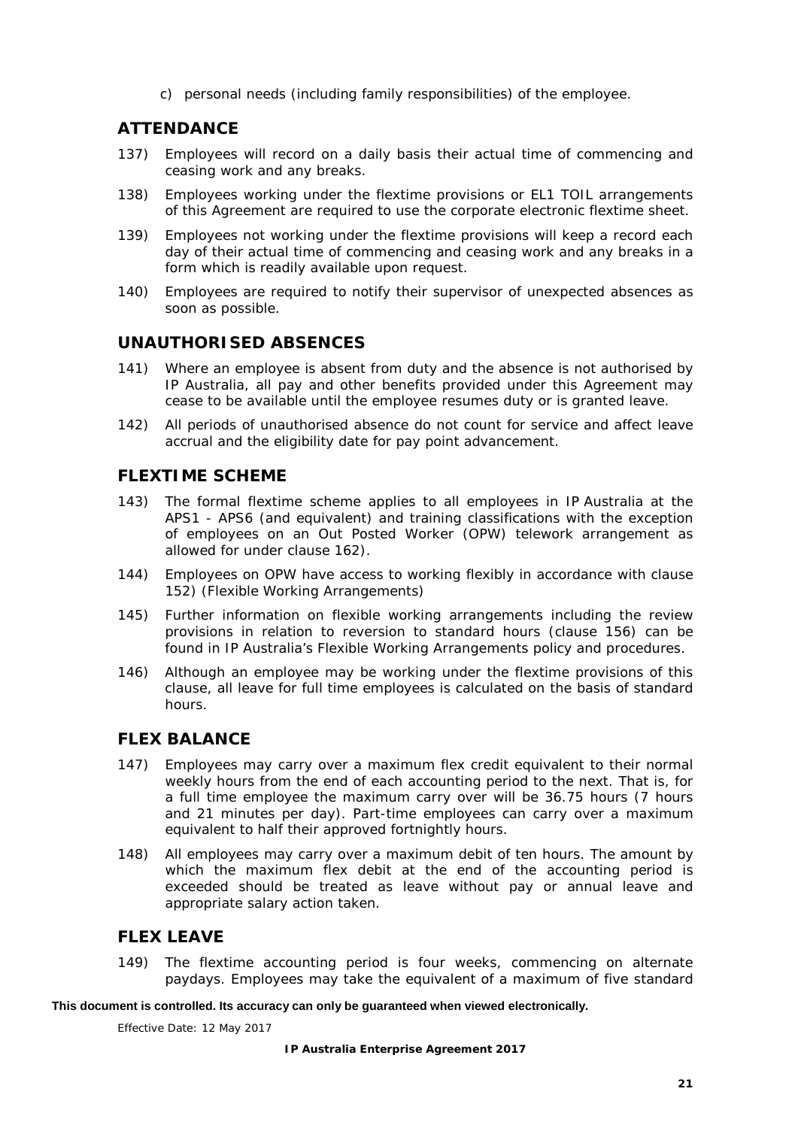c) personal needs (including family responsibilities) of the employee.

## <span id="page-25-0"></span>**ATTENDANCE**

- 137) Employees will record on a daily basis their actual time of commencing and ceasing work and any breaks.
- 138) Employees working under the flextime provisions or EL1 TOIL arrangements of this Agreement are required to use the corporate electronic flextime sheet.
- 139) Employees not working under the flextime provisions will keep a record each day of their actual time of commencing and ceasing work and any breaks in a form which is readily available upon request.
- 140) Employees are required to notify their supervisor of unexpected absences as soon as possible.

## <span id="page-25-1"></span>**UNAUTHORISED ABSENCES**

- 141) Where an employee is absent from duty and the absence is not authorised by IP Australia, all pay and other benefits provided under this Agreement may cease to be available until the employee resumes duty or is granted leave.
- 142) All periods of unauthorised absence do not count for service and affect leave accrual and the eligibility date for pay point advancement.

## <span id="page-25-2"></span>**FLEXTIME SCHEME**

- 143) The formal flextime scheme applies to all employees in IP Australia at the APS1 - APS6 (and equivalent) and training classifications with the exception of employees on an Out Posted Worker (OPW) telework arrangement as allowed for under clause [162\).](#page-27-1)
- 144) Employees on OPW have access to working flexibly in accordance with clause [152\)](#page-26-4) (Flexible Working Arrangements)
- 145) Further information on flexible working arrangements including the review provisions in relation to reversion to standard hours (clause [156\)](#page-26-5) can be found in IP Australia's *Flexible Working Arrangements policy and procedures*.
- 146) Although an employee may be working under the flextime provisions of this clause, all leave for full time employees is calculated on the basis of standard hours.

## <span id="page-25-3"></span>**FLEX BALANCE**

- 147) Employees may carry over a maximum flex credit equivalent to their normal weekly hours from the end of each accounting period to the next. That is, for a full time employee the maximum carry over will be 36.75 hours (7 hours and 21 minutes per day). Part-time employees can carry over a maximum equivalent to half their approved fortnightly hours.
- 148) All employees may carry over a maximum debit of ten hours. The amount by which the maximum flex debit at the end of the accounting period is exceeded should be treated as leave without pay or annual leave and appropriate salary action taken.

## <span id="page-25-4"></span>**FLEX LEAVE**

149) The flextime accounting period is four weeks, commencing on alternate paydays. Employees may take the equivalent of a maximum of five standard

#### **This document is controlled. Its accuracy can only be guaranteed when viewed electronically.**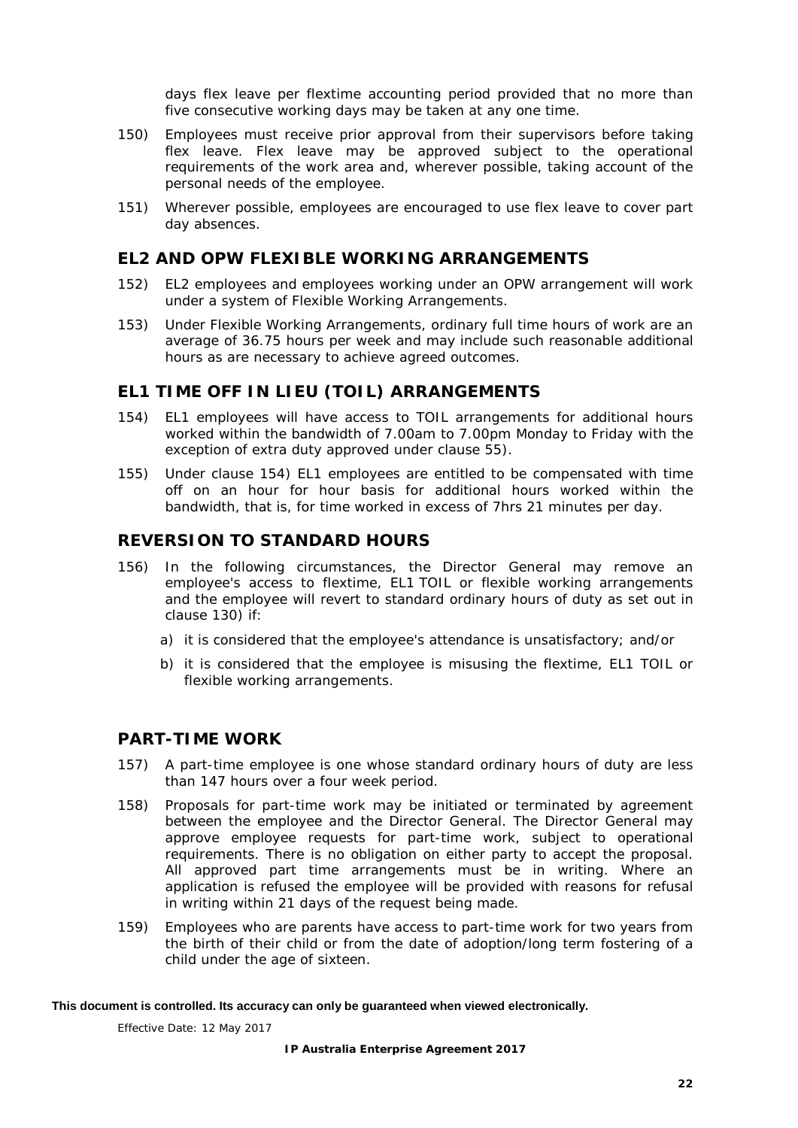days flex leave per flextime accounting period provided that no more than five consecutive working days may be taken at any one time.

- 150) Employees must receive prior approval from their supervisors before taking flex leave. Flex leave may be approved subject to the operational requirements of the work area and, wherever possible, taking account of the personal needs of the employee.
- 151) Wherever possible, employees are encouraged to use flex leave to cover part day absences.

## <span id="page-26-0"></span>**EL2 AND OPW FLEXIBLE WORKING ARRANGEMENTS**

- <span id="page-26-4"></span>152) EL2 employees and employees working under an OPW arrangement will work under a system of Flexible Working Arrangements.
- 153) Under Flexible Working Arrangements, ordinary full time hours of work are an average of 36.75 hours per week and may include such reasonable additional hours as are necessary to achieve agreed outcomes.

## <span id="page-26-1"></span>**EL1 TIME OFF IN LIEU (TOIL) ARRANGEMENTS**

- <span id="page-26-6"></span>154) EL1 employees will have access to TOIL arrangements for additional hours worked within the bandwidth of 7.00am to 7.00pm Monday to Friday with the exception of extra duty approved under clause [55\).](#page-13-4)
- 155) Under clause [154\)](#page-26-6) EL1 employees are entitled to be compensated with time off on an hour for hour basis for additional hours worked within the bandwidth, that is, for time worked in excess of 7hrs 21 minutes per day.

## <span id="page-26-2"></span>**REVERSION TO STANDARD HOURS**

- <span id="page-26-5"></span>156) In the following circumstances, the Director General may remove an employee's access to flextime, EL1 TOIL or flexible working arrangements and the employee will revert to standard ordinary hours of duty as set out in clause [130\)](#page-24-3) if:
	- a) it is considered that the employee's attendance is unsatisfactory; and/or
	- b) it is considered that the employee is misusing the flextime, EL1 TOIL or flexible working arrangements.

#### <span id="page-26-3"></span>**PART-TIME WORK**

- 157) A part-time employee is one whose standard ordinary hours of duty are less than 147 hours over a four week period.
- 158) Proposals for part-time work may be initiated or terminated by agreement between the employee and the Director General. The Director General may approve employee requests for part-time work, subject to operational requirements. There is no obligation on either party to accept the proposal. All approved part time arrangements must be in writing. Where an application is refused the employee will be provided with reasons for refusal in writing within 21 days of the request being made.
- 159) Employees who are parents have access to part-time work for two years from the birth of their child or from the date of adoption/long term fostering of a child under the age of sixteen.

#### **This document is controlled. Its accuracy can only be guaranteed when viewed electronically.**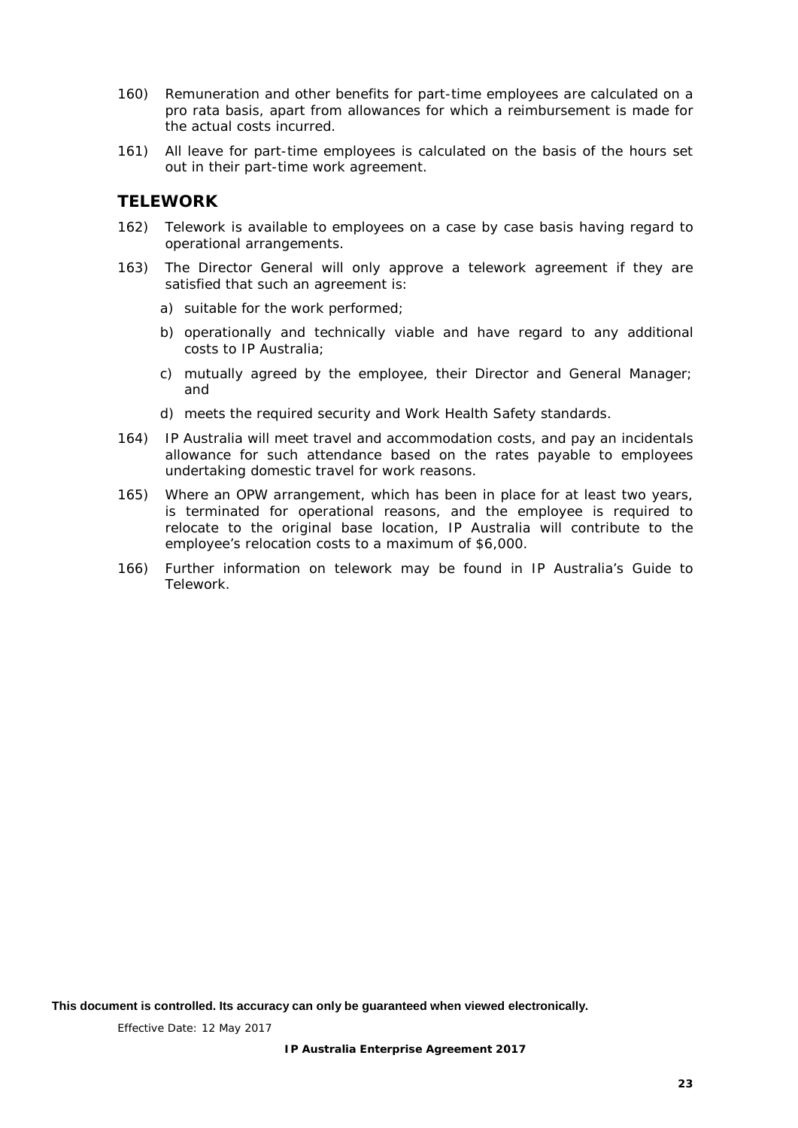- 160) Remuneration and other benefits for part-time employees are calculated on a pro rata basis, apart from allowances for which a reimbursement is made for the actual costs incurred.
- 161) All leave for part-time employees is calculated on the basis of the hours set out in their part-time work agreement.

## <span id="page-27-0"></span>**TELEWORK**

- <span id="page-27-1"></span>162) Telework is available to employees on a case by case basis having regard to operational arrangements.
- 163) The Director General will only approve a telework agreement if they are satisfied that such an agreement is:
	- a) suitable for the work performed;
	- b) operationally and technically viable and have regard to any additional costs to IP Australia;
	- c) mutually agreed by the employee, their Director and General Manager; and
	- d) meets the required security and Work Health Safety standards.
- 164) IP Australia will meet travel and accommodation costs, and pay an incidentals allowance for such attendance based on the rates payable to employees undertaking domestic travel for work reasons.
- 165) Where an OPW arrangement, which has been in place for at least two years, is terminated for operational reasons, and the employee is required to relocate to the original base location, IP Australia will contribute to the employee's relocation costs to a maximum of \$6,000.
- 166) Further information on telework may be found in IP Australia's *Guide to Telework.*

**This document is controlled. Its accuracy can only be guaranteed when viewed electronically.**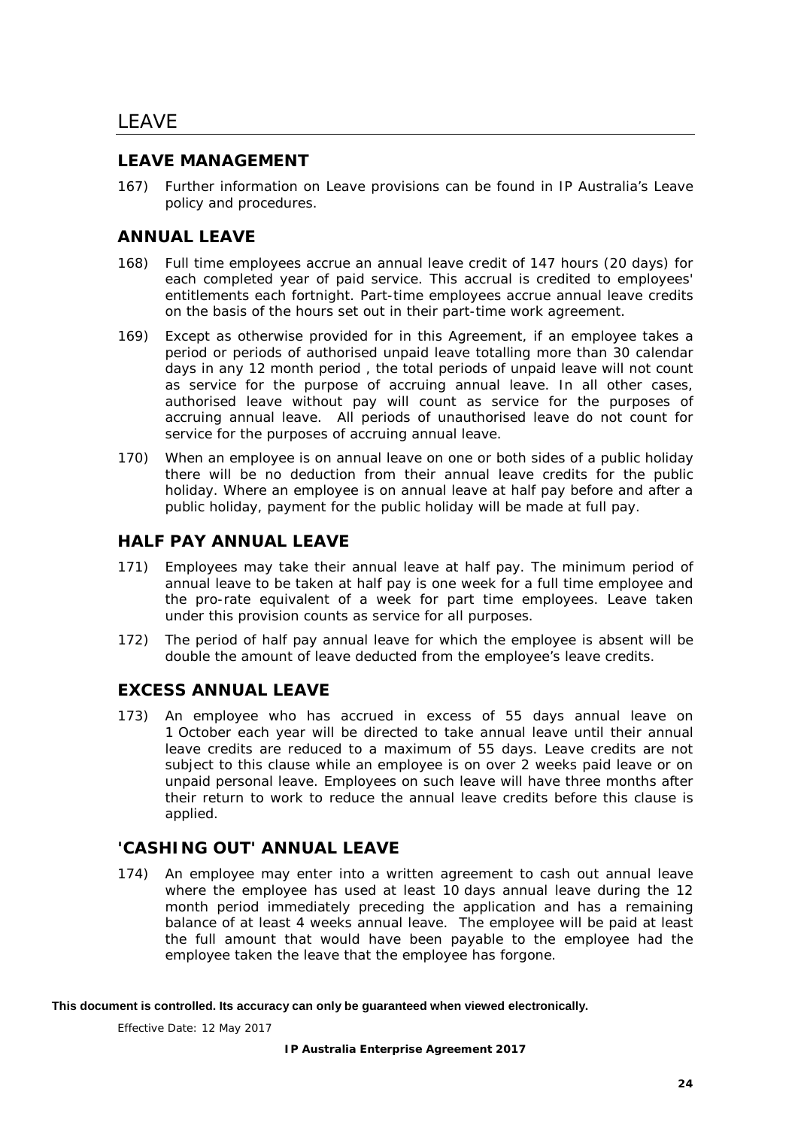# <span id="page-28-0"></span>LEAVE

## <span id="page-28-1"></span>**LEAVE MANAGEMENT**

167) Further information on Leave provisions can be found in IP Australia's *Leave policy and procedures.*

## <span id="page-28-2"></span>**ANNUAL LEAVE**

- 168) Full time employees accrue an annual leave credit of 147 hours (20 days) for each completed year of paid service. This accrual is credited to employees' entitlements each fortnight. Part-time employees accrue annual leave credits on the basis of the hours set out in their part-time work agreement.
- 169) Except as otherwise provided for in this Agreement, if an employee takes a period or periods of authorised unpaid leave totalling more than 30 calendar days in any 12 month period , the total periods of unpaid leave will not count as service for the purpose of accruing annual leave. In all other cases, authorised leave without pay will count as service for the purposes of accruing annual leave. All periods of unauthorised leave do not count for service for the purposes of accruing annual leave.
- 170) When an employee is on annual leave on one or both sides of a public holiday there will be no deduction from their annual leave credits for the public holiday. Where an employee is on annual leave at half pay before and after a public holiday, payment for the public holiday will be made at full pay.

## <span id="page-28-3"></span>**HALF PAY ANNUAL LEAVE**

- 171) Employees may take their annual leave at half pay. The minimum period of annual leave to be taken at half pay is one week for a full time employee and the pro-rate equivalent of a week for part time employees. Leave taken under this provision counts as service for all purposes.
- 172) The period of half pay annual leave for which the employee is absent will be double the amount of leave deducted from the employee's leave credits.

## <span id="page-28-4"></span>**EXCESS ANNUAL LEAVE**

173) An employee who has accrued in excess of 55 days annual leave on 1 October each year will be directed to take annual leave until their annual leave credits are reduced to a maximum of 55 days. Leave credits are not subject to this clause while an employee is on over 2 weeks paid leave or on unpaid personal leave. Employees on such leave will have three months after their return to work to reduce the annual leave credits before this clause is applied.

## <span id="page-28-5"></span>**'CASHING OUT' ANNUAL LEAVE**

174) An employee may enter into a written agreement to cash out annual leave where the employee has used at least 10 days annual leave during the 12 month period immediately preceding the application and has a remaining balance of at least 4 weeks annual leave. The employee will be paid at least the full amount that would have been payable to the employee had the employee taken the leave that the employee has forgone.

#### **This document is controlled. Its accuracy can only be guaranteed when viewed electronically.**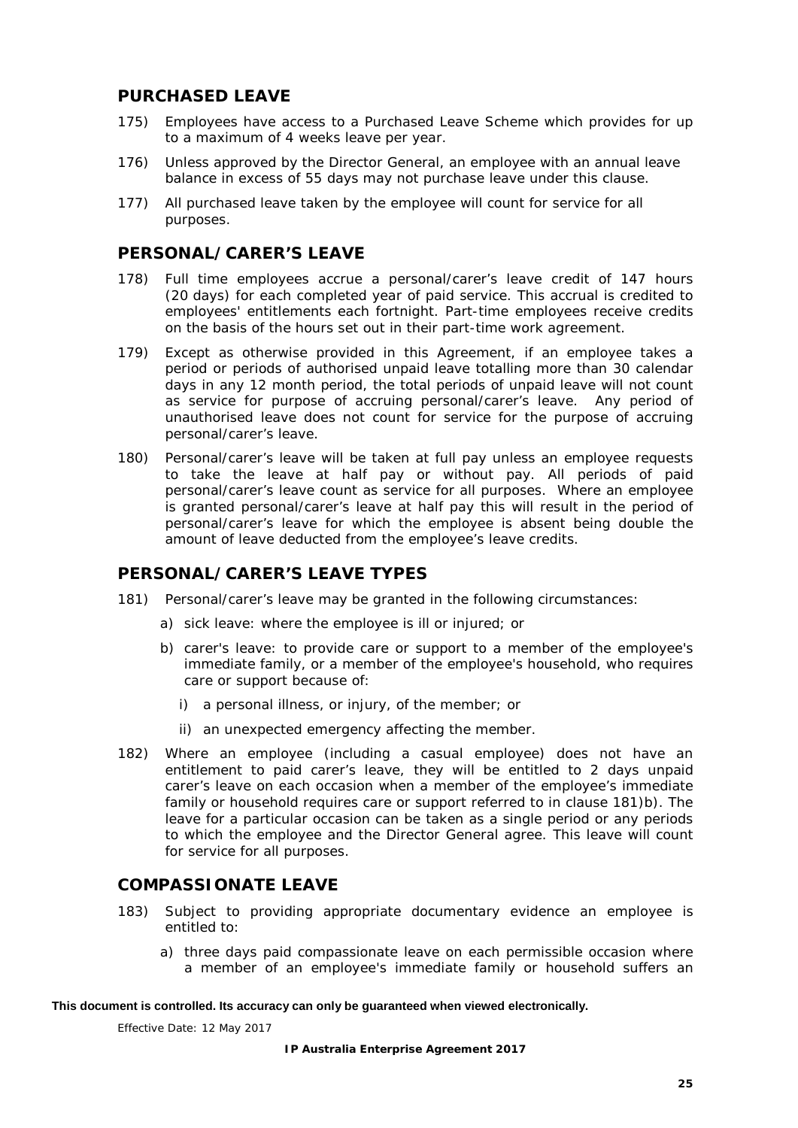## <span id="page-29-0"></span>**PURCHASED LEAVE**

- 175) Employees have access to a Purchased Leave Scheme which provides for up to a maximum of 4 weeks leave per year.
- 176) Unless approved by the Director General, an employee with an annual leave balance in excess of 55 days may not purchase leave under this clause.
- 177) All purchased leave taken by the employee will count for service for all purposes.

## <span id="page-29-1"></span>**PERSONAL/CARER'S LEAVE**

- 178) Full time employees accrue a personal/carer's leave credit of 147 hours (20 days) for each completed year of paid service. This accrual is credited to employees' entitlements each fortnight. Part-time employees receive credits on the basis of the hours set out in their part-time work agreement.
- 179) Except as otherwise provided in this Agreement, if an employee takes a period or periods of authorised unpaid leave totalling more than 30 calendar days in any 12 month period, the total periods of unpaid leave will not count as service for purpose of accruing personal/carer's leave. Any period of unauthorised leave does not count for service for the purpose of accruing personal/carer's leave.
- 180) Personal/carer's leave will be taken at full pay unless an employee requests to take the leave at half pay or without pay. All periods of paid personal/carer's leave count as service for all purposes. Where an employee is granted personal/carer's leave at half pay this will result in the period of personal/carer's leave for which the employee is absent being double the amount of leave deducted from the employee's leave credits.

## <span id="page-29-2"></span>**PERSONAL/CARER'S LEAVE TYPES**

- <span id="page-29-5"></span><span id="page-29-4"></span>181) Personal/carer's leave may be granted in the following circumstances:
	- a) sick leave: where the employee is ill or injured; or
	- b) carer's leave: to provide care or support to a member of the employee's immediate family, or a member of the employee's household, who requires care or support because of:
		- i) a personal illness, or injury, of the member; or
		- ii) an unexpected emergency affecting the member.
- 182) Where an employee (including a casual employee) does not have an entitlement to paid carer's leave, they will be entitled to 2 days unpaid carer's leave on each occasion when a member of the employee's immediate family or household requires care or support referred to in clause [181\)b\).](#page-29-4) The leave for a particular occasion can be taken as a single period or any periods to which the employee and the Director General agree. This leave will count for service for all purposes.

## <span id="page-29-3"></span>**COMPASSIONATE LEAVE**

- 183) Subject to providing appropriate documentary evidence an employee is entitled to:
	- a) three days paid compassionate leave on each permissible occasion where a member of an employee's immediate family or household suffers an

#### **This document is controlled. Its accuracy can only be guaranteed when viewed electronically.**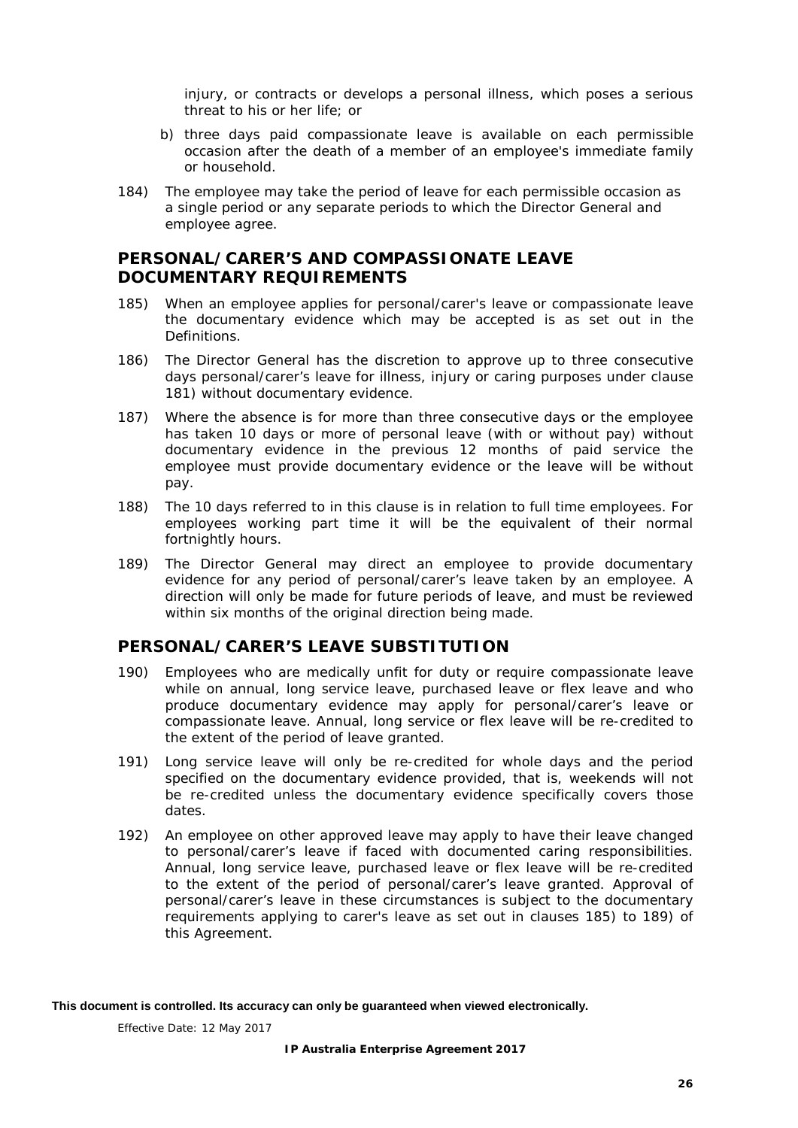injury, or contracts or develops a personal illness, which poses a serious threat to his or her life; or

- b) three days paid compassionate leave is available on each permissible occasion after the death of a member of an employee's immediate family or household.
- 184) The employee may take the period of leave for each permissible occasion as a single period or any separate periods to which the Director General and employee agree.

## <span id="page-30-0"></span>**PERSONAL/CARER'S AND COMPASSIONATE LEAVE DOCUMENTARY REQUIREMENTS**

- <span id="page-30-2"></span>185) When an employee applies for personal/carer's leave or compassionate leave the documentary evidence which may be accepted is as set out in the Definitions.
- 186) The Director General has the discretion to approve up to three consecutive days personal/carer's leave for illness, injury or caring purposes under clause [181\)](#page-29-5) without documentary evidence.
- 187) Where the absence is for more than three consecutive days or the employee has taken 10 days or more of personal leave (with or without pay) without documentary evidence in the previous 12 months of paid service the employee must provide documentary evidence or the leave will be without pay.
- 188) The 10 days referred to in this clause is in relation to full time employees. For employees working part time it will be the equivalent of their normal fortnightly hours.
- <span id="page-30-3"></span>189) The Director General may direct an employee to provide documentary evidence for any period of personal/carer's leave taken by an employee. A direction will only be made for future periods of leave, and must be reviewed within six months of the original direction being made.

## <span id="page-30-1"></span>**PERSONAL/CARER'S LEAVE SUBSTITUTION**

- 190) Employees who are medically unfit for duty or require compassionate leave while on annual, long service leave, purchased leave or flex leave and who produce documentary evidence may apply for personal/carer's leave or compassionate leave. Annual, long service or flex leave will be re-credited to the extent of the period of leave granted.
- 191) Long service leave will only be re-credited for whole days and the period specified on the documentary evidence provided, that is, weekends will not be re-credited unless the documentary evidence specifically covers those dates.
- 192) An employee on other approved leave may apply to have their leave changed to personal/carer's leave if faced with documented caring responsibilities. Annual, long service leave, purchased leave or flex leave will be re-credited to the extent of the period of personal/carer's leave granted. Approval of personal/carer's leave in these circumstances is subject to the documentary requirements applying to carer's leave as set out in clauses [185\)](#page-30-2) to [189\)](#page-30-3) of this Agreement.

**This document is controlled. Its accuracy can only be guaranteed when viewed electronically.**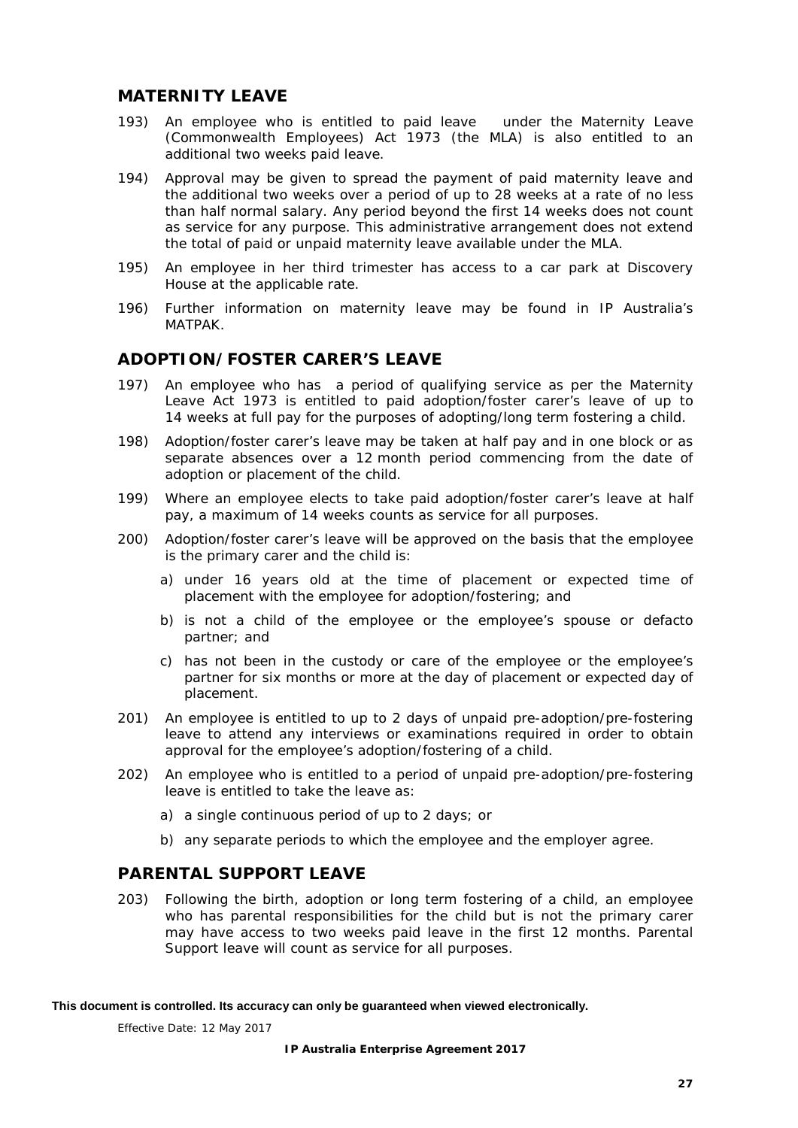## <span id="page-31-0"></span>**MATERNITY LEAVE**

- 193) An employee who is entitled to paid leave under the *Maternity Leave (Commonwealth Employees) Act 1973* (the MLA) is also entitled to an additional two weeks paid leave.
- 194) Approval may be given to spread the payment of paid maternity leave and the additional two weeks over a period of up to 28 weeks at a rate of no less than half normal salary. Any period beyond the first 14 weeks does not count as service for any purpose. This administrative arrangement does not extend the total of paid or unpaid maternity leave available under the MLA.
- 195) An employee in her third trimester has access to a car park at Discovery House at the applicable rate.
- 196) Further information on maternity leave may be found in IP Australia's *MATPAK.*

#### <span id="page-31-1"></span>**ADOPTION/FOSTER CARER'S LEAVE**

- 197) An employee who has a period of qualifying service as per the *Maternity Leave Act 1973* is entitled to paid adoption/foster carer's leave of up to 14 weeks at full pay for the purposes of adopting/long term fostering a child.
- 198) Adoption/foster carer's leave may be taken at half pay and in one block or as separate absences over a 12 month period commencing from the date of adoption or placement of the child.
- 199) Where an employee elects to take paid adoption/foster carer's leave at half pay, a maximum of 14 weeks counts as service for all purposes.
- 200) Adoption/foster carer's leave will be approved on the basis that the employee is the primary carer and the child is:
	- a) under 16 years old at the time of placement or expected time of placement with the employee for adoption/fostering; and
	- b) is not a child of the employee or the employee's spouse or defacto partner; and
	- c) has not been in the custody or care of the employee or the employee's partner for six months or more at the day of placement or expected day of placement.
- 201) An employee is entitled to up to 2 days of unpaid pre-adoption/pre-fostering leave to attend any interviews or examinations required in order to obtain approval for the employee's adoption/fostering of a child.
- 202) An employee who is entitled to a period of unpaid pre-adoption/pre-fostering leave is entitled to take the leave as:
	- a) a single continuous period of up to 2 days; or
	- b) any separate periods to which the employee and the employer agree.

## <span id="page-31-2"></span>**PARENTAL SUPPORT LEAVE**

203) Following the birth, adoption or long term fostering of a child, an employee who has parental responsibilities for the child but is not the primary carer may have access to two weeks paid leave in the first 12 months. Parental Support leave will count as service for all purposes.

#### **This document is controlled. Its accuracy can only be guaranteed when viewed electronically.**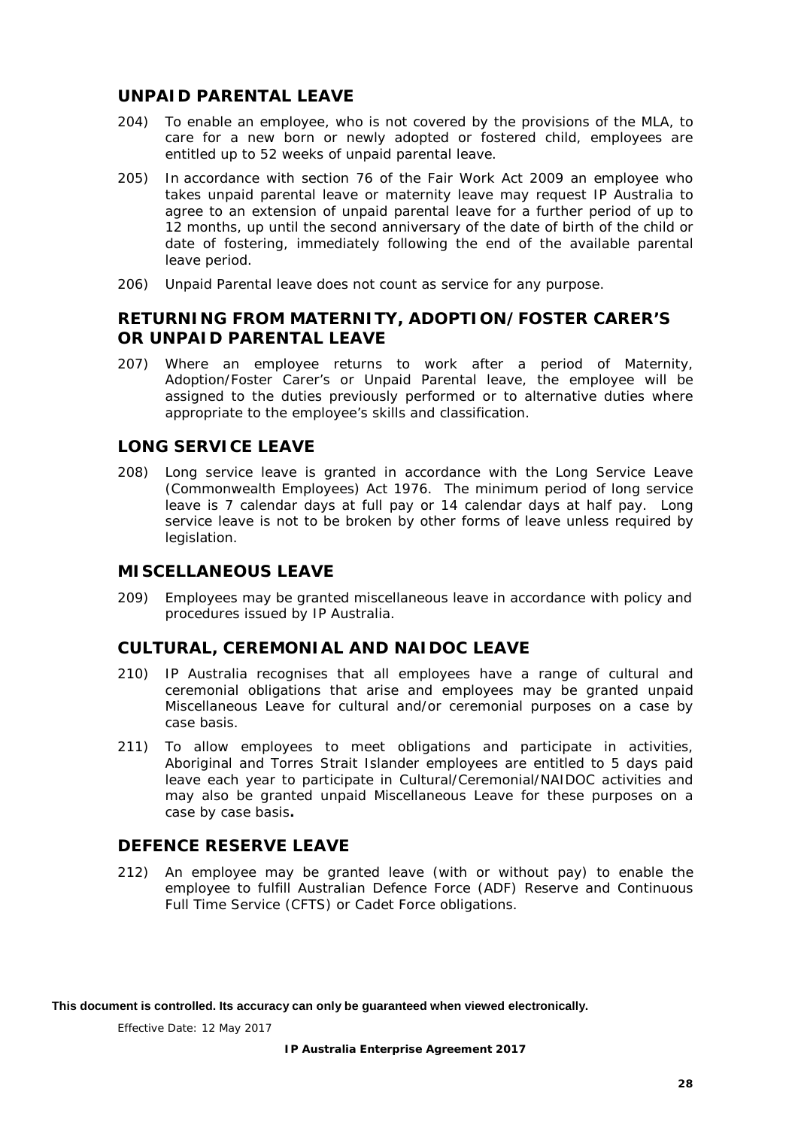## <span id="page-32-0"></span>**UNPAID PARENTAL LEAVE**

- 204) To enable an employee, who is not covered by the provisions of the MLA, to care for a new born or newly adopted or fostered child, employees are entitled up to 52 weeks of unpaid parental leave.
- 205) In accordance with section 76 of the *Fair Work Act 2009 a*n employee who takes unpaid parental leave or maternity leave may request IP Australia to agree to an extension of unpaid parental leave for a further period of up to 12 months, up until the second anniversary of the date of birth of the child or date of fostering, immediately following the end of the available parental leave period.
- 206) Unpaid Parental leave does not count as service for any purpose.

## <span id="page-32-1"></span>**RETURNING FROM MATERNITY, ADOPTION/FOSTER CARER'S OR UNPAID PARENTAL LEAVE**

207) Where an employee returns to work after a period of Maternity, Adoption/Foster Carer's or Unpaid Parental leave, the employee will be assigned to the duties previously performed or to alternative duties where appropriate to the employee's skills and classification.

## <span id="page-32-2"></span>**LONG SERVICE LEAVE**

208) Long service leave is granted in accordance with the *Long Service Leave (Commonwealth Employees) Act 1976*. The minimum period of long service leave is 7 calendar days at full pay or 14 calendar days at half pay. Long service leave is not to be broken by other forms of leave unless required by legislation.

## <span id="page-32-3"></span>**MISCELLANEOUS LEAVE**

209) Employees may be granted miscellaneous leave in accordance with policy and procedures issued by IP Australia.

## <span id="page-32-4"></span>**CULTURAL, CEREMONIAL AND NAIDOC LEAVE**

- 210) IP Australia recognises that all employees have a range of cultural and ceremonial obligations that arise and employees may be granted unpaid Miscellaneous Leave for cultural and/or ceremonial purposes on a case by case basis.
- 211) To allow employees to meet obligations and participate in activities, Aboriginal and Torres Strait Islander employees are entitled to 5 days paid leave each year to participate in Cultural/Ceremonial/NAIDOC activities and may also be granted unpaid Miscellaneous Leave for these purposes on a case by case basis*.*

## <span id="page-32-5"></span>**DEFENCE RESERVE LEAVE**

212) An employee may be granted leave (with or without pay) to enable the employee to fulfill Australian Defence Force (ADF) Reserve and Continuous Full Time Service (CFTS) or Cadet Force obligations.

**This document is controlled. Its accuracy can only be guaranteed when viewed electronically.**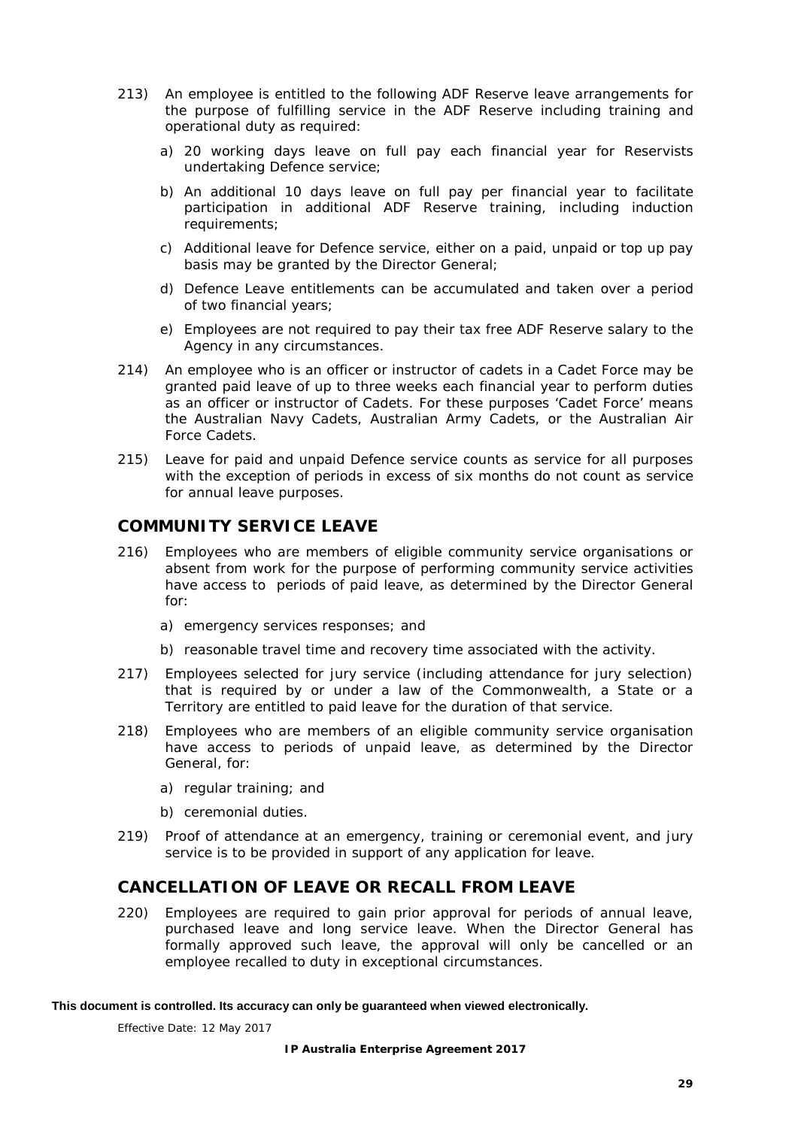- 213) An employee is entitled to the following ADF Reserve leave arrangements for the purpose of fulfilling service in the ADF Reserve including training and operational duty as required:
	- a) 20 working days leave on full pay each financial year for Reservists undertaking Defence service;
	- b) An additional 10 days leave on full pay per financial year to facilitate participation in additional ADF Reserve training, including induction requirements;
	- c) Additional leave for Defence service, either on a paid, unpaid or top up pay basis may be granted by the Director General;
	- d) Defence Leave entitlements can be accumulated and taken over a period of two financial years;
	- e) Employees are not required to pay their tax free ADF Reserve salary to the Agency in any circumstances.
- 214) An employee who is an officer or instructor of cadets in a Cadet Force may be granted paid leave of up to three weeks each financial year to perform duties as an officer or instructor of Cadets. For these purposes 'Cadet Force' means the Australian Navy Cadets, Australian Army Cadets, or the Australian Air Force Cadets.
- 215) Leave for paid and unpaid Defence service counts as service for all purposes with the exception of periods in excess of six months do not count as service for annual leave purposes.

## <span id="page-33-0"></span>**COMMUNITY SERVICE LEAVE**

- 216) Employees who are members of eligible community service organisations or absent from work for the purpose of performing community service activities have access to periods of paid leave, as determined by the Director General for:
	- a) emergency services responses; and
	- b) reasonable travel time and recovery time associated with the activity.
- 217) Employees selected for jury service (including attendance for jury selection) that is required by or under a law of the Commonwealth, a State or a Territory are entitled to paid leave for the duration of that service.
- 218) Employees who are members of an eligible community service organisation have access to periods of unpaid leave, as determined by the Director General, for:
	- a) regular training; and
	- b) ceremonial duties.
- 219) Proof of attendance at an emergency, training or ceremonial event, and jury service is to be provided in support of any application for leave.

## <span id="page-33-1"></span>**CANCELLATION OF LEAVE OR RECALL FROM LEAVE**

220) Employees are required to gain prior approval for periods of annual leave, purchased leave and long service leave. When the Director General has formally approved such leave, the approval will only be cancelled or an employee recalled to duty in exceptional circumstances.

#### **This document is controlled. Its accuracy can only be guaranteed when viewed electronically.**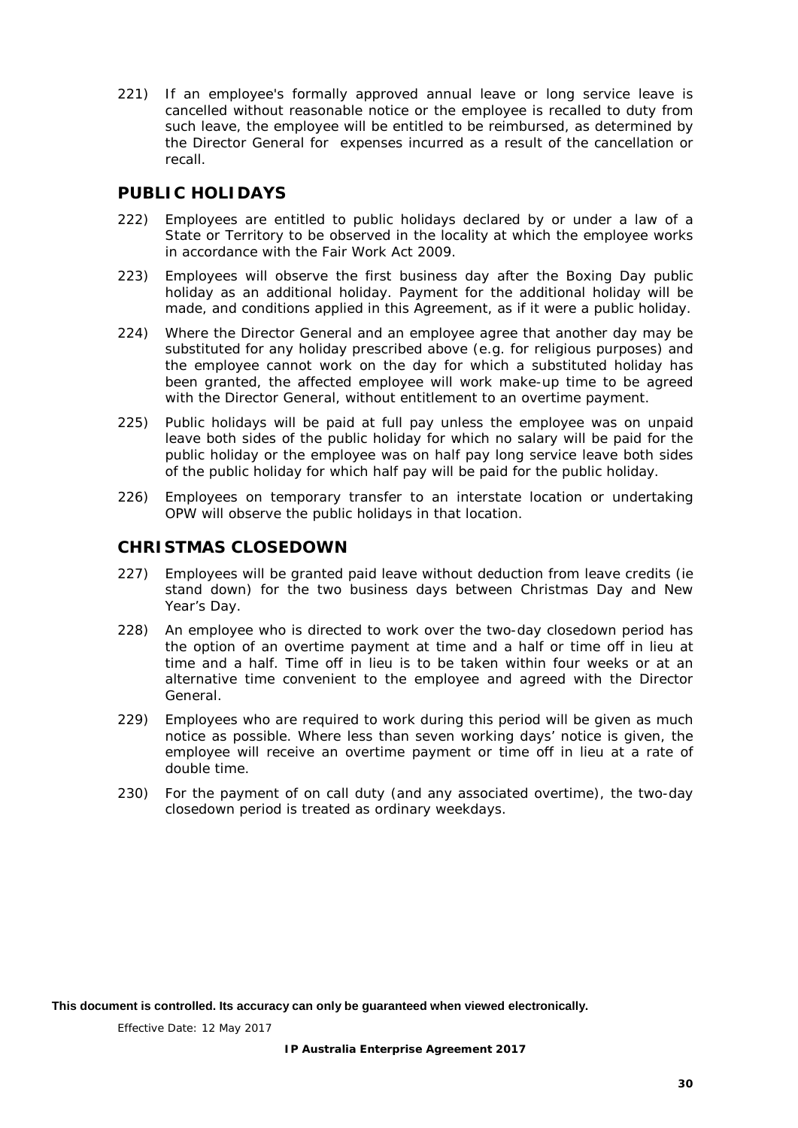221) If an employee's formally approved annual leave or long service leave is cancelled without reasonable notice or the employee is recalled to duty from such leave, the employee will be entitled to be reimbursed, as determined by the Director General for expenses incurred as a result of the cancellation or recall.

## <span id="page-34-0"></span>**PUBLIC HOLIDAYS**

- 222) Employees are entitled to public holidays declared by or under a law of a State or Territory to be observed in the locality at which the employee works in accordance with the *Fair Work Act 2009.*
- 223) Employees will observe the first business day after the Boxing Day public holiday as an additional holiday. Payment for the additional holiday will be made, and conditions applied in this Agreement, as if it were a public holiday.
- 224) Where the Director General and an employee agree that another day may be substituted for any holiday prescribed above (e.g. for religious purposes) and the employee cannot work on the day for which a substituted holiday has been granted, the affected employee will work make-up time to be agreed with the Director General, without entitlement to an overtime payment.
- 225) Public holidays will be paid at full pay unless the employee was on unpaid leave both sides of the public holiday for which no salary will be paid for the public holiday or the employee was on half pay long service leave both sides of the public holiday for which half pay will be paid for the public holiday.
- 226) Employees on temporary transfer to an interstate location or undertaking OPW will observe the public holidays in that location.

## <span id="page-34-1"></span>**CHRISTMAS CLOSEDOWN**

- 227) Employees will be granted paid leave without deduction from leave credits (ie stand down) for the two business days between Christmas Day and New Year's Day.
- 228) An employee who is directed to work over the two-day closedown period has the option of an overtime payment at time and a half or time off in lieu at time and a half. Time off in lieu is to be taken within four weeks or at an alternative time convenient to the employee and agreed with the Director General.
- 229) Employees who are required to work during this period will be given as much notice as possible. Where less than seven working days' notice is given, the employee will receive an overtime payment or time off in lieu at a rate of double time.
- 230) For the payment of on call duty (and any associated overtime), the two-day closedown period is treated as ordinary weekdays.

**This document is controlled. Its accuracy can only be guaranteed when viewed electronically.**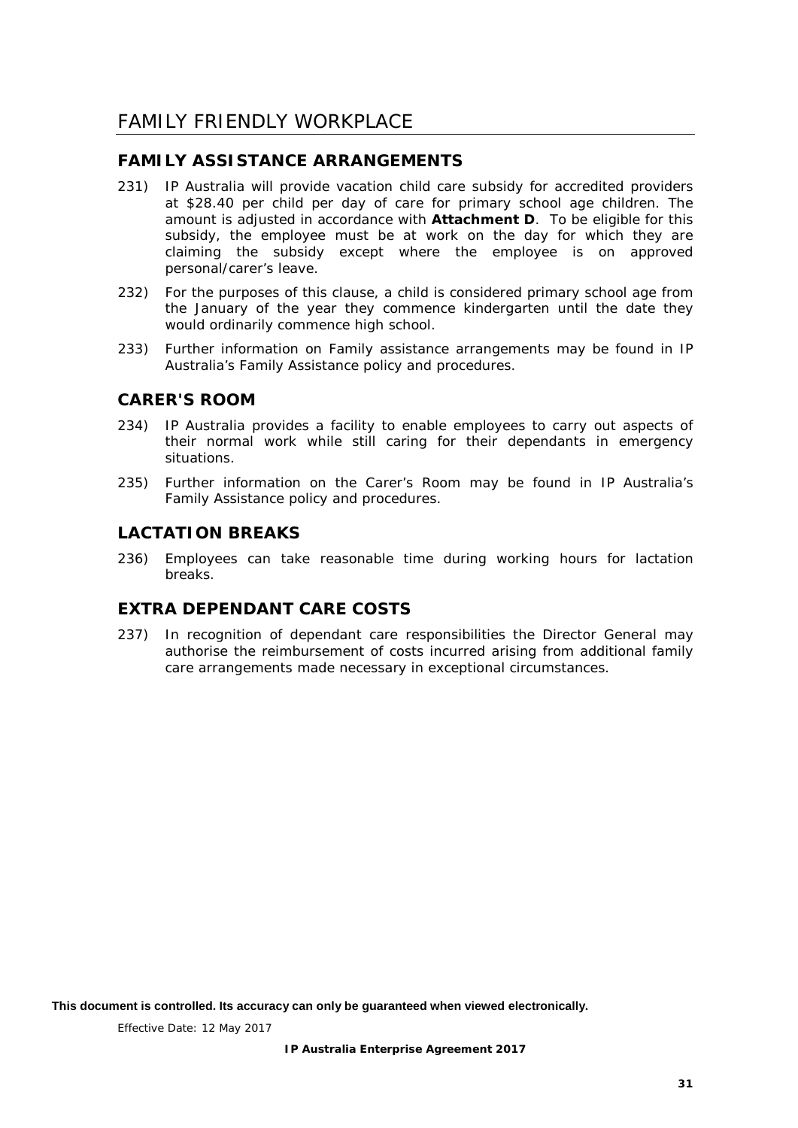# <span id="page-35-0"></span>FAMILY FRIENDLY WORKPLACE

## <span id="page-35-1"></span>**FAMILY ASSISTANCE ARRANGEMENTS**

- <span id="page-35-5"></span>231) IP Australia will provide vacation child care subsidy for accredited providers at \$28.40 per child per day of care for primary school age children. The amount is adjusted in accordance with **Attachment D**. To be eligible for this subsidy, the employee must be at work on the day for which they are claiming the subsidy except where the employee is on approved personal/carer's leave.
- 232) For the purposes of this clause, a child is considered primary school age from the January of the year they commence kindergarten until the date they would ordinarily commence high school.
- 233) Further information on Family assistance arrangements may be found in IP Australia's *Family Assistance policy and procedures*.

## <span id="page-35-2"></span>**CARER'S ROOM**

- 234) IP Australia provides a facility to enable employees to carry out aspects of their normal work while still caring for their dependants in emergency situations.
- 235) Further information on the Carer's Room may be found in IP Australia's *Family Assistance policy and procedures*.

## <span id="page-35-3"></span>**LACTATION BREAKS**

236) Employees can take reasonable time during working hours for lactation breaks.

## <span id="page-35-4"></span>**EXTRA DEPENDANT CARE COSTS**

237) In recognition of dependant care responsibilities the Director General may authorise the reimbursement of costs incurred arising from additional family care arrangements made necessary in exceptional circumstances.

**This document is controlled. Its accuracy can only be guaranteed when viewed electronically.**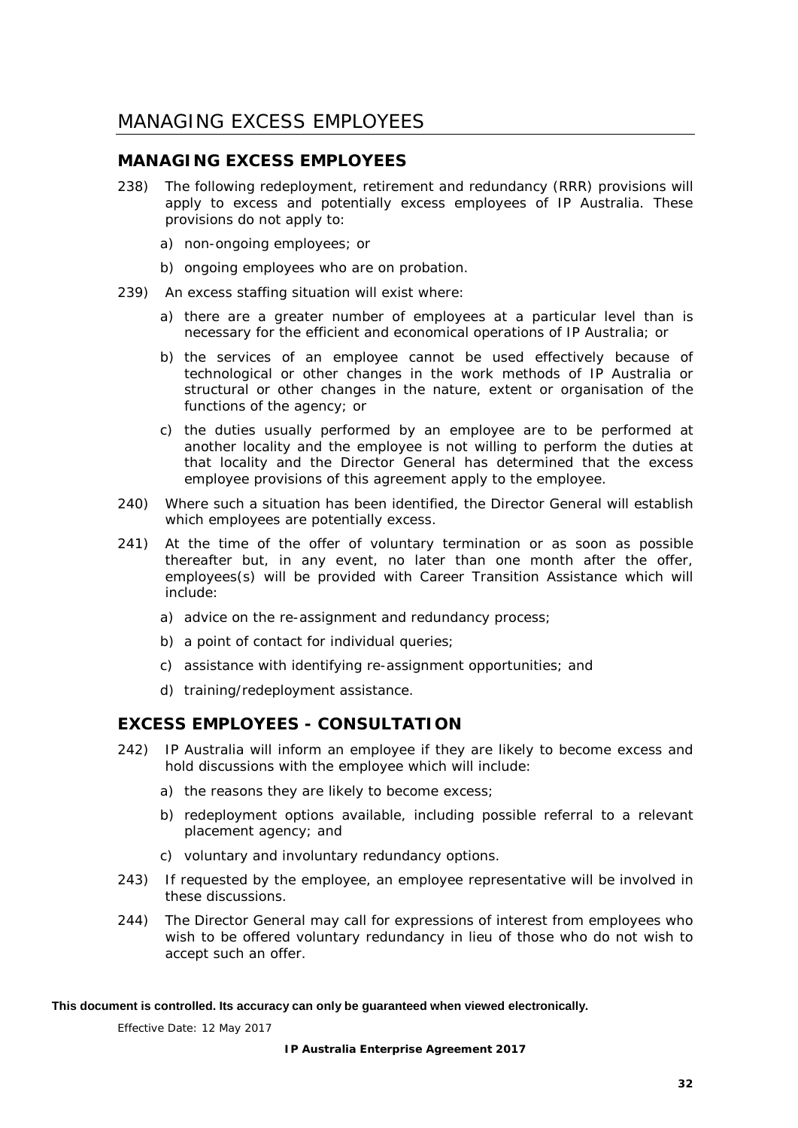# <span id="page-36-0"></span>MANAGING EXCESS EMPLOYEES

## <span id="page-36-1"></span>**MANAGING EXCESS EMPLOYEES**

- 238) The following redeployment, retirement and redundancy (RRR) provisions will apply to excess and potentially excess employees of IP Australia. These provisions do not apply to:
	- a) non-ongoing employees; or
	- b) ongoing employees who are on probation.
- 239) An excess staffing situation will exist where:
	- a) there are a greater number of employees at a particular level than is necessary for the efficient and economical operations of IP Australia; or
	- b) the services of an employee cannot be used effectively because of technological or other changes in the work methods of IP Australia or structural or other changes in the nature, extent or organisation of the functions of the agency; or
	- c) the duties usually performed by an employee are to be performed at another locality and the employee is not willing to perform the duties at that locality and the Director General has determined that the excess employee provisions of this agreement apply to the employee.
- 240) Where such a situation has been identified, the Director General will establish which employees are potentially excess.
- 241) At the time of the offer of voluntary termination or as soon as possible thereafter but, in any event, no later than one month after the offer, employees(s) will be provided with Career Transition Assistance which will include:
	- a) advice on the re-assignment and redundancy process;
	- b) a point of contact for individual queries;
	- c) assistance with identifying re-assignment opportunities; and
	- d) training/redeployment assistance.

## <span id="page-36-2"></span>**EXCESS EMPLOYEES - CONSULTATION**

- <span id="page-36-3"></span>242) IP Australia will inform an employee if they are likely to become excess and hold discussions with the employee which will include:
	- a) the reasons they are likely to become excess;
	- b) redeployment options available, including possible referral to a relevant placement agency; and
	- c) voluntary and involuntary redundancy options.
- 243) If requested by the employee, an employee representative will be involved in these discussions.
- 244) The Director General may call for expressions of interest from employees who wish to be offered voluntary redundancy in lieu of those who do not wish to accept such an offer.

#### **This document is controlled. Its accuracy can only be guaranteed when viewed electronically.**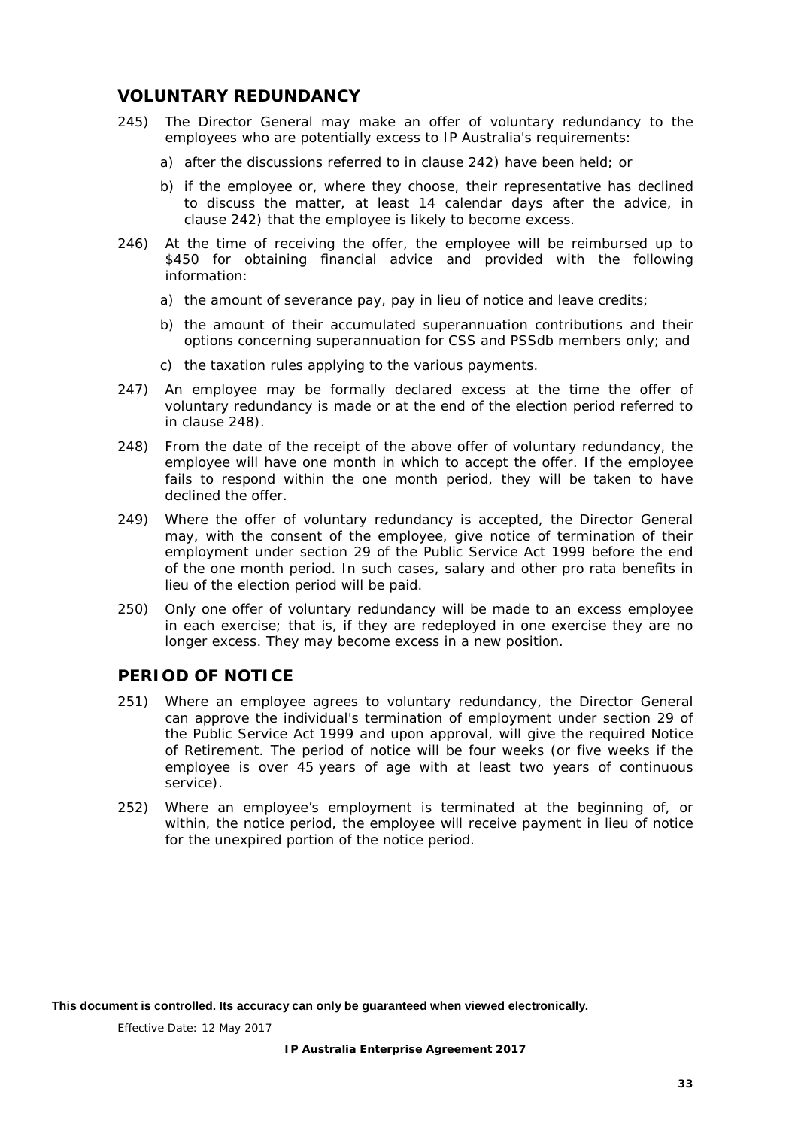## <span id="page-37-0"></span>**VOLUNTARY REDUNDANCY**

- 245) The Director General may make an offer of voluntary redundancy to the employees who are potentially excess to IP Australia's requirements:
	- a) after the discussions referred to in clause [242\)](#page-36-3) have been held; or
	- b) if the employee or, where they choose, their representative has declined to discuss the matter, at least 14 calendar days after the advice, in clause [242\)](#page-36-3) that the employee is likely to become excess.
- 246) At the time of receiving the offer, the employee will be reimbursed up to \$450 for obtaining financial advice and provided with the following information:
	- a) the amount of severance pay, pay in lieu of notice and leave credits;
	- b) the amount of their accumulated superannuation contributions and their options concerning superannuation for CSS and PSSdb members only; and
	- c) the taxation rules applying to the various payments.
- 247) An employee may be formally declared excess at the time the offer of voluntary redundancy is made or at the end of the election period referred to in clause [248\).](#page-37-2)
- <span id="page-37-2"></span>248) From the date of the receipt of the above offer of voluntary redundancy, the employee will have one month in which to accept the offer. If the employee fails to respond within the one month period, they will be taken to have declined the offer.
- 249) Where the offer of voluntary redundancy is accepted, the Director General may, with the consent of the employee, give notice of termination of their employment under section 29 of the *Public Service Act 1999* before the end of the one month period. In such cases, salary and other pro rata benefits in lieu of the election period will be paid.
- 250) Only one offer of voluntary redundancy will be made to an excess employee in each exercise; that is, if they are redeployed in one exercise they are no longer excess. They may become excess in a new position.

## <span id="page-37-1"></span>**PERIOD OF NOTICE**

- <span id="page-37-3"></span>251) Where an employee agrees to voluntary redundancy, the Director General can approve the individual's termination of employment under section 29 of the *Public Service Act 1999* and upon approval, will give the required Notice of Retirement. The period of notice will be four weeks (or five weeks if the employee is over 45 years of age with at least two years of continuous service).
- 252) Where an employee's employment is terminated at the beginning of, or within, the notice period, the employee will receive payment in lieu of notice for the unexpired portion of the notice period.

**This document is controlled. Its accuracy can only be guaranteed when viewed electronically.**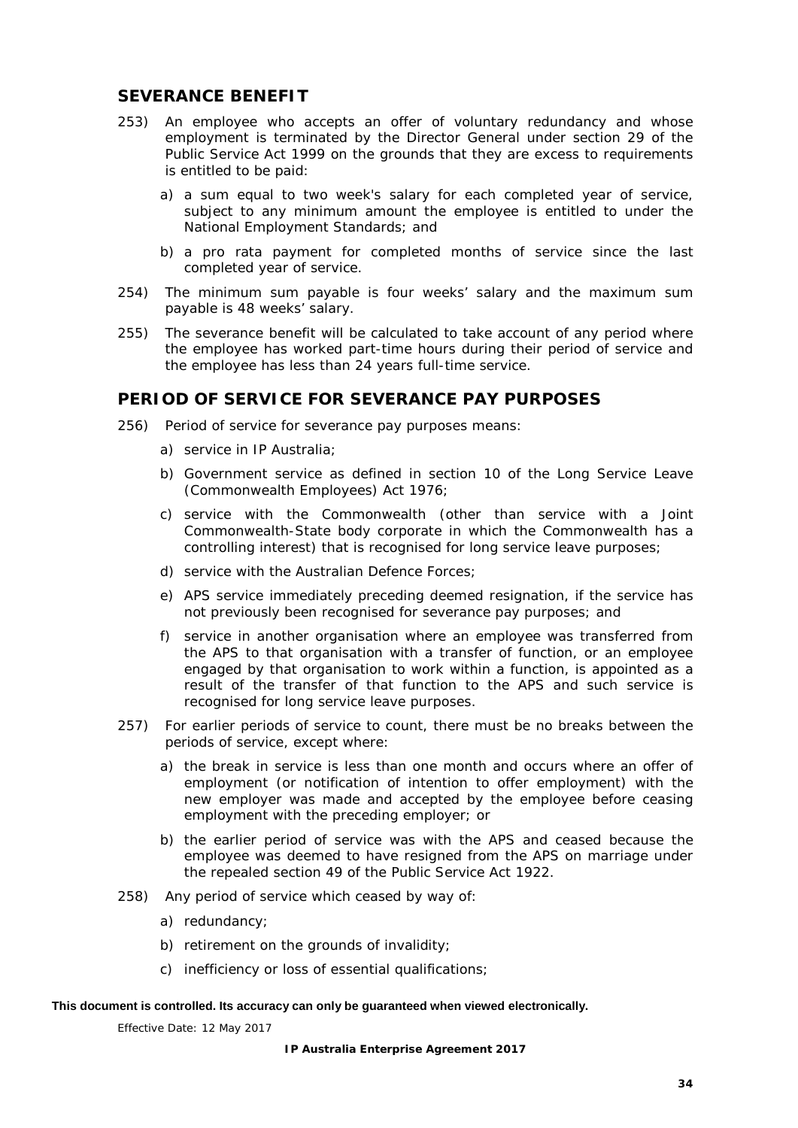## <span id="page-38-0"></span>**SEVERANCE BENEFIT**

- 253) An employee who accepts an offer of voluntary redundancy and whose employment is terminated by the Director General under section 29 of the *Public Service Act 1999* on the grounds that they are excess to requirements is entitled to be paid:
	- a) a sum equal to two week's salary for each completed year of service, subject to any minimum amount the employee is entitled to under the National Employment Standards; and
	- b) a pro rata payment for completed months of service since the last completed year of service.
- 254) The minimum sum payable is four weeks' salary and the maximum sum payable is 48 weeks' salary.
- 255) The severance benefit will be calculated to take account of any period where the employee has worked part-time hours during their period of service and the employee has less than 24 years full-time service.

## <span id="page-38-1"></span>**PERIOD OF SERVICE FOR SEVERANCE PAY PURPOSES**

- 256) Period of service for severance pay purposes means:
	- a) service in IP Australia;
	- b) Government service as defined in section 10 of the *Long Service Leave (Commonwealth Employees) Act 1976*;
	- c) service with the Commonwealth (other than service with a Joint Commonwealth-State body corporate in which the Commonwealth has a controlling interest) that is recognised for long service leave purposes;
	- d) service with the Australian Defence Forces;
	- e) APS service immediately preceding deemed resignation, if the service has not previously been recognised for severance pay purposes; and
	- f) service in another organisation where an employee was transferred from the APS to that organisation with a transfer of function, or an employee engaged by that organisation to work within a function, is appointed as a result of the transfer of that function to the APS and such service is recognised for long service leave purposes.
- 257) For earlier periods of service to count, there must be no breaks between the periods of service, except where:
	- a) the break in service is less than one month and occurs where an offer of employment (or notification of intention to offer employment) with the new employer was made and accepted by the employee before ceasing employment with the preceding employer; or
	- b) the earlier period of service was with the APS and ceased because the employee was deemed to have resigned from the APS on marriage under the repealed section 49 of the *Public Service Act 1922*.
- 258) Any period of service which ceased by way of:
	- a) redundancy;
	- b) retirement on the grounds of invalidity;
	- c) inefficiency or loss of essential qualifications;

#### **This document is controlled. Its accuracy can only be guaranteed when viewed electronically.**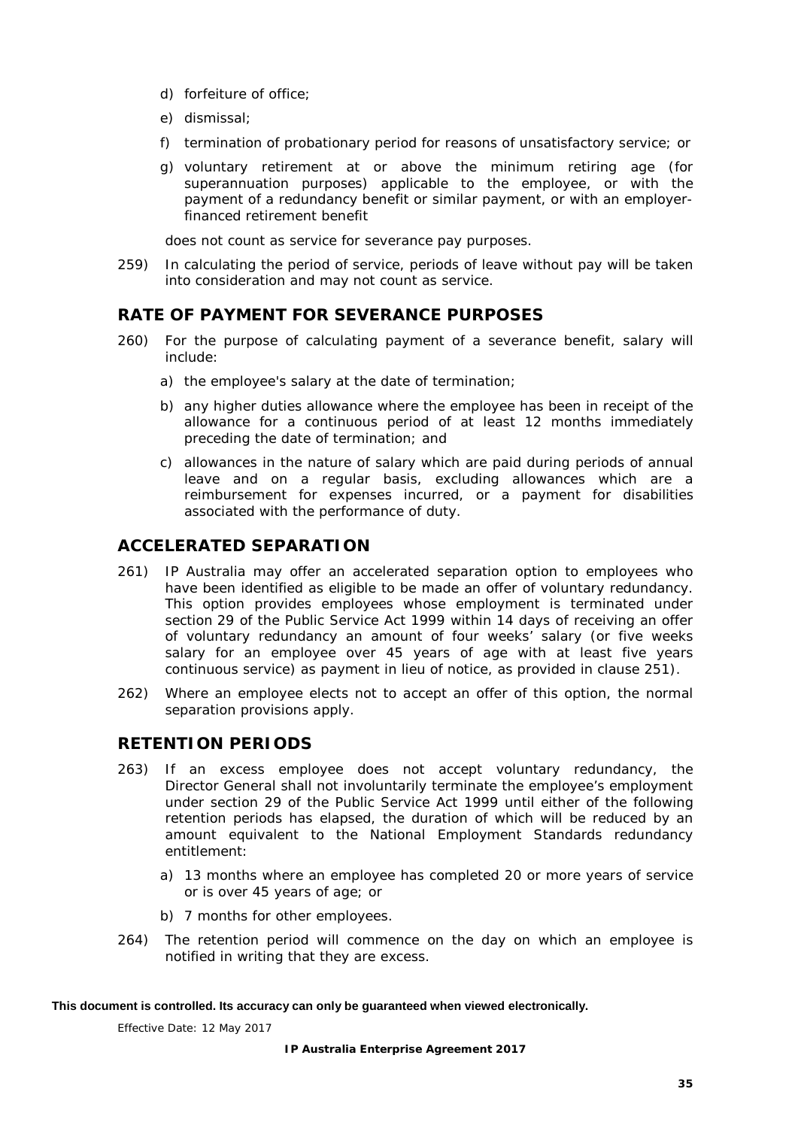- d) forfeiture of office;
- e) dismissal;
- f) termination of probationary period for reasons of unsatisfactory service; or
- g) voluntary retirement at or above the minimum retiring age (for superannuation purposes) applicable to the employee, or with the payment of a redundancy benefit or similar payment, or with an employerfinanced retirement benefit

does not count as service for severance pay purposes.

259) In calculating the period of service, periods of leave without pay will be taken into consideration and may not count as service.

## <span id="page-39-0"></span>**RATE OF PAYMENT FOR SEVERANCE PURPOSES**

- <span id="page-39-4"></span>260) For the purpose of calculating payment of a severance benefit, salary will include:
	- a) the employee's salary at the date of termination;
	- b) any higher duties allowance where the employee has been in receipt of the allowance for a continuous period of at least 12 months immediately preceding the date of termination; and
	- c) allowances in the nature of salary which are paid during periods of annual leave and on a regular basis, excluding allowances which are a reimbursement for expenses incurred, or a payment for disabilities associated with the performance of duty.

## <span id="page-39-1"></span>**ACCELERATED SEPARATION**

- 261) IP Australia may offer an accelerated separation option to employees who have been identified as eligible to be made an offer of voluntary redundancy. This option provides employees whose employment is terminated under section 29 of the *Public Service Act 1999* within 14 days of receiving an offer of voluntary redundancy an amount of four weeks' salary (or five weeks salary for an employee over 45 years of age with at least five years continuous service) as payment in lieu of notice, as provided in clause [251\).](#page-37-3)
- 262) Where an employee elects not to accept an offer of this option, the normal separation provisions apply.

## <span id="page-39-2"></span>**RETENTION PERIODS**

- <span id="page-39-3"></span>263) If an excess employee does not accept voluntary redundancy, the Director General shall not involuntarily terminate the employee's employment under section 29 of the *Public Service Act 1999* until either of the following retention periods has elapsed, the duration of which will be reduced by an amount equivalent to the National Employment Standards redundancy entitlement:
	- a) 13 months where an employee has completed 20 or more years of service or is over 45 years of age; or
	- b) 7 months for other employees.
- 264) The retention period will commence on the day on which an employee is notified in writing that they are excess.

#### **This document is controlled. Its accuracy can only be guaranteed when viewed electronically.**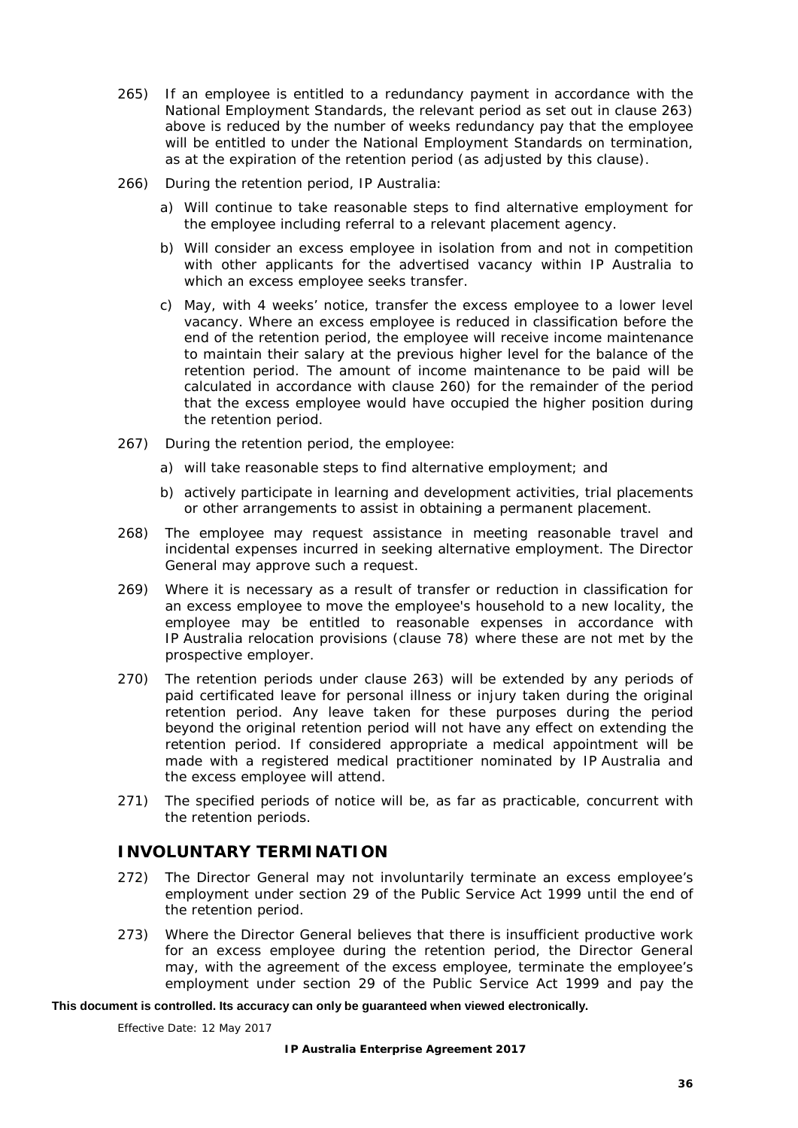- 265) If an employee is entitled to a redundancy payment in accordance with the National Employment Standards, the relevant period as set out in clause [263\)](#page-39-3) above is reduced by the number of weeks redundancy pay that the employee will be entitled to under the National Employment Standards on termination, as at the expiration of the retention period (as adjusted by this clause).
- 266) During the retention period, IP Australia:
	- a) Will continue to take reasonable steps to find alternative employment for the employee including referral to a relevant placement agency.
	- b) Will consider an excess employee in isolation from and not in competition with other applicants for the advertised vacancy within IP Australia to which an excess employee seeks transfer.
	- c) May, with 4 weeks' notice, transfer the excess employee to a lower level vacancy. Where an excess employee is reduced in classification before the end of the retention period, the employee will receive income maintenance to maintain their salary at the previous higher level for the balance of the retention period. The amount of income maintenance to be paid will be calculated in accordance with clause [260\)](#page-39-4) for the remainder of the period that the excess employee would have occupied the higher position during the retention period.
- 267) During the retention period, the employee:
	- a) will take reasonable steps to find alternative employment; and
	- b) actively participate in learning and development activities, trial placements or other arrangements to assist in obtaining a permanent placement.
- 268) The employee may request assistance in meeting reasonable travel and incidental expenses incurred in seeking alternative employment. The Director General may approve such a request.
- 269) Where it is necessary as a result of transfer or reduction in classification for an excess employee to move the employee's household to a new locality, the employee may be entitled to reasonable expenses in accordance with IP Australia relocation provisions (clause [78\)](#page-16-5) where these are not met by the prospective employer.
- 270) The retention periods under clause [263\)](#page-39-3) will be extended by any periods of paid certificated leave for personal illness or injury taken during the original retention period. Any leave taken for these purposes during the period beyond the original retention period will not have any effect on extending the retention period. If considered appropriate a medical appointment will be made with a registered medical practitioner nominated by IP Australia and the excess employee will attend.
- 271) The specified periods of notice will be, as far as practicable, concurrent with the retention periods.

## <span id="page-40-0"></span>**INVOLUNTARY TERMINATION**

- 272) The Director General may not involuntarily terminate an excess employee's employment under section 29 of the *Public Service Act 1999* until the end of the retention period.
- 273) Where the Director General believes that there is insufficient productive work for an excess employee during the retention period, the Director General may, with the agreement of the excess employee, terminate the employee's employment under section 29 of the *Public Service Act 1999* and pay the

#### **This document is controlled. Its accuracy can only be guaranteed when viewed electronically.**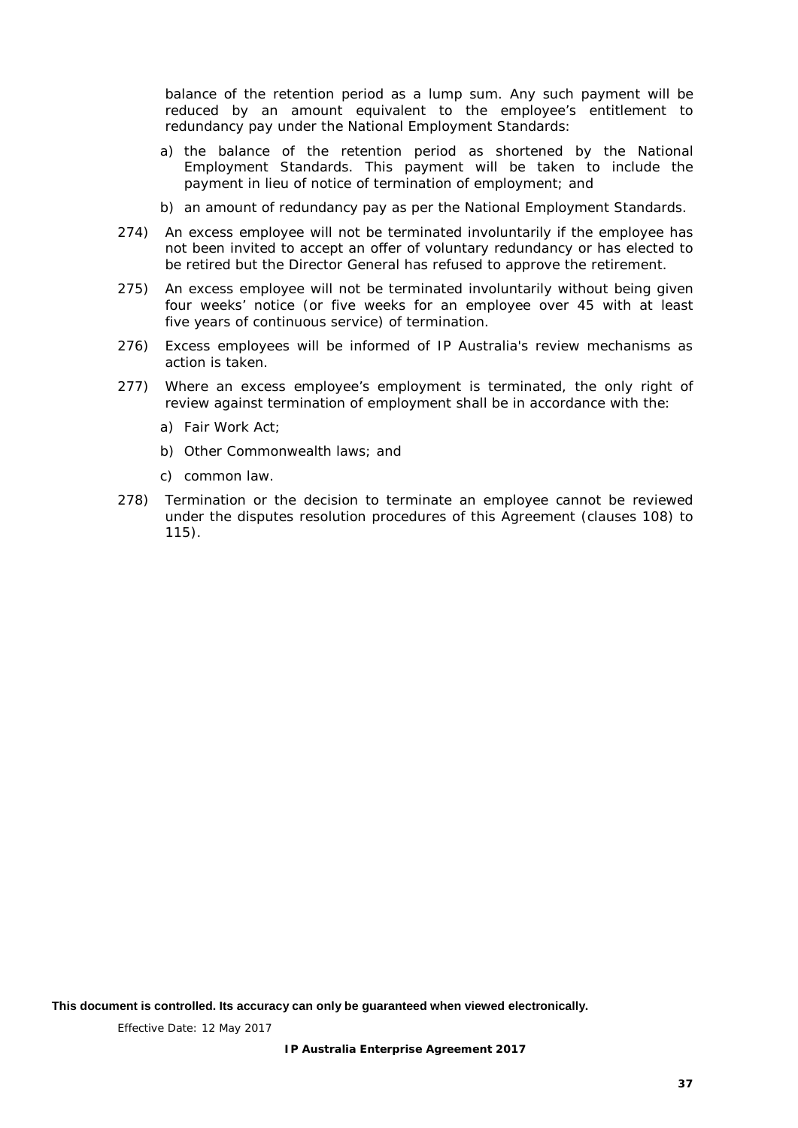balance of the retention period as a lump sum. Any such payment will be reduced by an amount equivalent to the employee's entitlement to redundancy pay under the National Employment Standards:

- a) the balance of the retention period as shortened by the National Employment Standards. This payment will be taken to include the payment in lieu of notice of termination of employment; and
- b) an amount of redundancy pay as per the National Employment Standards.
- 274) An excess employee will not be terminated involuntarily if the employee has not been invited to accept an offer of voluntary redundancy or has elected to be retired but the Director General has refused to approve the retirement.
- 275) An excess employee will not be terminated involuntarily without being given four weeks' notice (or five weeks for an employee over 45 with at least five years of continuous service) of termination.
- 276) Excess employees will be informed of IP Australia's review mechanisms as action is taken.
- 277) Where an excess employee's employment is terminated, the only right of review against termination of employment shall be in accordance with the:
	- a) Fair Work Act;
	- b) Other Commonwealth laws; and
	- c) common law.
- 278) Termination or the decision to terminate an employee cannot be reviewed under the disputes resolution procedures of this Agreement (clauses [108\)](#page-21-2) to [115\).](#page-21-4)

**This document is controlled. Its accuracy can only be guaranteed when viewed electronically.**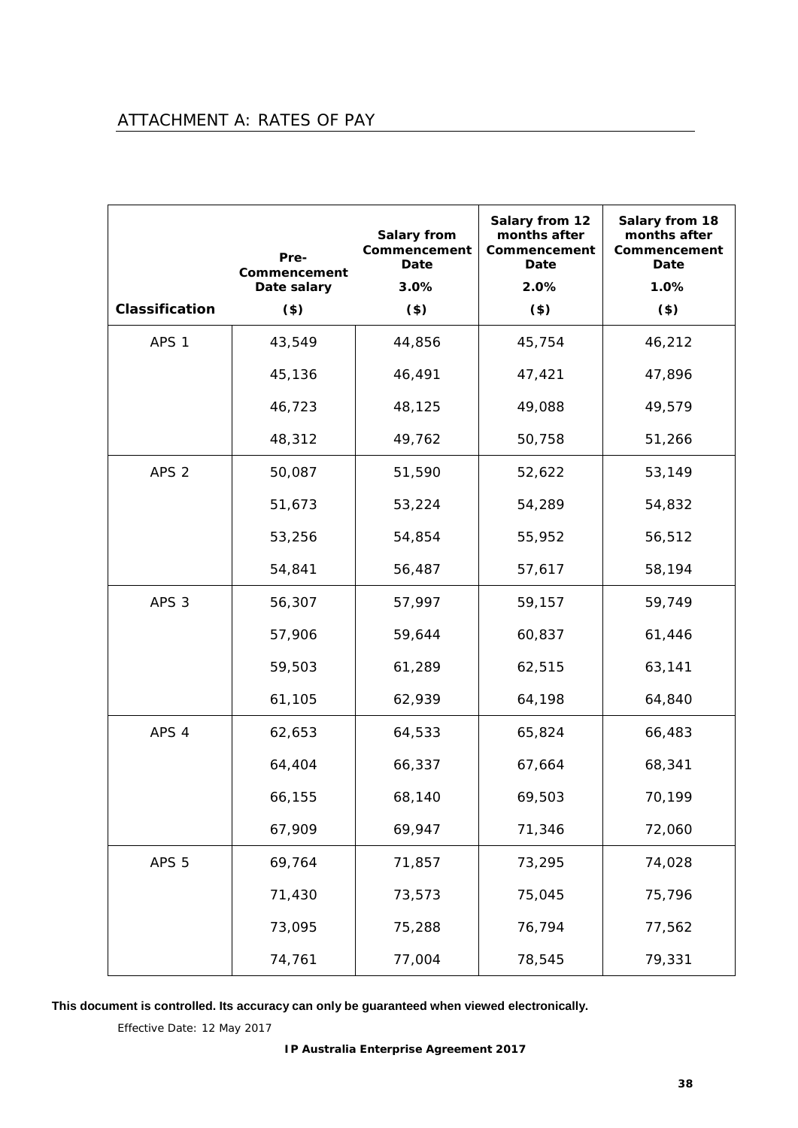# <span id="page-42-0"></span>ATTACHMENT A: RATES OF PAY

|                  | Pre-<br>Commencement | <b>Salary from</b><br>Commencement<br>Date | Salary from 12<br>months after<br>Commencement<br>Date | Salary from 18<br>months after<br>Commencement<br>Date |
|------------------|----------------------|--------------------------------------------|--------------------------------------------------------|--------------------------------------------------------|
| Classification   | Date salary<br>(3)   | 3.0%<br>$($ \$)                            | 2.0%<br>$($ \$)                                        | 1.0%<br>$($ \$)                                        |
| APS <sub>1</sub> | 43,549               | 44,856                                     | 45,754                                                 | 46,212                                                 |
|                  | 45,136               | 46,491                                     | 47,421                                                 | 47,896                                                 |
|                  | 46,723               | 48,125                                     | 49,088                                                 | 49,579                                                 |
|                  | 48,312               | 49,762                                     | 50,758                                                 | 51,266                                                 |
| APS <sub>2</sub> | 50,087               | 51,590                                     | 52,622                                                 | 53,149                                                 |
|                  | 51,673               | 53,224                                     | 54,289                                                 | 54,832                                                 |
|                  | 53,256               | 54,854                                     | 55,952                                                 | 56,512                                                 |
|                  | 54,841               | 56,487                                     | 57,617                                                 | 58,194                                                 |
| APS <sub>3</sub> | 56,307               | 57,997                                     | 59,157                                                 | 59,749                                                 |
|                  | 57,906               | 59,644                                     | 60,837                                                 | 61,446                                                 |
|                  | 59,503               | 61,289                                     | 62,515                                                 | 63,141                                                 |
|                  | 61,105               | 62,939                                     | 64,198                                                 | 64,840                                                 |
| APS 4            | 62,653               | 64,533                                     | 65,824                                                 | 66,483                                                 |
|                  | 64,404               | 66,337                                     | 67,664                                                 | 68,341                                                 |
|                  | 66,155               | 68,140                                     | 69,503                                                 | 70,199                                                 |
|                  | 67,909               | 69,947                                     | 71,346                                                 | 72,060                                                 |
| APS <sub>5</sub> | 69,764               | 71,857                                     | 73,295                                                 | 74,028                                                 |
|                  | 71,430               | 73,573                                     | 75,045                                                 | 75,796                                                 |
|                  | 73,095               | 75,288                                     | 76,794                                                 | 77,562                                                 |
|                  | 74,761               | 77,004                                     | 78,545                                                 | 79,331                                                 |

**This document is controlled. Its accuracy can only be guaranteed when viewed electronically.**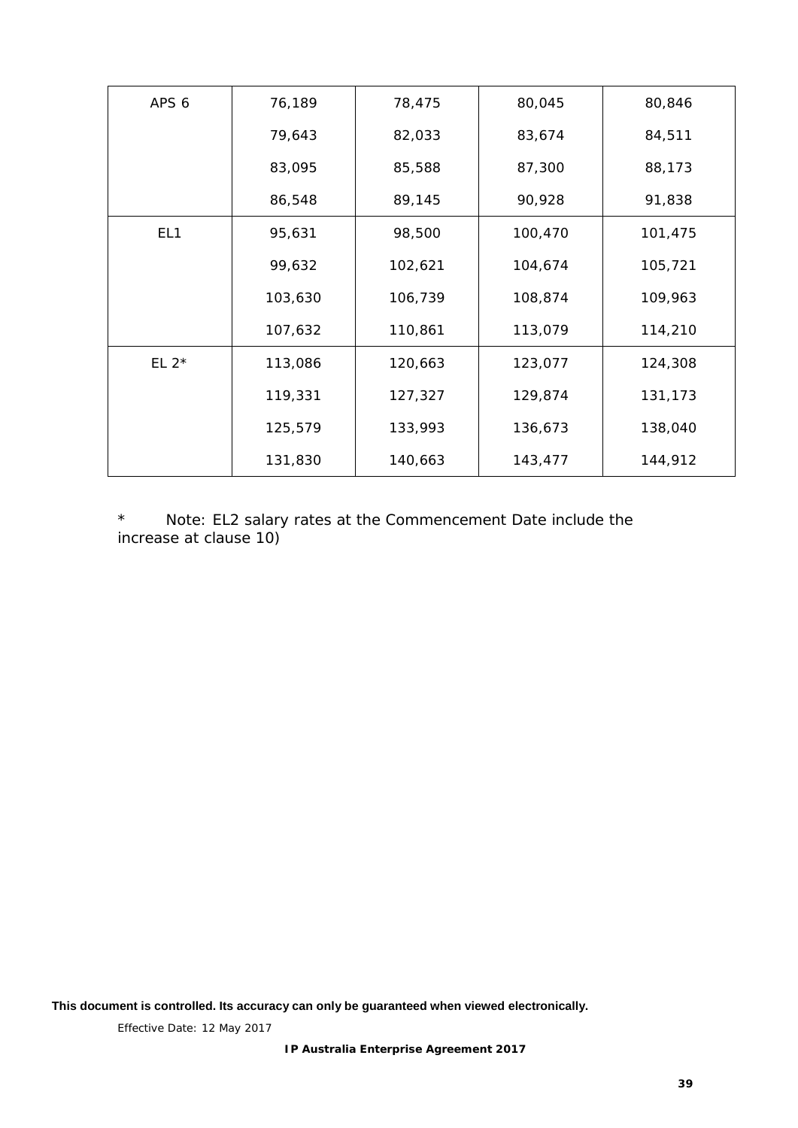| APS 6           | 76,189  | 78,475  | 80,045  | 80,846  |
|-----------------|---------|---------|---------|---------|
|                 | 79,643  | 82,033  | 83,674  | 84,511  |
|                 | 83,095  | 85,588  | 87,300  | 88,173  |
|                 | 86,548  | 89,145  | 90,928  | 91,838  |
| EL <sub>1</sub> | 95,631  | 98,500  | 100,470 | 101,475 |
|                 | 99,632  | 102,621 | 104,674 | 105,721 |
|                 | 103,630 | 106,739 | 108,874 | 109,963 |
|                 | 107,632 | 110,861 | 113,079 | 114,210 |
| EL $2^*$        | 113,086 | 120,663 | 123,077 | 124,308 |
|                 | 119,331 | 127,327 | 129,874 | 131,173 |
|                 | 125,579 | 133,993 | 136,673 | 138,040 |
|                 | 131,830 | 140,663 | 143,477 | 144,912 |

\* Note: EL2 salary rates at the Commencement Date include the increase at clause [10\)](#page-8-3)

**This document is controlled. Its accuracy can only be guaranteed when viewed electronically.**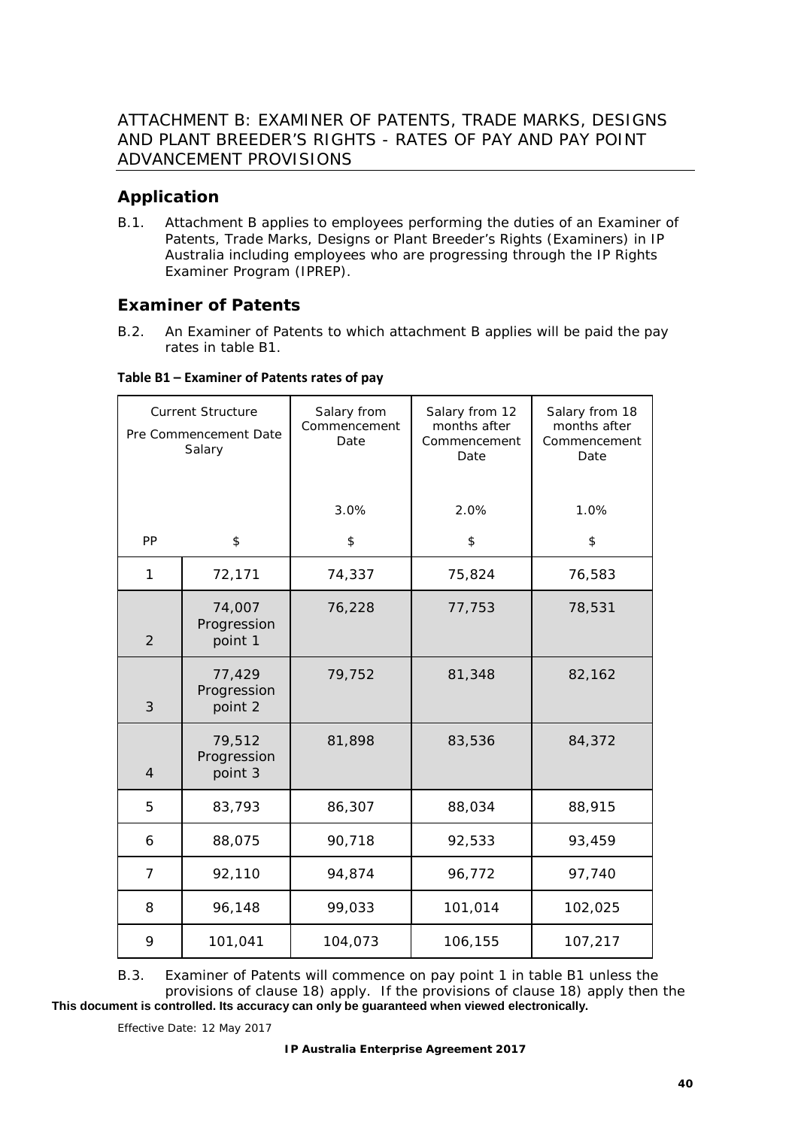# <span id="page-44-1"></span><span id="page-44-0"></span>**Application**

B.1. Attachment B applies to employees performing the duties of an Examiner of Patents, Trade Marks, Designs or Plant Breeder's Rights (Examiners) in IP Australia including employees who are progressing through the IP Rights Examiner Program (IPREP).

## <span id="page-44-2"></span>**Examiner of Patents**

B.2. An Examiner of Patents to which attachment B applies will be paid the pay rates in table B1.

| <b>Current Structure</b><br>Pre Commencement Date<br>Salary |                                  | Salary from<br>Commencement<br>Date | Salary from 12<br>months after<br>Commencement<br>Date | Salary from 18<br>months after<br>Commencement<br>Date |
|-------------------------------------------------------------|----------------------------------|-------------------------------------|--------------------------------------------------------|--------------------------------------------------------|
|                                                             |                                  | 3.0%                                | 2.0%                                                   | 1.0%                                                   |
| PP                                                          | \$                               | \$                                  | \$                                                     | \$                                                     |
| 1                                                           | 72,171                           | 74,337                              | 75,824                                                 | 76,583                                                 |
| $\overline{2}$                                              | 74,007<br>Progression<br>point 1 | 76,228                              | 77,753                                                 | 78,531                                                 |
| 3                                                           | 77,429<br>Progression<br>point 2 | 79,752                              | 81,348                                                 | 82,162                                                 |
| 79,512<br>Progression<br>$\overline{4}$<br>point 3          |                                  | 81,898                              | 83,536                                                 | 84,372                                                 |
| 5                                                           | 83,793                           | 86,307                              | 88,034                                                 | 88,915                                                 |
| 6                                                           | 88,075                           | 90,718                              | 92,533                                                 | 93,459                                                 |
| 7                                                           | 92,110                           | 94,874                              | 96,772                                                 | 97,740                                                 |
| 8                                                           | 96,148                           | 99,033                              | 101,014                                                | 102,025                                                |
| 9                                                           | 101,041                          | 104,073                             | 106,155                                                | 107,217                                                |

**Table B1 – Examiner of Patents rates of pay**

**This document is controlled. Its accuracy can only be guaranteed when viewed electronically.** B.3. Examiner of Patents will commence on pay point 1 in table B1 unless the provisions of clause [18\)](#page-9-3) apply. If the provisions of clause [18\)](#page-9-3) apply then the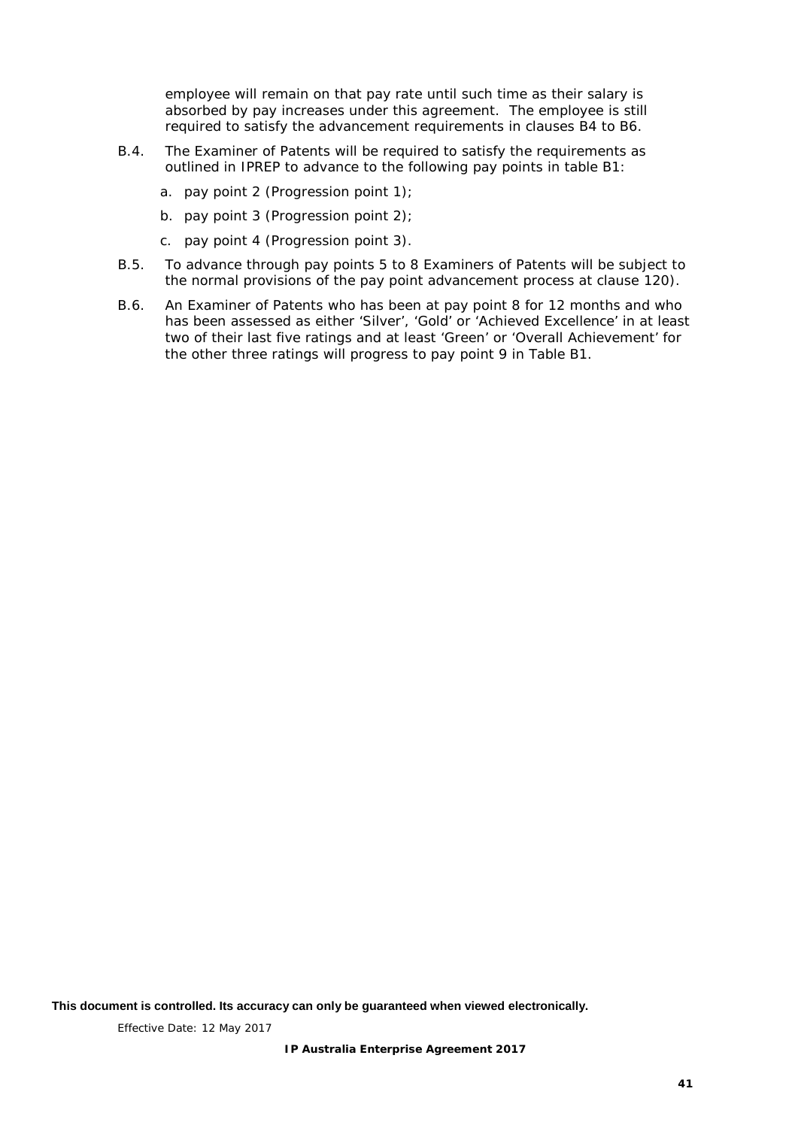employee will remain on that pay rate until such time as their salary is absorbed by pay increases under this agreement. The employee is still required to satisfy the advancement requirements in clauses B4 to B6.

- B.4. The Examiner of Patents will be required to satisfy the requirements as outlined in IPREP to advance to the following pay points in table B1:
	- a. pay point 2 (Progression point 1);
	- b. pay point 3 (Progression point 2);
	- c. pay point 4 (Progression point 3).
- B.5. To advance through pay points 5 to 8 Examiners of Patents will be subject to the normal provisions of the pay point advancement process at clause [120\).](#page-22-3)
- B.6. An Examiner of Patents who has been at pay point 8 for 12 months and who has been assessed as either 'Silver', 'Gold' or 'Achieved Excellence' in at least two of their last five ratings and at least 'Green' or 'Overall Achievement' for the other three ratings will progress to pay point 9 in Table B1.

**This document is controlled. Its accuracy can only be guaranteed when viewed electronically.**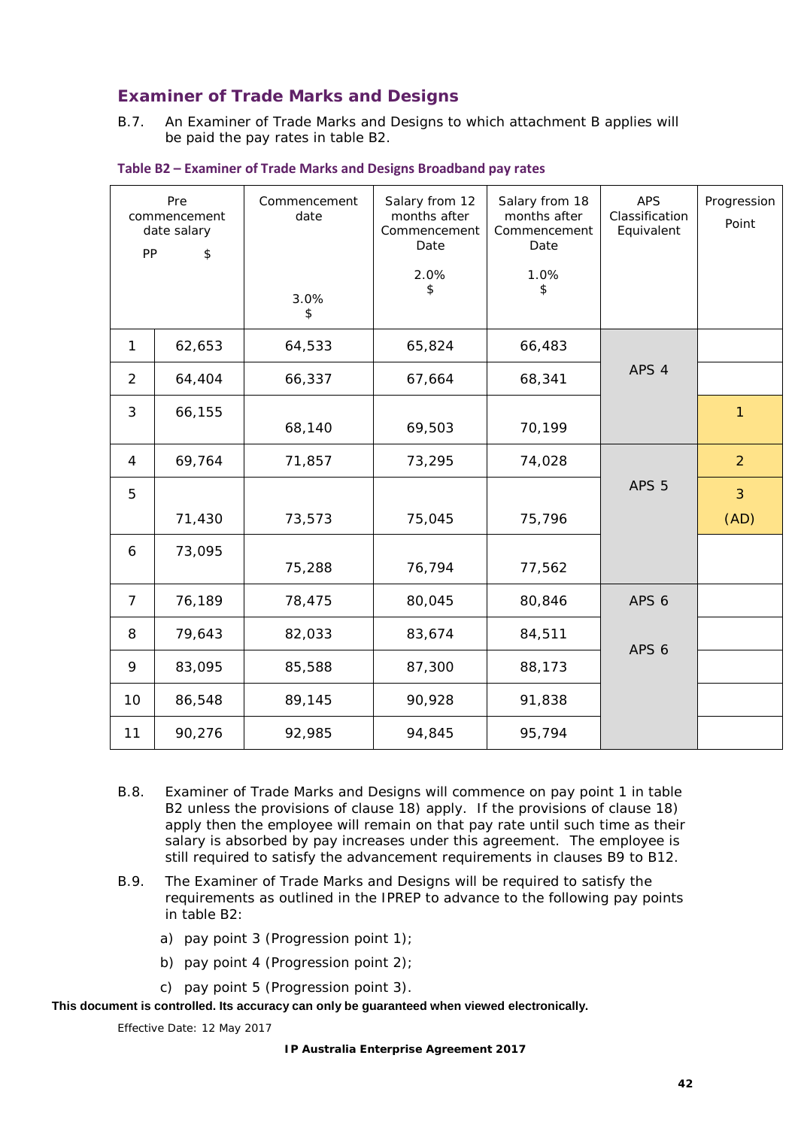## **Examiner of Trade Marks and Designs**

B.7. An Examiner of Trade Marks and Designs to which attachment B applies will be paid the pay rates in table B2.

| PP             | Pre<br>commencement<br>date salary<br>\$ | Commencement<br>date | Salary from 12<br>months after<br>Commencement<br>Date | Salary from 18<br>months after<br>Commencement<br>Date | <b>APS</b><br>Classification<br>Equivalent | Progression<br>Point |
|----------------|------------------------------------------|----------------------|--------------------------------------------------------|--------------------------------------------------------|--------------------------------------------|----------------------|
|                |                                          | 3.0%<br>\$           | 2.0%<br>\$                                             | 1.0%<br>\$                                             |                                            |                      |
| $\mathbf{1}$   | 62,653                                   | 64,533               | 65,824                                                 | 66,483                                                 |                                            |                      |
| $\overline{2}$ | 64,404                                   | 66,337               | 67,664                                                 | 68,341                                                 | APS 4                                      |                      |
| 3              | 66,155                                   | 68,140               | 69,503                                                 | 70,199                                                 |                                            | 1                    |
| 4              | 69,764                                   | 71,857               | 73,295                                                 | 74,028                                                 |                                            | $\overline{2}$       |
| 5              |                                          |                      |                                                        |                                                        | APS <sub>5</sub>                           | 3                    |
|                | 71,430                                   | 73,573               | 75,045                                                 | 75,796                                                 |                                            | (AD)                 |
| 6              | 73,095                                   | 75,288               | 76,794                                                 | 77,562                                                 |                                            |                      |
| $\overline{7}$ | 76,189                                   | 78,475               | 80,045                                                 | 80,846                                                 | APS <sub>6</sub>                           |                      |
| 8              | 79,643                                   | 82,033               | 83,674                                                 | 84,511                                                 | APS <sub>6</sub>                           |                      |
| 9              | 83,095                                   | 85,588               | 87,300                                                 | 88,173                                                 |                                            |                      |
| 10             | 86,548                                   | 89,145               | 90,928                                                 | 91,838                                                 |                                            |                      |
| 11             | 90,276                                   | 92,985               | 94,845                                                 | 95,794                                                 |                                            |                      |

#### **Table B2 – Examiner of Trade Marks and Designs Broadband pay rates**

- B.8. Examiner of Trade Marks and Designs will commence on pay point 1 in table B2 unless the provisions of clause [18\)](#page-9-3) apply. If the provisions of clause [18\)](#page-9-3) apply then the employee will remain on that pay rate until such time as their salary is absorbed by pay increases under this agreement. The employee is still required to satisfy the advancement requirements in clauses B9 to B12.
- B.9. The Examiner of Trade Marks and Designs will be required to satisfy the requirements as outlined in the IPREP to advance to the following pay points in table B2:
	- a) pay point 3 (Progression point 1);
	- b) pay point 4 (Progression point 2);
	- c) pay point 5 (Progression point 3).

**This document is controlled. Its accuracy can only be guaranteed when viewed electronically.**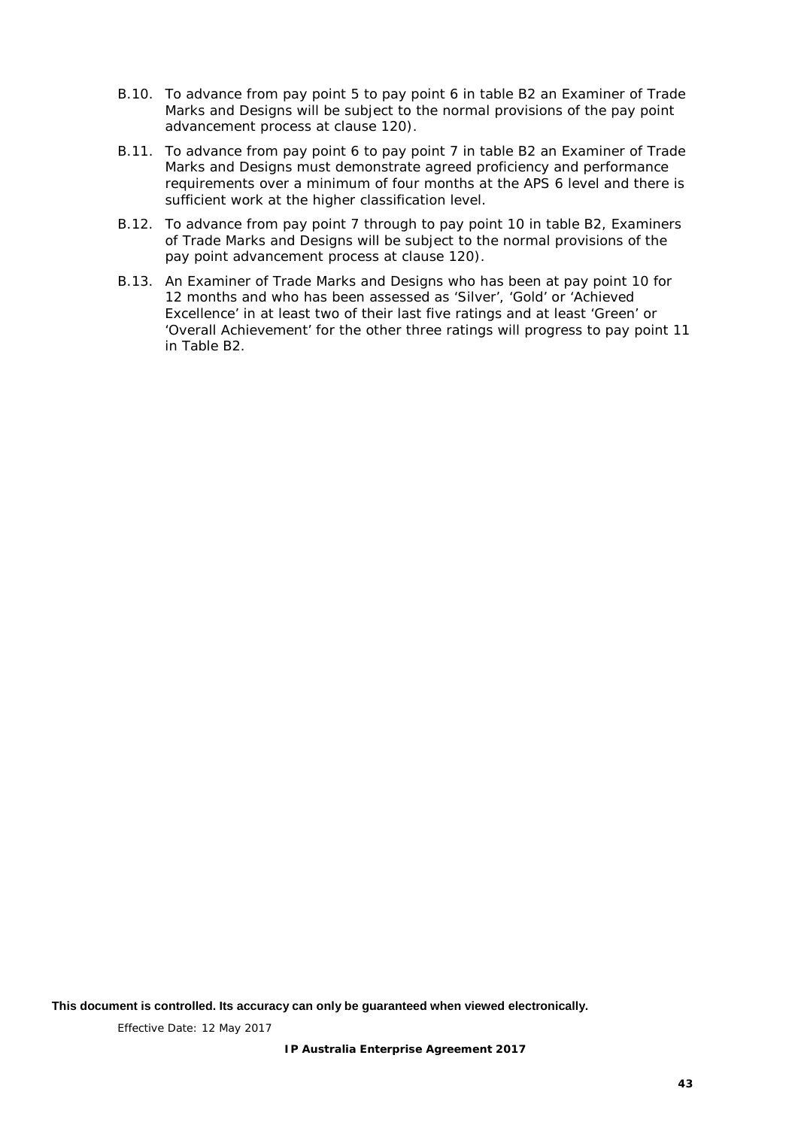- B.10. To advance from pay point 5 to pay point 6 in table B2 an Examiner of Trade Marks and Designs will be subject to the normal provisions of the pay point advancement process at clause [120\).](#page-22-3)
- B.11. To advance from pay point 6 to pay point 7 in table B2 an Examiner of Trade Marks and Designs must demonstrate agreed proficiency and performance requirements over a minimum of four months at the APS 6 level and there is sufficient work at the higher classification level.
- B.12. To advance from pay point 7 through to pay point 10 in table B2, Examiners of Trade Marks and Designs will be subject to the normal provisions of the pay point advancement process at clause [120\).](#page-22-3)
- B.13. An Examiner of Trade Marks and Designs who has been at pay point 10 for 12 months and who has been assessed as 'Silver', 'Gold' or 'Achieved Excellence' in at least two of their last five ratings and at least 'Green' or 'Overall Achievement' for the other three ratings will progress to pay point 11 in Table B2.

**This document is controlled. Its accuracy can only be guaranteed when viewed electronically.**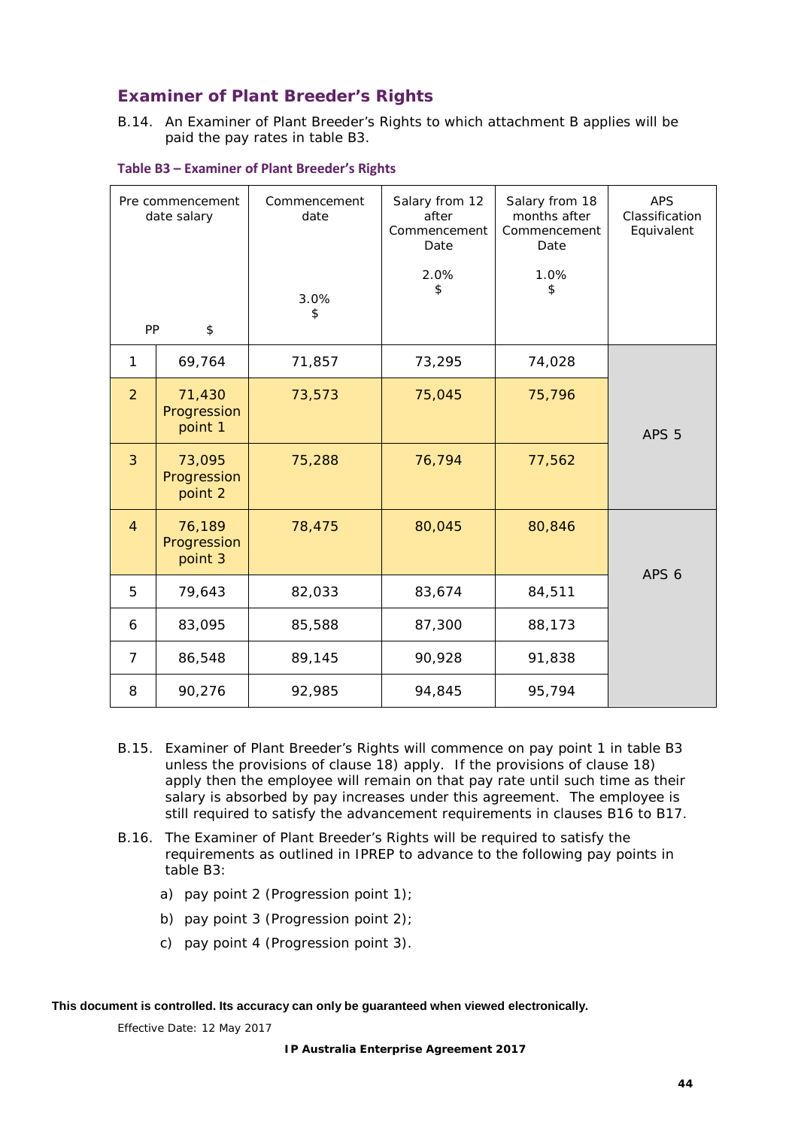## **Examiner of Plant Breeder's Rights**

B.14. An Examiner of Plant Breeder's Rights to which attachment B applies will be paid the pay rates in table B3.

| Pre commencement<br>date salary |                                  | Commencement<br>date<br>3.0%<br>\$ | Salary from 12<br>after<br>Commencement<br>Date<br>2.0%<br>\$ | Salary from 18<br>months after<br>Commencement<br>Date<br>1.0%<br>\$ | <b>APS</b><br>Classification<br>Equivalent |
|---------------------------------|----------------------------------|------------------------------------|---------------------------------------------------------------|----------------------------------------------------------------------|--------------------------------------------|
| PP                              | \$                               |                                    |                                                               |                                                                      |                                            |
| 1                               | 69,764                           | 71,857                             | 73,295                                                        | 74,028                                                               |                                            |
| $\overline{2}$                  | 71,430<br>Progression<br>point 1 | 73,573                             | 75,045                                                        | 75,796                                                               | APS <sub>5</sub>                           |
| 3                               | 73,095<br>Progression<br>point 2 | 75,288                             | 76,794                                                        | 77,562                                                               |                                            |
| $\overline{4}$                  | 76,189<br>Progression<br>point 3 | 78,475                             | 80,045                                                        | 80,846                                                               | APS <sub>6</sub>                           |
| 5                               | 79,643                           | 82,033                             | 83,674                                                        | 84,511                                                               |                                            |
| 6                               | 83,095                           | 85,588                             | 87,300                                                        | 88,173                                                               |                                            |
| $\overline{7}$                  | 86,548                           | 89,145                             | 90,928                                                        | 91,838                                                               |                                            |
| 8                               | 90,276                           | 92,985                             | 94,845                                                        | 95,794                                                               |                                            |

**Table B3 – Examiner of Plant Breeder's Rights**

- B.15. Examiner of Plant Breeder's Rights will commence on pay point 1 in table B3 unless the provisions of clause [18\)](#page-9-3) apply. If the provisions of clause [18\)](#page-9-3) apply then the employee will remain on that pay rate until such time as their salary is absorbed by pay increases under this agreement. The employee is still required to satisfy the advancement requirements in clauses B16 to B17.
- B.16. The Examiner of Plant Breeder's Rights will be required to satisfy the requirements as outlined in IPREP to advance to the following pay points in table B3:
	- a) pay point 2 (Progression point  $1$ );
	- b) pay point 3 (Progression point 2);
	- c) pay point 4 (Progression point 3).

**This document is controlled. Its accuracy can only be guaranteed when viewed electronically.**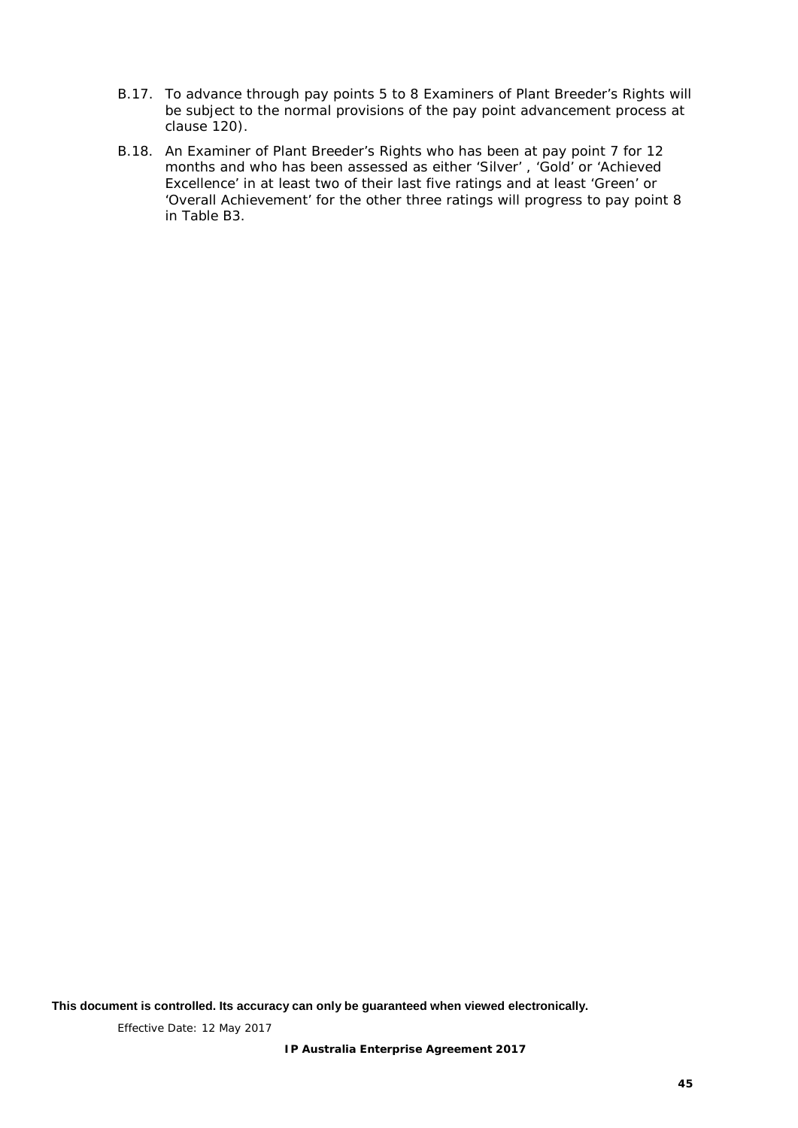- B.17. To advance through pay points 5 to 8 Examiners of Plant Breeder's Rights will be subject to the normal provisions of the pay point advancement process at clause [120\).](#page-22-3)
- B.18. An Examiner of Plant Breeder's Rights who has been at pay point 7 for 12 months and who has been assessed as either 'Silver' , 'Gold' or 'Achieved Excellence' in at least two of their last five ratings and at least 'Green' or 'Overall Achievement' for the other three ratings will progress to pay point 8 in Table B3.

**This document is controlled. Its accuracy can only be guaranteed when viewed electronically.**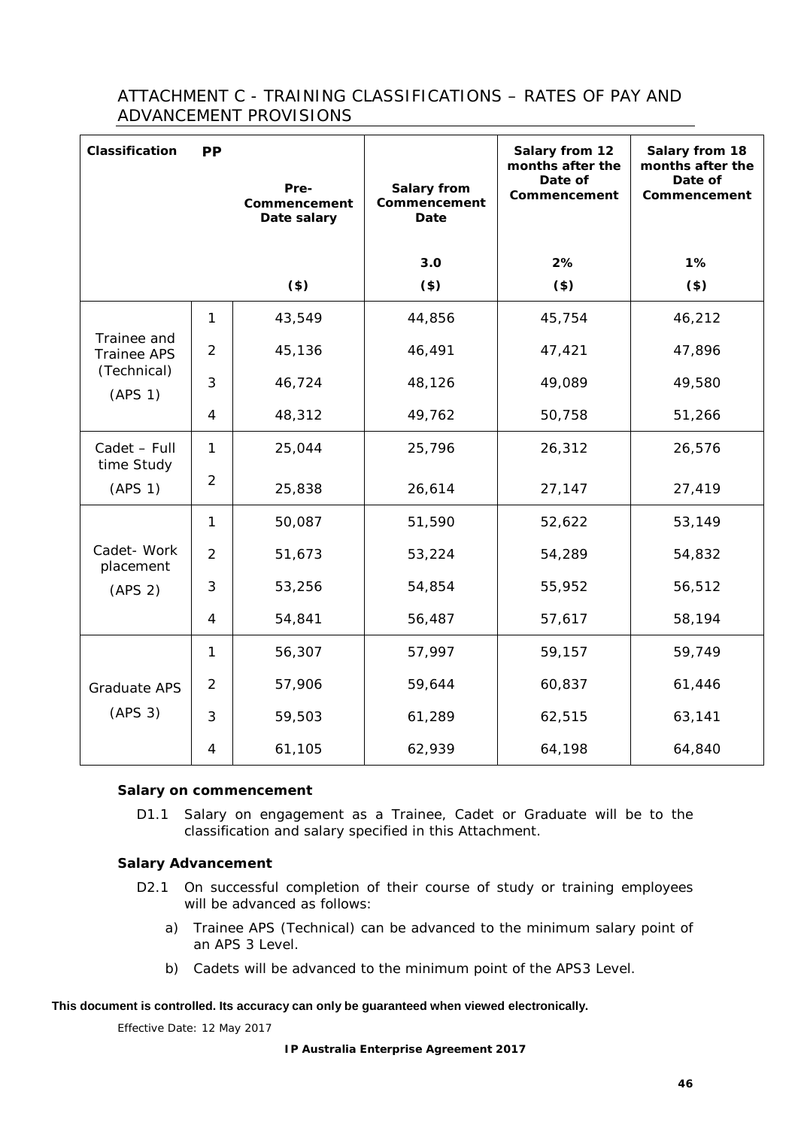## <span id="page-50-0"></span>ATTACHMENT C - TRAINING CLASSIFICATIONS – RATES OF PAY AND ADVANCEMENT PROVISIONS

| Classification                    | <b>PP</b>      | Pre-<br>Commencement<br>Date salary | Salary from<br>Commencement<br>Date | Salary from 12<br>months after the<br>Date of<br>Commencement | Salary from 18<br>months after the<br>Date of<br>Commencement |
|-----------------------------------|----------------|-------------------------------------|-------------------------------------|---------------------------------------------------------------|---------------------------------------------------------------|
|                                   |                |                                     | 3.0                                 | 2%                                                            | 1%                                                            |
|                                   |                | $($ \$)                             | $($)$                               | $($)$                                                         | $($)$                                                         |
|                                   | 1              | 43,549                              | 44,856                              | 45,754                                                        | 46,212                                                        |
| Trainee and<br><b>Trainee APS</b> | 2              | 45,136                              | 46,491                              | 47,421                                                        | 47,896                                                        |
| (Technical)<br>(APS 1)            | 3              | 46,724                              | 48,126                              | 49,089                                                        | 49,580                                                        |
|                                   | $\overline{4}$ | 48,312                              | 49,762                              | 50,758                                                        | 51,266                                                        |
| Cadet - Full<br>time Study        | 1              | 25,044                              | 25,796                              | 26,312                                                        | 26,576                                                        |
| (APS 1)                           | $\overline{2}$ | 25,838                              | 26,614                              | 27,147                                                        | 27,419                                                        |
|                                   | $\mathbf{1}$   | 50,087                              | 51,590                              | 52,622                                                        | 53,149                                                        |
| Cadet-Work<br>placement           | $\overline{2}$ | 51,673                              | 53,224                              | 54,289                                                        | 54,832                                                        |
| (APS 2)                           | 3              | 53,256                              | 54,854                              | 55,952                                                        | 56,512                                                        |
|                                   | $\overline{4}$ | 54,841                              | 56,487                              | 57,617                                                        | 58,194                                                        |
|                                   | 1              | 56,307                              | 57,997                              | 59,157                                                        | 59,749                                                        |
| Graduate APS                      | 2              | 57,906                              | 59,644                              | 60,837                                                        | 61,446                                                        |
| (APS 3)                           | 3              | 59,503                              | 61,289                              | 62,515                                                        | 63,141                                                        |
|                                   | $\overline{4}$ | 61,105                              | 62,939                              | 64,198                                                        | 64,840                                                        |

#### **Salary on commencement**

D1.1 Salary on engagement as a Trainee, Cadet or Graduate will be to the classification and salary specified in this Attachment.

#### **Salary Advancement**

- D2.1 On successful completion of their course of study or training employees will be advanced as follows:
	- a) Trainee APS (Technical) can be advanced to the minimum salary point of an APS 3 Level.
	- b) Cadets will be advanced to the minimum point of the APS3 Level.

#### **This document is controlled. Its accuracy can only be guaranteed when viewed electronically.**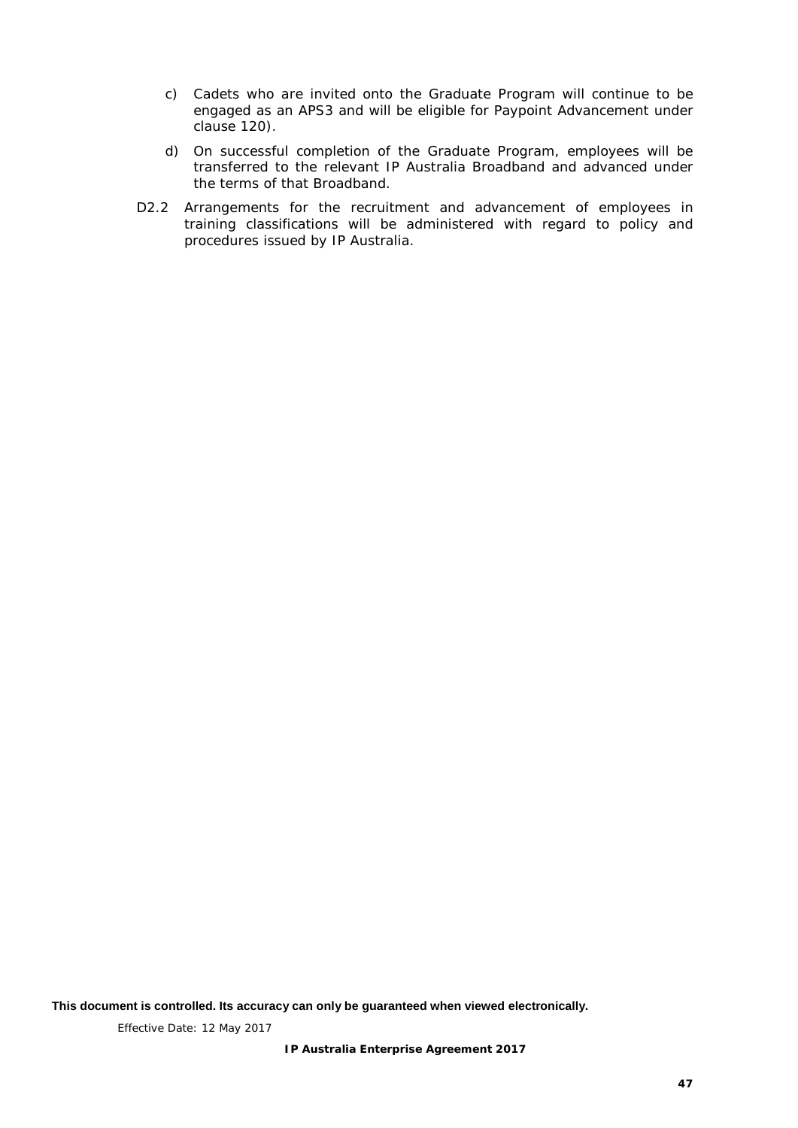- c) Cadets who are invited onto the Graduate Program will continue to be engaged as an APS3 and will be eligible for Paypoint Advancement under clause [120\).](#page-22-3)
- d) On successful completion of the Graduate Program, employees will be transferred to the relevant IP Australia Broadband and advanced under the terms of that Broadband.
- D2.2 Arrangements for the recruitment and advancement of employees in training classifications will be administered with regard to policy and procedures issued by IP Australia.

**This document is controlled. Its accuracy can only be guaranteed when viewed electronically.**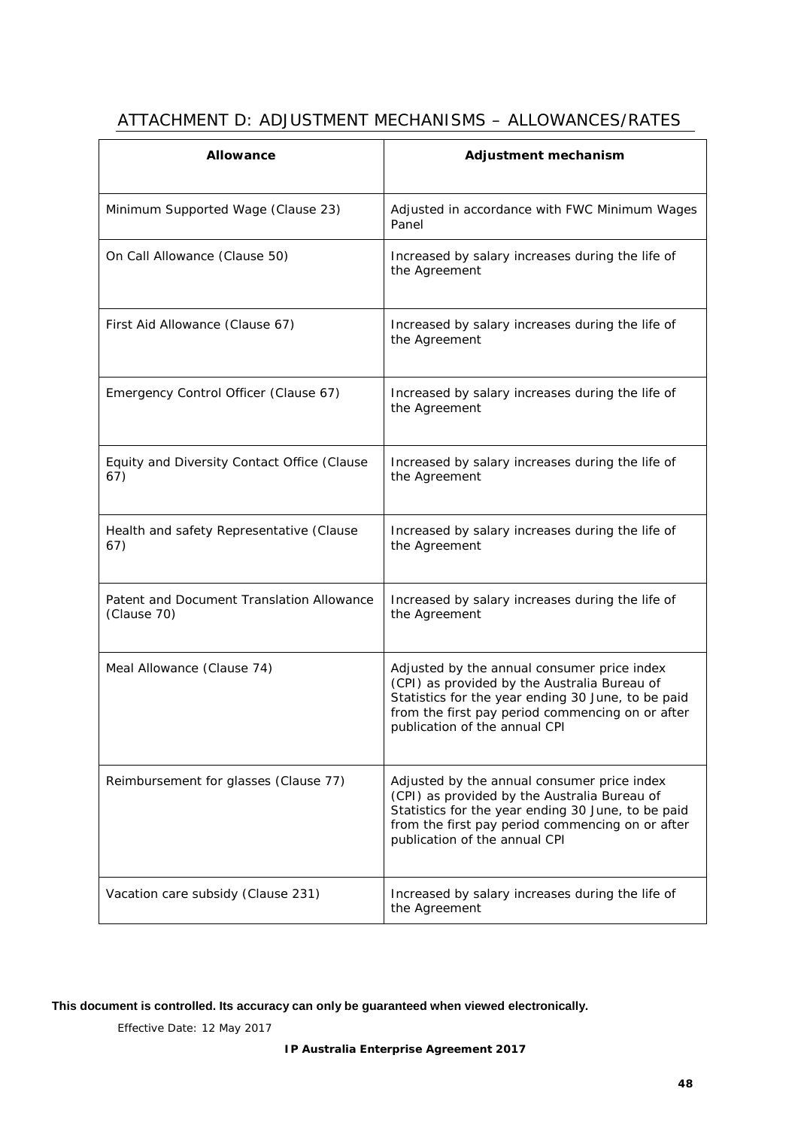| <b>Allowance</b>                                         | Adjustment mechanism                                                                                                                                                                                                                   |
|----------------------------------------------------------|----------------------------------------------------------------------------------------------------------------------------------------------------------------------------------------------------------------------------------------|
| Minimum Supported Wage (Clause 23)                       | Adjusted in accordance with FWC Minimum Wages<br>Panel                                                                                                                                                                                 |
| On Call Allowance (Clause 50)                            | Increased by salary increases during the life of<br>the Agreement                                                                                                                                                                      |
| First Aid Allowance (Clause 67)                          | Increased by salary increases during the life of<br>the Agreement                                                                                                                                                                      |
| Emergency Control Officer (Clause 67)                    | Increased by salary increases during the life of<br>the Agreement                                                                                                                                                                      |
| Equity and Diversity Contact Office (Clause<br>67)       | Increased by salary increases during the life of<br>the Agreement                                                                                                                                                                      |
| Health and safety Representative (Clause<br>67)          | Increased by salary increases during the life of<br>the Agreement                                                                                                                                                                      |
| Patent and Document Translation Allowance<br>(Clause 70) | Increased by salary increases during the life of<br>the Agreement                                                                                                                                                                      |
| Meal Allowance (Clause 74)                               | Adjusted by the annual consumer price index<br>(CPI) as provided by the Australia Bureau of<br>Statistics for the year ending 30 June, to be paid<br>from the first pay period commencing on or after<br>publication of the annual CPI |
| Reimbursement for glasses (Clause 77)                    | Adjusted by the annual consumer price index                                                                                                                                                                                            |

# <span id="page-52-0"></span>ATTACHMENT D: ADJUSTMENT MECHANISMS – ALLOWANCES/RATES

#### **This document is controlled. Its accuracy can only be guaranteed when viewed electronically.**

Effective Date: 12 May 2017

Vacation care subsidy (Clause [231\)](#page-35-5) Increased by salary increases during the life of

the Agreement

(CPI) as provided by the Australia Bureau of Statistics for the year ending 30 June, to be paid from the first pay period commencing on or after

publication of the annual CPI